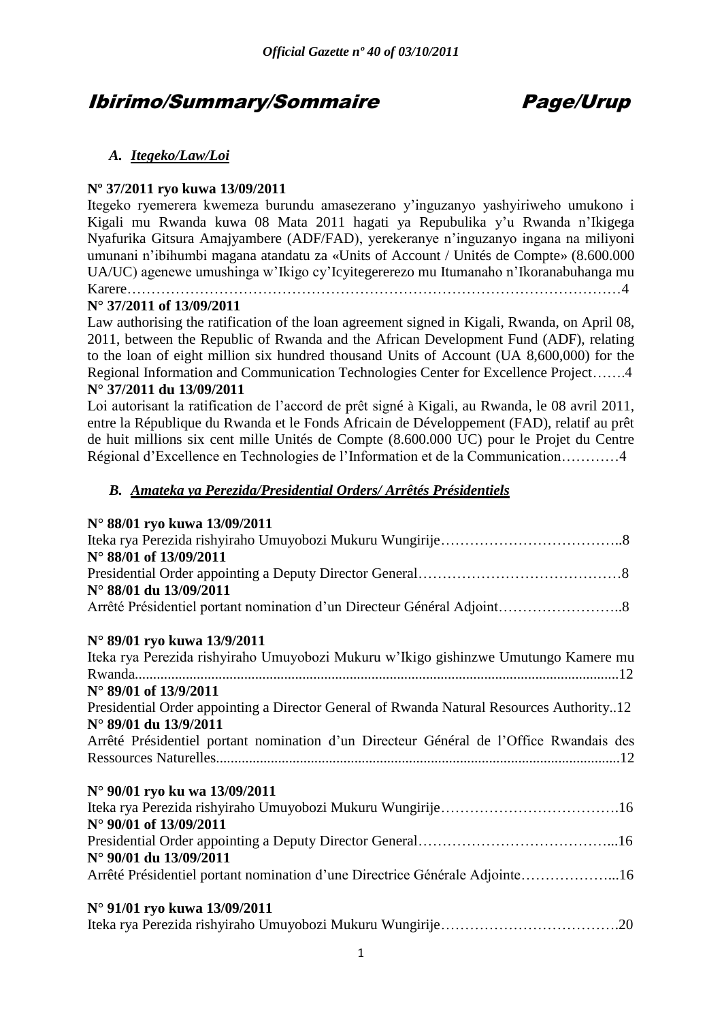# Ibirimo/Summary/Sommaire Page/Urup

# *A. Itegeko/Law/Loi*

# **Nº 37/2011 ryo kuwa 13/09/2011**

Itegeko ryemerera kwemeza burundu amasezerano y'inguzanyo yashyiriweho umukono i Kigali mu Rwanda kuwa 08 Mata 2011 hagati ya Repubulika y'u Rwanda n'Ikigega Nyafurika Gitsura Amajyambere (ADF/FAD), yerekeranye n'inguzanyo ingana na miliyoni umunani n'ibihumbi magana atandatu za «Units of Account / Unités de Compte» (8.600.000 UA/UC) agenewe umushinga w'Ikigo cy'Icyitegererezo mu Itumanaho n'Ikoranabuhanga mu Karere…………………………………………………………………………………………4

# **N° 37/2011 of 13/09/2011**

Law authorising the ratification of the loan agreement signed in Kigali, Rwanda, on April 08, 2011, between the Republic of Rwanda and the African Development Fund (ADF), relating to the loan of eight million six hundred thousand Units of Account (UA 8,600,000) for the Regional Information and Communication Technologies Center for Excellence Project…….4 **N° 37/2011 du 13/09/2011**

# Loi autorisant la ratification de l'accord de prêt signé à Kigali, au Rwanda, le 08 avril 2011, entre la République du Rwanda et le Fonds Africain de Développement (FAD), relatif au prêt de huit millions six cent mille Unités de Compte (8.600.000 UC) pour le Projet du Centre Régional d'Excellence en Technologies de l'Information et de la Communication…………4

# *B. Amateka ya Perezida/Presidential Orders/ Arrêtés Présidentiels*

# **N° 88/01 ryo kuwa 13/09/2011**

| N° 88/01 of 13/09/2011                                                                   |
|------------------------------------------------------------------------------------------|
|                                                                                          |
| N° 88/01 du 13/09/2011                                                                   |
|                                                                                          |
| N° 89/01 ryo kuwa 13/9/2011                                                              |
| Iteka rya Perezida rishyiraho Umuyobozi Mukuru w'Ikigo gishinzwe Umutungo Kamere mu      |
|                                                                                          |
| $N^{\circ}$ 89/01 of 13/9/2011                                                           |
| Presidential Order appointing a Director General of Rwanda Natural Resources Authority12 |
| N° 89/01 du 13/9/2011                                                                    |
| Arrêté Présidentiel portant nomination d'un Directeur Général de l'Office Rwandais des   |
|                                                                                          |
| N° 90/01 ryo ku wa 13/09/2011                                                            |
|                                                                                          |
| N° 90/01 of 13/09/2011                                                                   |
|                                                                                          |
| N° 90/01 du 13/09/2011                                                                   |
| Arrêté Présidentiel portant nomination d'une Directrice Générale Adjointe16              |
| N° 91/01 ryo kuwa 13/09/2011                                                             |
|                                                                                          |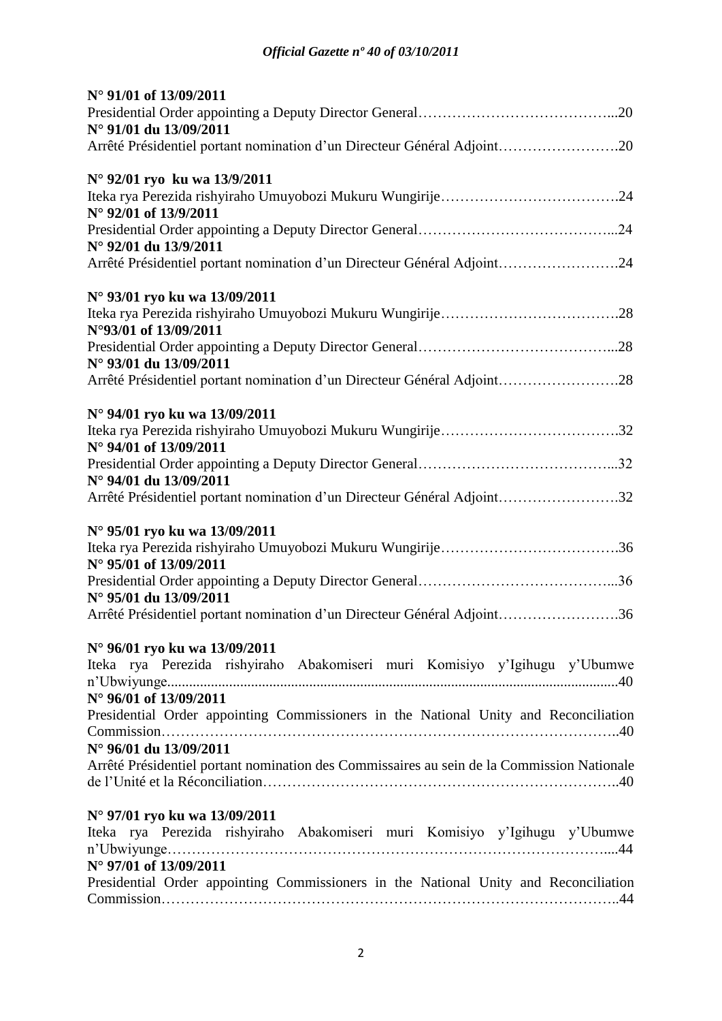| N° 91/01 of 13/09/2011                                                                                         |
|----------------------------------------------------------------------------------------------------------------|
| N° 91/01 du 13/09/2011                                                                                         |
| Arrêté Présidentiel portant nomination d'un Directeur Général Adjoint20                                        |
| N° 92/01 ryo ku wa 13/9/2011                                                                                   |
| N° 92/01 of 13/9/2011                                                                                          |
| N° 92/01 du 13/9/2011                                                                                          |
| Arrêté Présidentiel portant nomination d'un Directeur Général Adjoint24                                        |
| N° 93/01 ryo ku wa 13/09/2011                                                                                  |
| N°93/01 of 13/09/2011                                                                                          |
| N° 93/01 du 13/09/2011                                                                                         |
| Arrêté Présidentiel portant nomination d'un Directeur Général Adjoint28                                        |
| N° 94/01 ryo ku wa 13/09/2011                                                                                  |
| N° 94/01 of 13/09/2011                                                                                         |
| N° 94/01 du 13/09/2011                                                                                         |
| Arrêté Présidentiel portant nomination d'un Directeur Général Adjoint32                                        |
| N° 95/01 ryo ku wa 13/09/2011                                                                                  |
| N° 95/01 of 13/09/2011                                                                                         |
| N° 95/01 du 13/09/2011                                                                                         |
| Arrêté Présidentiel portant nomination d'un Directeur Général Adjoint36                                        |
| N° 96/01 ryo ku wa 13/09/2011                                                                                  |
| Iteka rya Perezida rishyiraho Abakomiseri muri Komisiyo y'Igihugu y'Ubumwe                                     |
| N° 96/01 of 13/09/2011<br>Presidential Order appointing Commissioners in the National Unity and Reconciliation |
| $N^{\circ}$ 96/01 du 13/09/2011                                                                                |
| Arrêté Présidentiel portant nomination des Commissaires au sein de la Commission Nationale                     |
| N° 97/01 ryo ku wa 13/09/2011                                                                                  |
| Iteka rya Perezida rishyiraho Abakomiseri muri Komisiyo y'Igihugu y'Ubumwe                                     |
| N° 97/01 of 13/09/2011<br>Presidential Order appointing Commissioners in the National Unity and Reconciliation |
|                                                                                                                |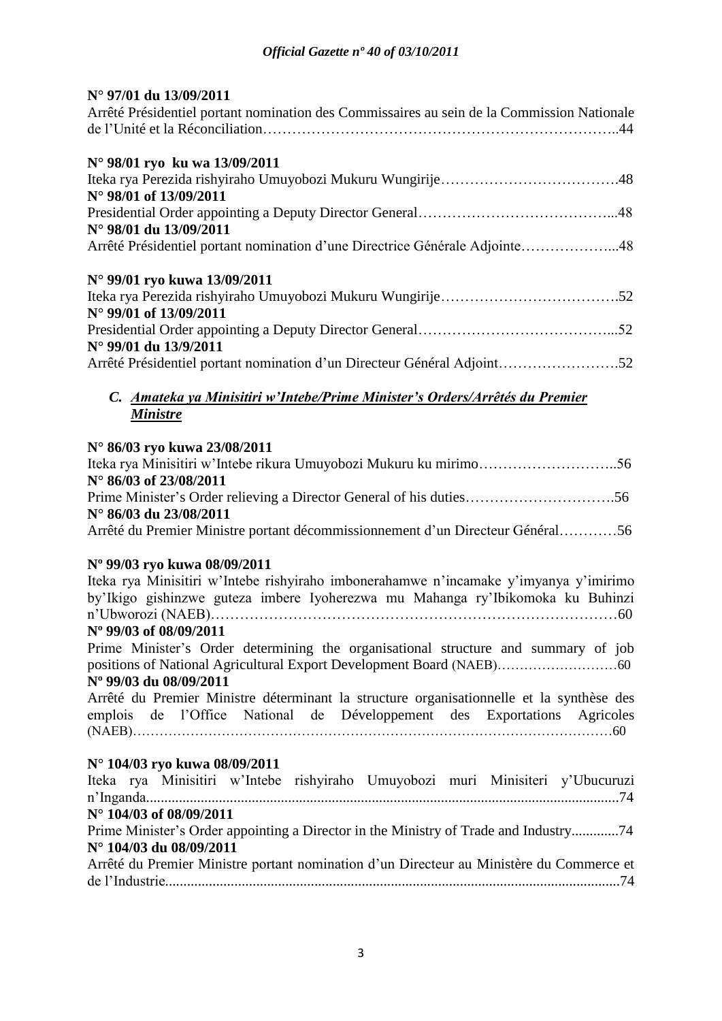# **N° 97/01 du 13/09/2011**

| Arrêté Présidentiel portant nomination des Commissaires au sein de la Commission Nationale |  |
|--------------------------------------------------------------------------------------------|--|
| N° 98/01 ryo ku wa 13/09/2011                                                              |  |
|                                                                                            |  |
| N° 98/01 of 13/09/2011                                                                     |  |
|                                                                                            |  |
| N° 98/01 du 13/09/2011                                                                     |  |
| Arrêté Présidentiel portant nomination d'une Directrice Générale Adjointe48                |  |
| N° 99/01 ryo kuwa 13/09/2011                                                               |  |
|                                                                                            |  |
| $N^{\circ}$ 99/01 of 13/09/2011                                                            |  |
|                                                                                            |  |
| N° 99/01 du 13/9/2011                                                                      |  |
| Arrêté Présidentiel portant nomination d'un Directeur Général Adjoint52                    |  |

# *C. Amateka ya Minisitiri w'Intebe/Prime Minister's Orders/Arrêtés du Premier Ministre*

### **N° 86/03 ryo kuwa 23/08/2011**

| $N^{\circ}$ 86/03 of 23/08/2011                                                |  |
|--------------------------------------------------------------------------------|--|
|                                                                                |  |
| $N^{\circ}$ 86/03 du 23/08/2011                                                |  |
| Arrêté du Premier Ministre portant décommissionnement d'un Directeur Général56 |  |

### **Nº 99/03 ryo kuwa 08/09/2011**

Iteka rya Minisitiri w'Intebe rishyiraho imbonerahamwe n'incamake y'imyanya y'imirimo by'Ikigo gishinzwe guteza imbere Iyoherezwa mu Mahanga ry'Ibikomoka ku Buhinzi n'Ubworozi (NAEB)…………………………………………………………………………60 **Nº 99/03 of 08/09/2011** Prime Minister's Order determining the organisational structure and summary of job positions of National Agricultural Export Development Board (NAEB)………………………60 **Nº 99/03 du 08/09/2011** Arrêté du Premier Ministre déterminant la structure organisationnelle et la synthèse des

# emplois de l'Office National de Développement des Exportations Agricoles

(NAEB)………………………………………………………………………………………………60

# **N° 104/03 ryo kuwa 08/09/2011**

|  |                         |  |  | Iteka rya Minisitiri w'Intebe rishyiraho Umuyobozi muri Minisiteri y'Ubucuruzi           |
|--|-------------------------|--|--|------------------------------------------------------------------------------------------|
|  |                         |  |  |                                                                                          |
|  | N° 104/03 of 08/09/2011 |  |  |                                                                                          |
|  |                         |  |  | Prime Minister's Order appointing a Director in the Ministry of Trade and Industry74     |
|  | N° 104/03 du 08/09/2011 |  |  |                                                                                          |
|  |                         |  |  | Arrêté du Premier Ministre portant nomination d'un Directeur au Ministère du Commerce et |
|  |                         |  |  |                                                                                          |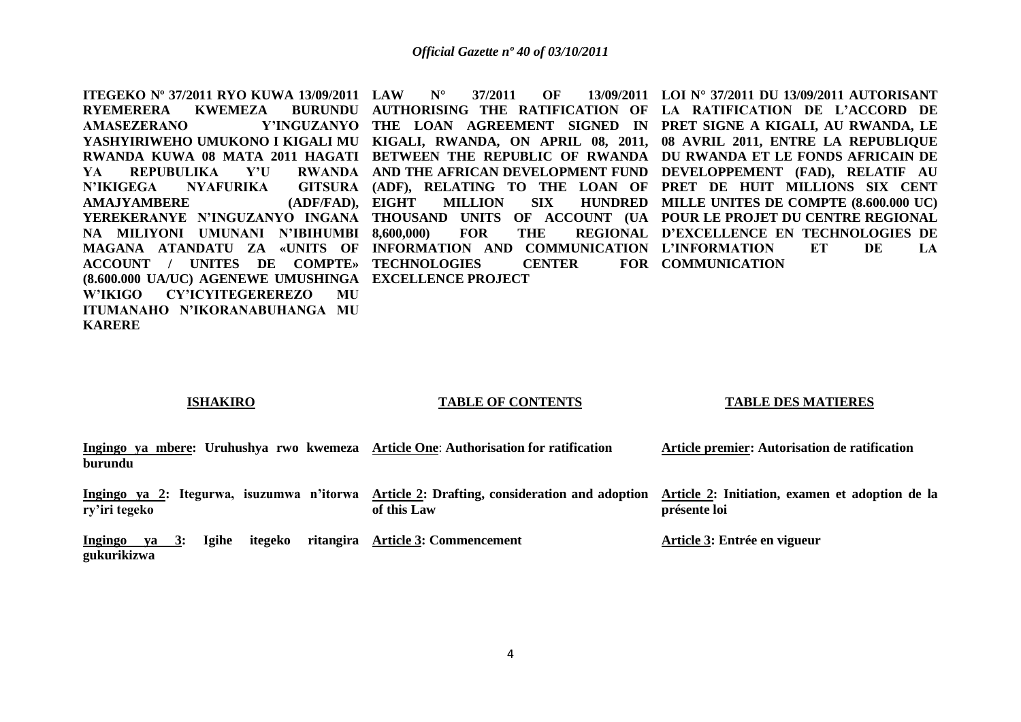**ITEGEKO Nº 37/2011 RYO KUWA 13/09/2011 RYEMERERA KWEMEZA AMASEZERANO YASHYIRIWEHO UMUKONO I KIGALI MU KIGALI, RWANDA, ON APRIL 08, 2011, 08 AVRIL 2011, ENTRE LA REPUBLIQUE RWANDA KUWA 08 MATA 2011 HAGATI BETWEEN THE REPUBLIC OF RWANDA DU RWANDA ET LE FONDS AFRICAIN DE YA REPUBULIKA Y'U N'IKIGEGA NYAFURIKA AMAJYAMBERE** (ADF/FAD), EIGHT **YEREKERANYE N'INGUZANYO INGANA THOUSAND UNITS OF ACCOUNT (UA POUR LE PROJET DU CENTRE REGIONAL NA MILIYONI UMUNANI N'IBIHUMBI MAGANA ATANDATU ZA «UNITS OF INFORMATION AND COMMUNICATION L'INFORMATION ET DE LA ACCOUNT / UNITES DE COMPTE» TECHNOLOGIES CENTER FOR (8.600.000 UA/UC) AGENEWE UMUSHINGA EXCELLENCE PROJECT W'IKIGO CY'ICYITEGEREREZO MU ITUMANAHO N'IKORANABUHANGA MU LAW N° 37/2011 OF 13/09/2011 LOI N° 37/2011 DU 13/09/2011 AUTORISANT**  AUTHORISING THE RATIFICATION OF LA RATIFICATION DE L'ACCORD DE **THE LOAN AGREEMENT SIGNED IN PRET SIGNE A KIGALI, AU RWANDA, LE AND THE AFRICAN DEVELOPMENT FUND DEVELOPPEMENT (FAD), RELATIF AU (ADF), RELATING TO THE LOAN OF PRET DE HUIT MILLIONS SIX CENT**  EIGHT MILLION SIX HUNDRED MILLE UNITES DE COMPTE (8.600.000 UC) **8,600,000) FOR THE REGIONAL D'EXCELLENCE EN TECHNOLOGIES DE**  FOR **COMMUNICATION** 

**ISHAKIRO**

**KARERE**

#### **TABLE OF CONTENTS**

#### **TABLE DES MATIERES**

| Ingingo ya mbere: Uruhushya rwo kwemeza Article One: Authorisation for ratification | Article premier: Autorisation de ratification |
|-------------------------------------------------------------------------------------|-----------------------------------------------|
| burundu                                                                             |                                               |

Ingingo ya 2: Itegurwa, isuzumwa n'itorwa Article 2: Drafting, consideration and adoption Article 2: Initiation, examen et adoption de la **ry'iri tegeko of this Law présente loi** 

**Ingingo ya 3: Igihe itegeko ritangira Article 3: Commencement gukurikizwa Article 3: Entrée en vigueur**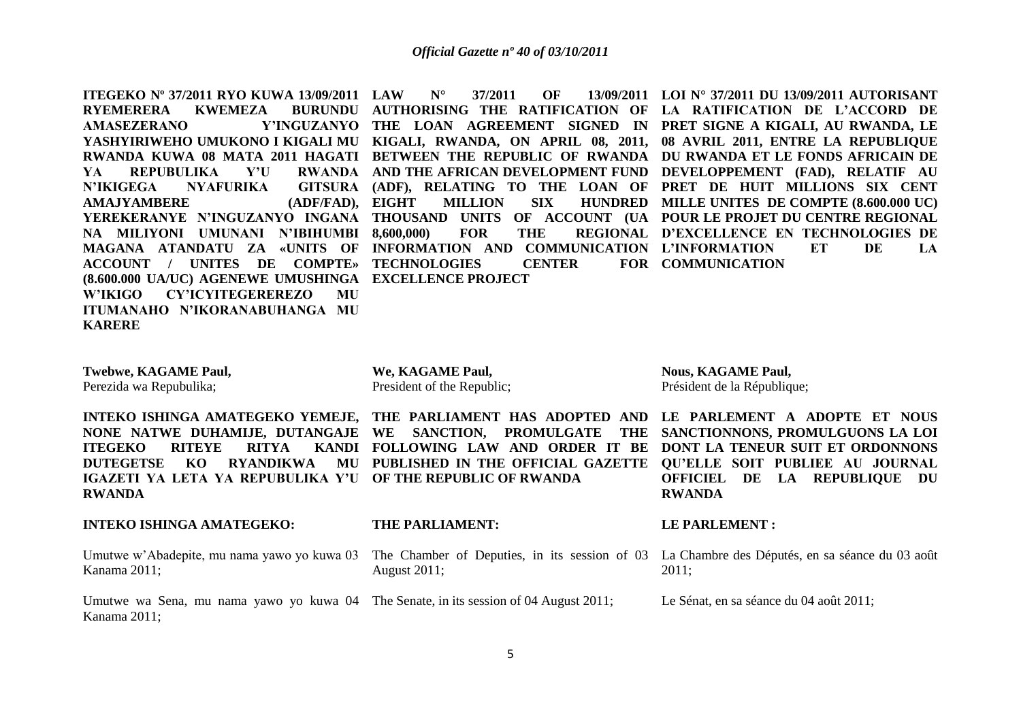**ITEGEKO Nº 37/2011 RYO KUWA 13/09/2011 RYEMERERA KWEMEZA AMASEZERANO YASHYIRIWEHO UMUKONO I KIGALI MU KIGALI, RWANDA, ON APRIL 08, 2011, 08 AVRIL 2011, ENTRE LA REPUBLIQUE RWANDA KUWA 08 MATA 2011 HAGATI BETWEEN THE REPUBLIC OF RWANDA DU RWANDA ET LE FONDS AFRICAIN DE YA REPUBULIKA Y'U N'IKIGEGA NYAFURIKA AMAJYAMBERE** (ADF/FAD), EIGHT **YEREKERANYE N'INGUZANYO INGANA THOUSAND UNITS OF ACCOUNT (UA POUR LE PROJET DU CENTRE REGIONAL NA MILIYONI UMUNANI N'IBIHUMBI MAGANA ATANDATU ZA «UNITS OF INFORMATION AND COMMUNICATION L'INFORMATION ET DE LA ACCOUNT / UNITES DE COMPTE» TECHNOLOGIES CENTER FOR (8.600.000 UA/UC) AGENEWE UMUSHINGA EXCELLENCE PROJECT W'IKIGO CY'ICYITEGEREREZO MU ITUMANAHO N'IKORANABUHANGA MU KARERE LAW N° 37/2011 OF 13/09/2011 LOI N° 37/2011 DU 13/09/2011 AUTORISANT**  AUTHORISING THE RATIFICATION OF LA RATIFICATION DE L'ACCORD DE **THE LOAN AGREEMENT SIGNED IN PRET SIGNE A KIGALI, AU RWANDA, LE AND THE AFRICAN DEVELOPMENT FUND DEVELOPPEMENT (FAD), RELATIF AU (ADF), RELATING TO THE LOAN OF PRET DE HUIT MILLIONS SIX CENT**  EIGHT MILLION SIX HUNDRED MILLE UNITES DE COMPTE (8.600.000 UC) **8,600,000) FOR THE REGIONAL D'EXCELLENCE EN TECHNOLOGIES DE**  FOR **COMMUNICATION** 

**Twebwe, KAGAME Paul,** Perezida wa Repubulika;

**NONE NATWE DUHAMIJE, DUTANGAJE WE SANCTION, PROMULGATE THE ITEGEKO RITEYE RITYA IGAZETI YA LETA YA REPUBULIKA Y'U OF THE REPUBLIC OF RWANDA RWANDA**

**We, KAGAME Paul,** President of the Republic;

**Nous, KAGAME Paul,** Président de la République;

**INTEKO ISHINGA AMATEGEKO YEMEJE, THE PARLIAMENT HAS ADOPTED AND LE PARLEMENT A ADOPTE ET NOUS DUTEGETSE KO RYANDIKWA MU PUBLISHED IN THE OFFICIAL GAZETTE QU'ELLE SOIT PUBLIEE AU JOURNAL FOLLOWING LAW AND ORDER IT BE DONT LA TENEUR SUIT ET ORDONNONS SANCTIONNONS, PROMULGUONS LA LOI OFFICIEL DE LA REPUBLIQUE DU RWANDA**

La Chambre des Députés, en sa séance du 03 août

#### **INTEKO ISHINGA AMATEGEKO:**

Umutwe w'Abadepite Kanama 2011;

**THE PARLIAMENT:**

**LE PARLEMENT :**

| e, mu nama yawo yo kuwa 03 The Chamber of Deputies, in its session of 03 La Ch |       |
|--------------------------------------------------------------------------------|-------|
| August 2011;                                                                   | 2011; |

Umutwe wa Sena, mu nama yawo yo kuwa 04 The Senate, in its session of 04 August 2011; Kanama 2011; Le Sénat, en sa séance du 04 août 2011;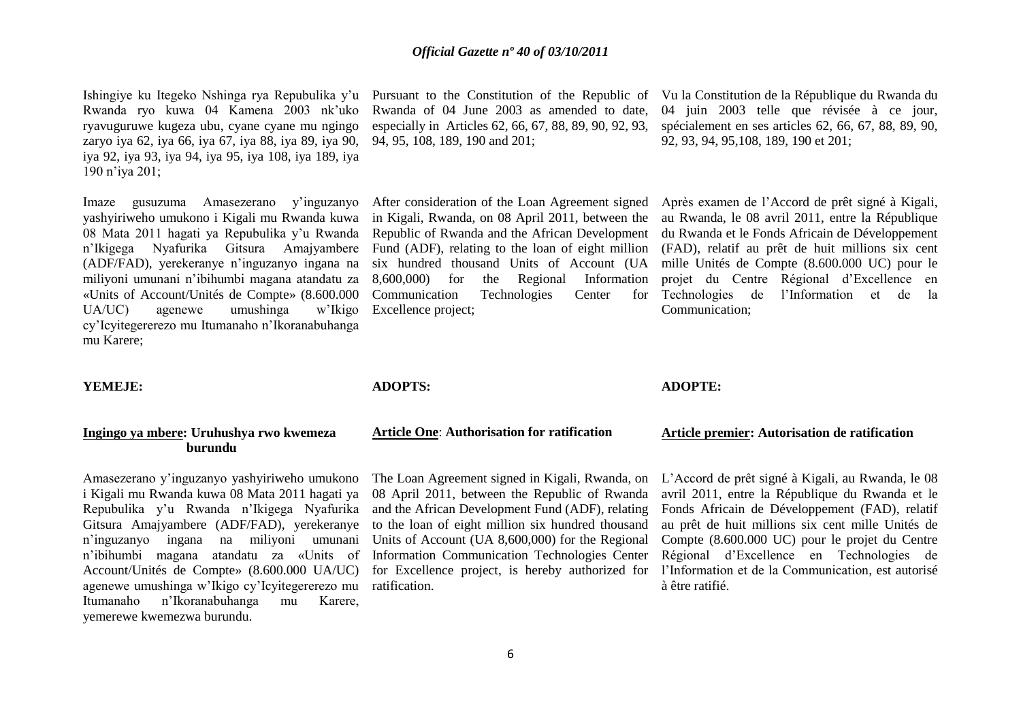6

### *Official Gazette nº 40 of 03/10/2011*

Rwanda of 04 June 2003 as amended to date, especially in Articles 62, 66, 67, 88, 89, 90, 92, 93,

After consideration of the Loan Agreement signed in Kigali, Rwanda, on 08 April 2011, between the Republic of Rwanda and the African Development

six hundred thousand Units of Account (UA 8,600,000) for the Regional Information

94, 95, 108, 189, 190 and 201;

Excellence project;

**ADOPTS:**

Ishingiye ku Itegeko Nshinga rya Repubulika y'u Rwanda ryo kuwa 04 Kamena 2003 nk'uko ryavuguruwe kugeza ubu, cyane cyane mu ngingo zaryo iya 62, iya 66, iya 67, iya 88, iya 89, iya 90, iya 92, iya 93, iya 94, iya 95, iya 108, iya 189, iya 190 n'iya 201;

Imaze gusuzuma Amasezerano y'inguzanyo yashyiriweho umukono i Kigali mu Rwanda kuwa 08 Mata 2011 hagati ya Repubulika y'u Rwanda n'Ikigega Nyafurika Gitsura Amajyambere (ADF/FAD), yerekeranye n'inguzanyo ingana na miliyoni umunani n'ibihumbi magana atandatu za «Units of Account/Unités de Compte» (8.600.000 UA/UC) agenewe umushinga w'Ikigo cy'Icyitegererezo mu Itumanaho n'Ikoranabuhanga mu Karere;

#### **YEMEJE:**

#### **Ingingo ya mbere: Uruhushya rwo kwemeza burundu**

Amasezerano y'inguzanyo yashyiriweho umukono i Kigali mu Rwanda kuwa 08 Mata 2011 hagati ya Repubulika y'u Rwanda n'Ikigega Nyafurika Gitsura Amajyambere (ADF/FAD), yerekeranye n'inguzanyo ingana na miliyoni umunani n'ibihumbi magana atandatu za «Units of Account/Unités de Compte» (8.600.000 UA/UC) agenewe umushinga w'Ikigo cy'Icyitegererezo mu ratification. Itumanaho n'Ikoranabuhanga mu Karere, yemerewe kwemezwa burundu.

# **Article One**: **Authorisation for ratification**

The Loan Agreement signed in Kigali, Rwanda, on 08 April 2011, between the Republic of Rwanda and the African Development Fund (ADF), relating to the loan of eight million six hundred thousand Units of Account (UA 8,600,000) for the Regional Information Communication Technologies Center for Excellence project, is hereby authorized for

#### Pursuant to the Constitution of the Republic of Vu la Constitution de la République du Rwanda du 04 juin 2003 telle que révisée à ce jour, spécialement en ses articles 62, 66, 67, 88, 89, 90, 92, 93, 94, 95,108, 189, 190 et 201;

Fund (ADF), relating to the loan of eight million (FAD), relatif au prêt de huit millions six cent Communication Technologies Center for Après examen de l'Accord de prêt signé à Kigali, au Rwanda, le 08 avril 2011, entre la République du Rwanda et le Fonds Africain de Développement mille Unités de Compte (8.600.000 UC) pour le projet du Centre Régional d'Excellence en Technologies de l'Information et de la Communication;

**Article premier: Autorisation de ratification** 

L'Accord de prêt signé à Kigali, au Rwanda, le 08 avril 2011, entre la République du Rwanda et le Fonds Africain de Développement (FAD), relatif au prêt de huit millions six cent mille Unités de Compte (8.600.000 UC) pour le projet du Centre Régional d'Excellence en Technologies de l'Information et de la Communication, est autorisé à être ratifié.

# **ADOPTE:**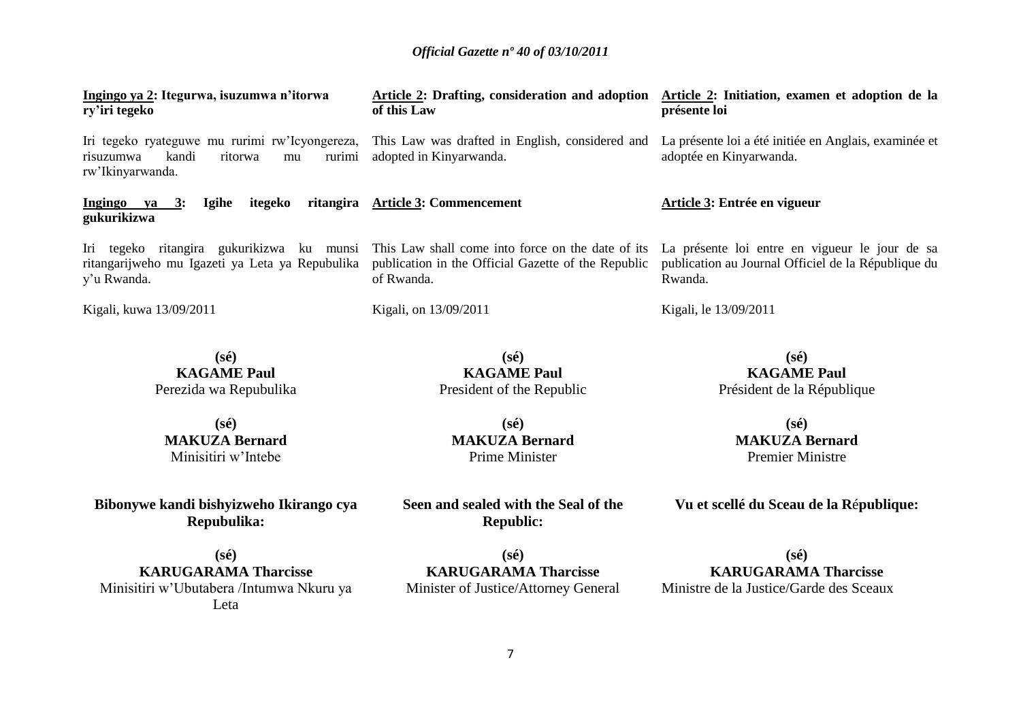| Ingingo ya 2: Itegurwa, isuzumwa n'itorwa<br>ry'iri tegeko                                                          | <b>Article 2: Drafting, consideration and adoption</b><br>of this Law                                                  | Article 2: Initiation, examen et adoption de la<br>présente loi                                                  |
|---------------------------------------------------------------------------------------------------------------------|------------------------------------------------------------------------------------------------------------------------|------------------------------------------------------------------------------------------------------------------|
| Iri tegeko ryateguwe mu rurimi rw'Icyongereza,<br>kandi<br>ritorwa<br>risuzumwa<br>rurimi<br>mu<br>rw'Ikinyarwanda. | This Law was drafted in English, considered and<br>adopted in Kinyarwanda.                                             | La présente loi a été initiée en Anglais, examinée et<br>adoptée en Kinyarwanda.                                 |
| itegeko<br>Ingingo ya 3:<br><b>Igihe</b><br>gukurikizwa                                                             | ritangira Article 3: Commencement                                                                                      | Article 3: Entrée en vigueur                                                                                     |
| Iri tegeko ritangira gukurikizwa ku munsi<br>ritangarijweho mu Igazeti ya Leta ya Repubulika<br>y'u Rwanda.         | This Law shall come into force on the date of its<br>publication in the Official Gazette of the Republic<br>of Rwanda. | La présente loi entre en vigueur le jour de sa<br>publication au Journal Officiel de la République du<br>Rwanda. |
| Kigali, kuwa 13/09/2011                                                                                             | Kigali, on 13/09/2011                                                                                                  | Kigali, le 13/09/2011                                                                                            |
| $(s\acute{e})$<br><b>KAGAME Paul</b><br>Perezida wa Repubulika                                                      | $(s\acute{e})$<br><b>KAGAME Paul</b><br>President of the Republic                                                      | $(s\acute{e})$<br><b>KAGAME Paul</b><br>Président de la République                                               |
| $(s\acute{e})$                                                                                                      | $(s\acute{e})$                                                                                                         | $(s\acute{e})$                                                                                                   |

**MAKUZA Bernard** Minisitiri w'Intebe

**Bibonywe kandi bishyizweho Ikirango cya Repubulika:**

**(sé) KARUGARAMA Tharcisse** Minisitiri w'Ubutabera /Intumwa Nkuru ya Leta

**(sé) MAKUZA Bernard** Prime Minister

**Seen and sealed with the Seal of the Republic:**

**(sé) MAKUZA Bernard** Premier Ministre

**Vu et scellé du Sceau de la R**é**publique:**

**(sé) KARUGARAMA Tharcisse** Minister of Justice/Attorney General

**(sé) KARUGARAMA Tharcisse** Ministre de la Justice/Garde des Sceaux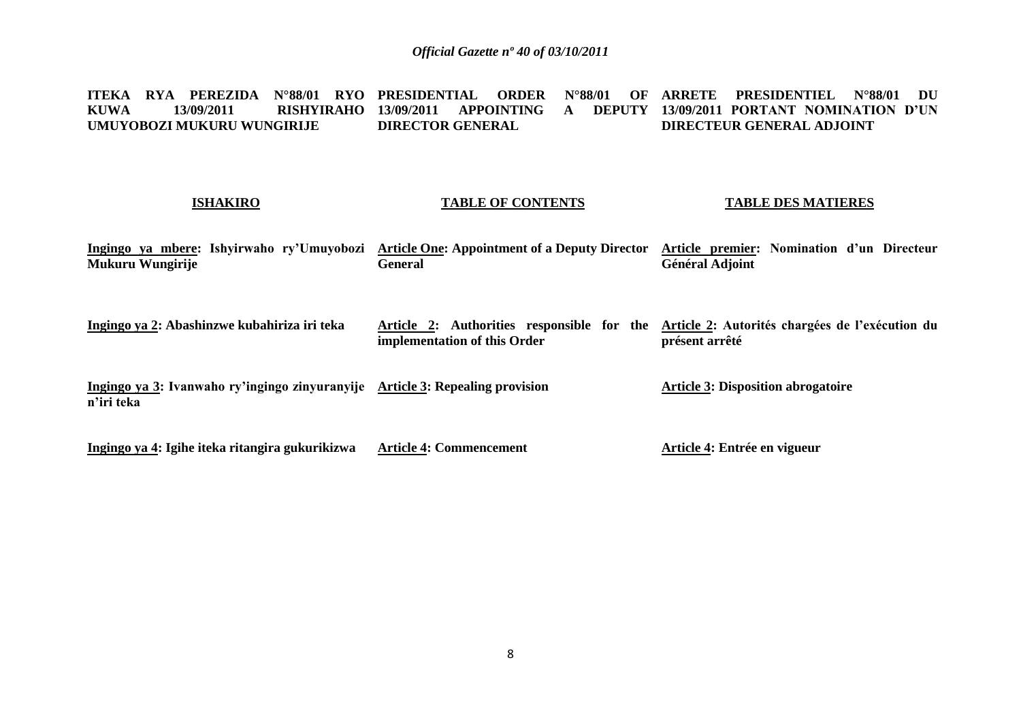**ITEKA RYA PEREZIDA N°88/01 RYO PRESIDENTIAL ORDER N°88/01 OF KUWA 13/09/2011 RISHYIRAHO 13/09/2011 APPOINTING A DEPUTY UMUYOBOZI MUKURU WUNGIRIJE DIRECTOR GENERAL ARRETE PRESIDENTIEL N°88/01 DU 13/09/2011 PORTANT NOMINATION D'UN DIRECTEUR GENERAL ADJOINT** 

#### **ISHAKIRO**

#### **TABLE OF CONTENTS**

#### **TABLE DES MATIERES**

**Ingingo ya mbere: Ishyirwaho ry'Umuyobozi Article One: Appointment of a Deputy Director Article premier: Nomination d'un Directeur Mukuru Wungirije General Général Adjoint**

**Ingingo ya 2: Abashinzwe kubahiriza iri teka Article 2: Authorities responsible for the Article 2: Autorités chargées de l'exécution du implementation of this Order présent arrêté**

**Ingingo ya 3: Ivanwaho ry'ingingo zinyuranyije Article 3: Repealing provision n'iri teka Article 3: Disposition abrogatoire**

**Ingingo ya 4: Igihe iteka ritangira gukurikizwa Article 4: Commencement Article 4: Entrée en vigueur**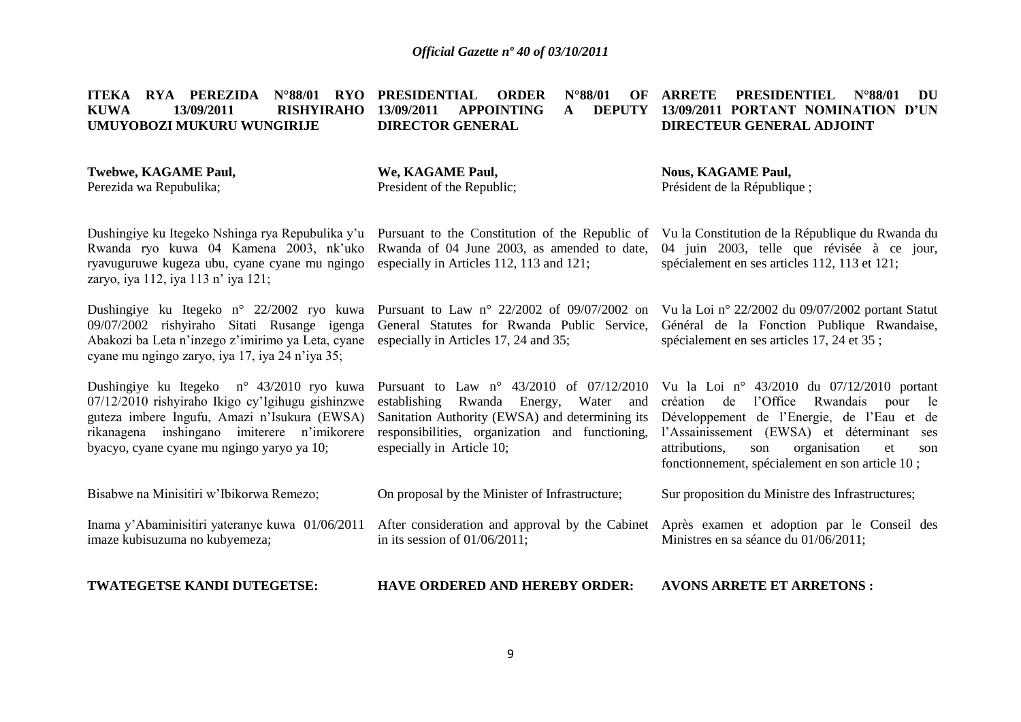#### **ITEKA RYA PEREZIDA N°88/01 RYO PRESIDENTIAL ORDER N°88/01 OF KUWA 13/09/2011 RISHYIRAHO UMUYOBOZI MUKURU WUNGIRIJE 13/09/2011 APPOINTING A DIRECTOR GENERAL ARRETE PRESIDENTIEL N°88/01 DU 13/09/2011 PORTANT NOMINATION D'UN DIRECTEUR GENERAL ADJOINT**

| Twebwe, KAGAME Paul,    | We, KAGAME Paul,           | <b>Nous, KAGAME Paul,</b>    |
|-------------------------|----------------------------|------------------------------|
| Perezida wa Repubulika; | President of the Republic: | Président de la République ; |

Dushingiye ku Itegeko Nshinga rya Repubulika y'u Pursuant to the Constitution of the Republic of Vu la Constitution de la République du Rwanda du Rwanda ryo kuwa 04 Kamena 2003, nk'uko Rwanda of 04 June 2003, as amended to date, 04 juin 2003, telle que révisée à ce jour, ryavuguruwe kugeza ubu, cyane cyane mu ngingo zaryo, iya 112, iya 113 n' iya 121;

Dushingiye ku Itegeko n° 22/2002 ryo kuwa Pursuant to Law n° 22/2002 of 09/07/2002 on 09/07/2002 rishyiraho Sitati Rusange igenga Abakozi ba Leta n'inzego z'imirimo ya Leta, cyane cyane mu ngingo zaryo, iya 17, iya 24 n'iya 35;

Dushingiye ku Itegeko n° 43/2010 ryo kuwa 07/12/2010 rishyiraho Ikigo cy'Igihugu gishinzwe guteza imbere Ingufu, Amazi n'Isukura (EWSA) rikanagena inshingano imiterere n'imikorere responsibilities, organization and functioning, l'Assainissement (EWSA) et déterminant ses byacyo, cyane cyane mu ngingo yaryo ya 10;

Bisabwe na Minisitiri w'Ibikorwa Remezo;

Inama y'Abaminisitiri yateranye kuwa 01/06/2011 imaze kubisuzuma no kubyemeza;

**TWATEGETSE KANDI DUTEGETSE:**

especially in Articles 112, 113 and 121;

General Statutes for Rwanda Public Service, especially in Articles 17, 24 and 35;

Vu la Loi n° 22/2002 du 09/07/2002 portant Statut Général de la Fonction Publique Rwandaise, spécialement en ses articles 17, 24 et 35 ;

spécialement en ses articles 112, 113 et 121;

Pursuant to Law n° 43/2010 of 07/12/2010 establishing Rwanda Energy, Water and Sanitation Authority (EWSA) and determining its especially in Article 10; Vu la Loi n° 43/2010 du 07/12/2010 portant création de l'Office Rwandais pour le Développement de l'Energie, de l'Eau et de attributions, son organisation et son

Sur proposition du Ministre des Infrastructures;

fonctionnement, spécialement en son article 10 ;

After consideration and approval by the Cabinet Après examen et adoption par le Conseil des Ministres en sa séance du 01/06/2011;

**HAVE ORDERED AND HEREBY ORDER: AVONS ARRETE ET ARRETONS :**

On proposal by the Minister of Infrastructure;

in its session of 01/06/2011;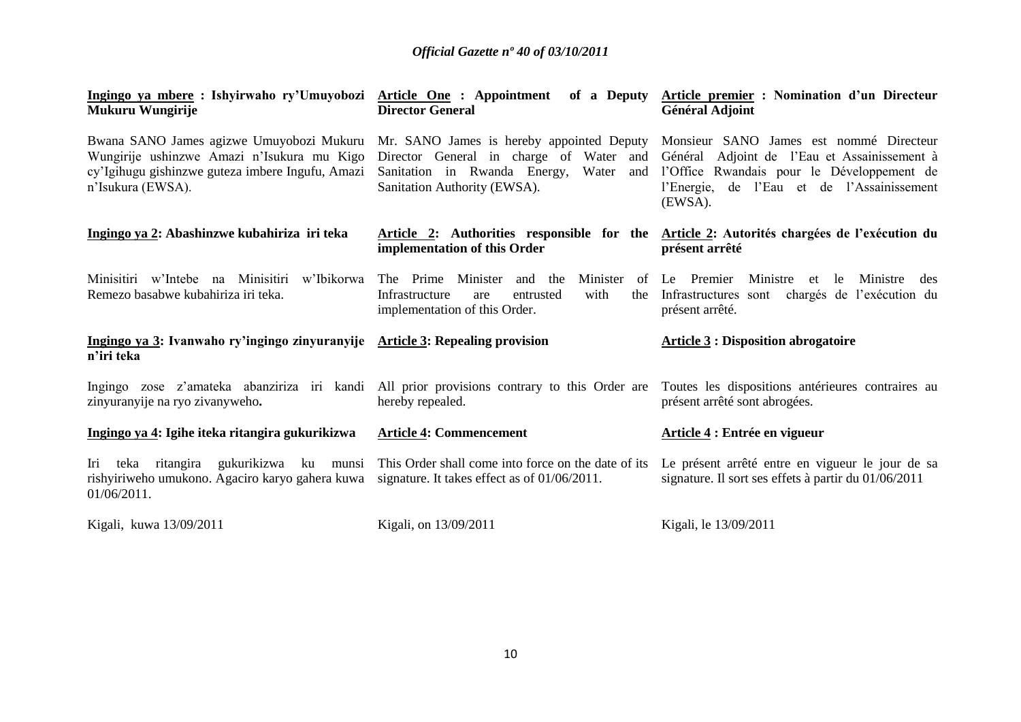| Mukuru Wungirije                                                                                                                                                                                          | <b>Director General</b>                                                                                                            | <u> Ingingo ya mbere</u> : Ishyirwaho ry'Umuyobozi Article One : Appointment of a Deputy Article premier : Nomination d'un Directeur<br><b>Général Adjoint</b>                                 |
|-----------------------------------------------------------------------------------------------------------------------------------------------------------------------------------------------------------|------------------------------------------------------------------------------------------------------------------------------------|------------------------------------------------------------------------------------------------------------------------------------------------------------------------------------------------|
| Bwana SANO James agizwe Umuyobozi Mukuru Mr. SANO James is hereby appointed Deputy<br>Wungirije ushinzwe Amazi n'Isukura mu Kigo<br>cy'Igihugu gishinzwe guteza imbere Ingufu, Amazi<br>n'Isukura (EWSA). | Director General in charge of Water and<br>Sanitation in Rwanda Energy,<br>Water and<br>Sanitation Authority (EWSA).               | Monsieur SANO James est nommé Directeur<br>Général Adjoint de l'Eau et Assainissement à<br>l'Office Rwandais pour le Développement de<br>l'Energie, de l'Eau et de l'Assainissement<br>(EWSA). |
| Ingingo ya 2: Abashinzwe kubahiriza iri teka                                                                                                                                                              | implementation of this Order                                                                                                       | Article 2: Authorities responsible for the Article 2: Autorités chargées de l'exécution du<br>présent arrêté                                                                                   |
| Minisitiri w'Intebe na Minisitiri<br>w'Ibikorwa<br>Remezo basabwe kubahiriza iri teka.                                                                                                                    | Minister<br>The Prime<br>Minister<br>and the<br>with<br>Infrastructure<br>entrusted<br>the<br>are<br>implementation of this Order. | Ministre<br>of Le Premier<br>le.<br>Ministre<br>et<br>des<br>Infrastructures sont chargés de l'exécution du<br>présent arrêté.                                                                 |
| Ingingo ya 3: Ivanwaho ry'ingingo zinyuranyije<br>n'iri teka                                                                                                                                              | <b>Article 3: Repealing provision</b>                                                                                              | <b>Article 3 : Disposition abrogatoire</b>                                                                                                                                                     |
| Ingingo zose z'amateka abanziriza iri kandi All prior provisions contrary to this Order are Toutes les dispositions antérieures contraires au<br>zinyuranyije na ryo zivanyweho.                          | hereby repealed.                                                                                                                   | présent arrêté sont abrogées.                                                                                                                                                                  |
| Ingingo ya 4: Igihe iteka ritangira gukurikizwa                                                                                                                                                           | <b>Article 4: Commencement</b>                                                                                                     | <b>Article 4: Entrée en vigueur</b>                                                                                                                                                            |
| teka ritangira gukurikizwa ku munsi<br>Iri<br>rishyiriweho umukono. Agaciro karyo gahera kuwa<br>01/06/2011.                                                                                              | This Order shall come into force on the date of its<br>signature. It takes effect as of 01/06/2011.                                | Le présent arrêté entre en vigueur le jour de sa<br>signature. Il sort ses effets à partir du 01/06/2011                                                                                       |
| Kigali, kuwa 13/09/2011                                                                                                                                                                                   | Kigali, on 13/09/2011                                                                                                              | Kigali, le 13/09/2011                                                                                                                                                                          |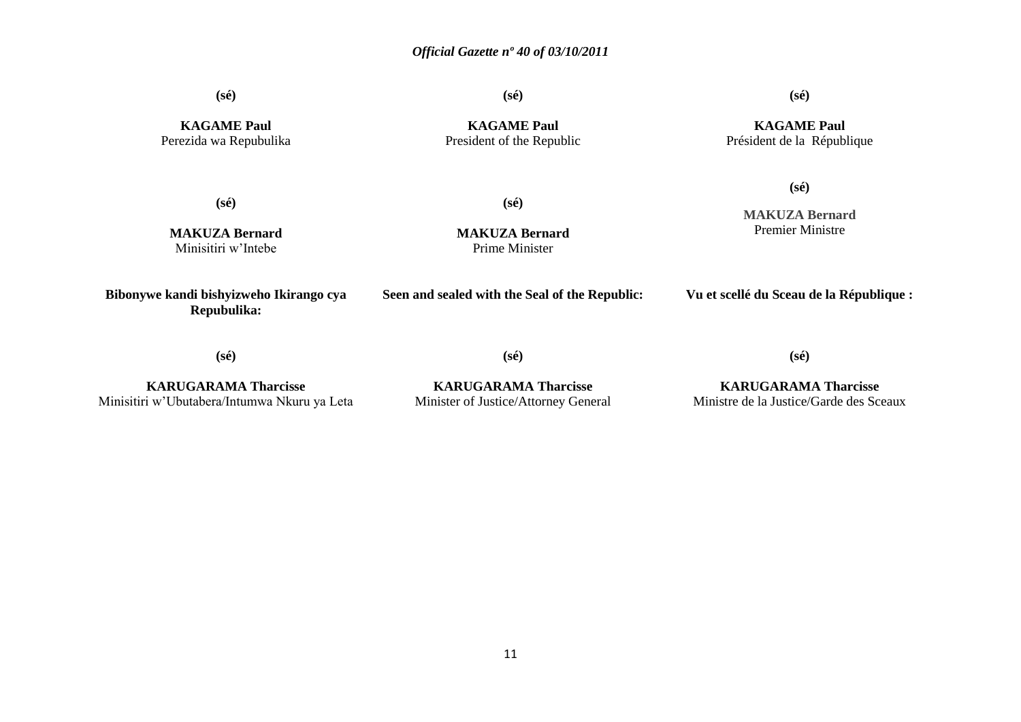**(sé)**

**KAGAME Paul** Perezida wa Repubulika

**KAGAME Paul** President of the Republic

**(sé)**

**(sé)**

**KAGAME Paul** Président de la République

**(sé)**

**(sé)**

**MAKUZA Bernard** Minisitiri w'Intebe

**MAKUZA Bernard** Prime Minister

**MAKUZA Bernard** Premier Ministre

**(sé)**

**Bibonywe kandi bishyizweho Ikirango cya Repubulika:**

**Seen and sealed with the Seal of the Republic:**

**Vu et scellé du Sceau de la République :**

**(sé)**

**(sé)**

**(sé)**

**KARUGARAMA Tharcisse** Minisitiri w'Ubutabera/Intumwa Nkuru ya Leta

**KARUGARAMA Tharcisse** Minister of Justice/Attorney General

**KARUGARAMA Tharcisse** Ministre de la Justice/Garde des Sceaux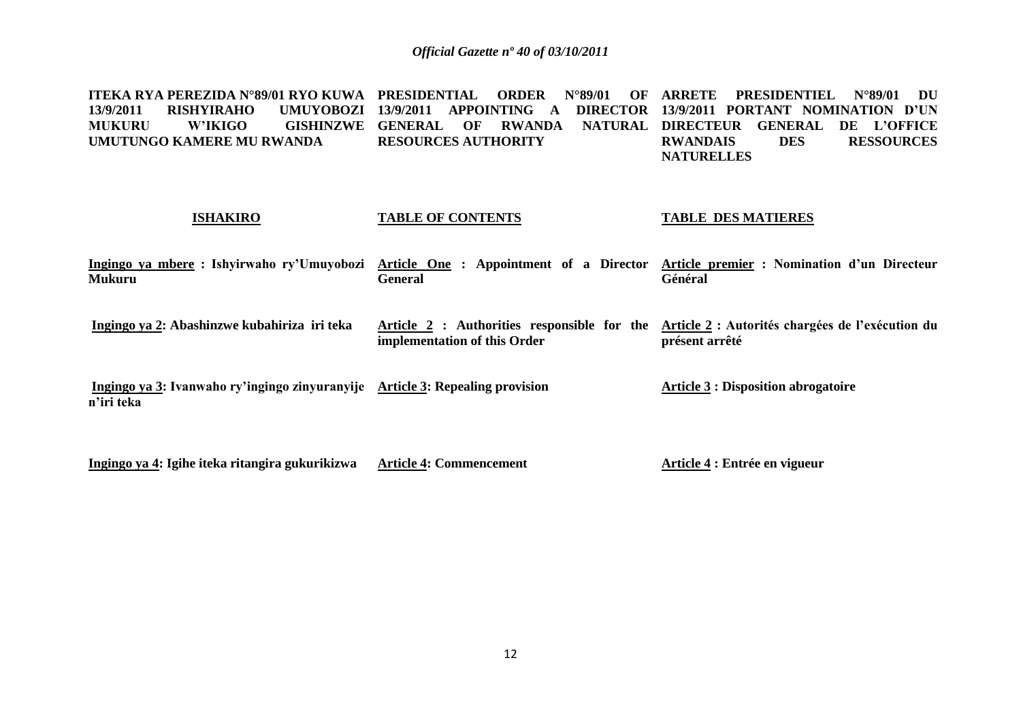**ITEKA RYA PEREZIDA N°89/01 RYO KUWA PRESIDENTIAL ORDER N°89/01 OF ARRETE PRESIDENTIEL N°89/01 DU 13/9/2011 RISHYIRAHO<br>MUKURU W'IKIGO MUKURU W'IKIGO GISHINZWE GENERAL OF RWANDA NATURAL DIRECTEUR GENERAL DE L'OFFICE UMUTUNGO KAMERE MU RWANDA 13/9/2011 APPOINTING A DIRECTOR 13/9/2011 PORTANT NOMINATION D'UN RESOURCES AUTHORITY RWANDAIS DES RESSOURCES NATURELLES** 

| <b>ISHAKIRO</b>                                                                             | <b>TABLE OF CONTENTS</b>                                                    | <b>TABLE DES MATIERES</b>                                          |
|---------------------------------------------------------------------------------------------|-----------------------------------------------------------------------------|--------------------------------------------------------------------|
| Ingingo ya mbere: Ishyirwaho ry'Umuyobozi<br><b>Mukuru</b>                                  | Article One: Appointment of a Director<br><b>General</b>                    | Article premier : Nomination d'un Directeur<br>Général             |
| Ingingo ya 2: Abashinzwe kubahiriza iri teka                                                | Article 2 : Authorities responsible for the<br>implementation of this Order | Article 2 : Autorités chargées de l'exécution du<br>présent arrêté |
| Ingingo ya 3: Ivanwaho ry'ingingo zinyuranyije Article 3: Repealing provision<br>n'iri teka |                                                                             | <b>Article 3 : Disposition abrogatoire</b>                         |
| Ingingo ya 4: Igihe iteka ritangira gukurikizwa                                             | <b>Article 4: Commencement</b>                                              | Article 4 : Entrée en vigueur                                      |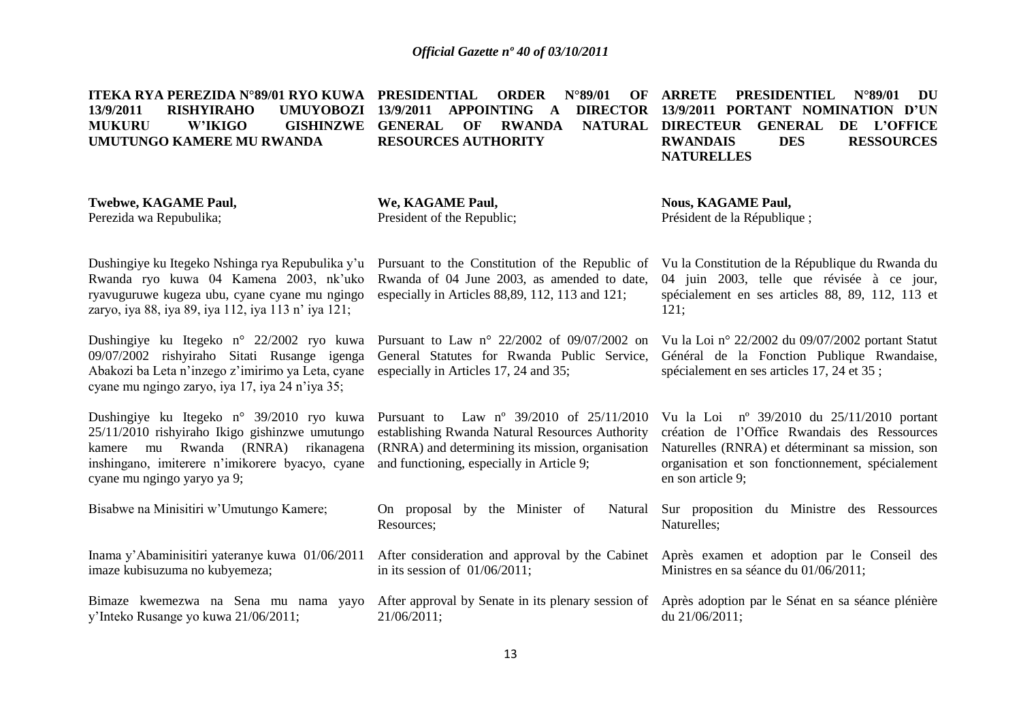**ITEKA RYA PEREZIDA N°89/01 RYO KUWA 13/9/2011 RISHYIRAHO MUKURU W'IKIGO GISHINZWE GENERAL OF RWANDA NATURAL UMUTUNGO KAMERE MU RWANDA PRESIDENTIAL ORDER N°89/01 OF ARRETE PRESIDENTIEL N°89/01 DU 13/9/2011 APPOINTING A DIRECTOR 13/9/2011 PORTANT NOMINATION D'UN RESOURCES AUTHORITY NATURAL DIRECTEUR GENERAL DE L'OFFICE RWANDAIS DES RESSOURCES NATURELLES** 

**Twebwe, KAGAME Paul,** Perezida wa Repubulika; Dushingiye ku Itegeko Nshinga rya Repubulika y'u Pursuant to the Constitution of the Republic of Rwanda ryo kuwa 04 Kamena 2003, nk'uko ryavuguruwe kugeza ubu, cyane cyane mu ngingo zaryo, iya 88, iya 89, iya 112, iya 113 n' iya 121; Dushingiye ku Itegeko n° 22/2002 ryo kuwa Pursuant to Law n° 22/2002 of 09/07/2002 on Vu la Loi n° 22/2002 du 09/07/2002 portant Statut 09/07/2002 rishyiraho Sitati Rusange igenga Abakozi ba Leta n'inzego z'imirimo ya Leta, cyane especially in Articles 17, 24 and 35; cyane mu ngingo zaryo, iya 17, iya 24 n'iya 35; Dushingiye ku Itegeko n° 39/2010 ryo kuwa Pursuant to Law nº 39/2010 of 25/11/2010 25/11/2010 rishyiraho Ikigo gishinzwe umutungo kamere mu Rwanda (RNRA) rikanagena (RNRA) and determining its mission, organisation inshingano, imiterere n'imikorere byacyo, cyane and functioning, especially in Article 9; cyane mu ngingo yaryo ya 9; Bisabwe na Minisitiri w'Umutungo Kamere; Inama y'Abaminisitiri yateranye kuwa 01/06/2011 imaze kubisuzuma no kubyemeza; Bimaze kwemezwa na Sena mu nama yayo y'Inteko Rusange yo kuwa 21/06/2011; **We, KAGAME Paul,** President of the Republic; Rwanda of 04 June 2003, as amended to date, especially in Articles 88,89, 112, 113 and 121; General Statutes for Rwanda Public Service, Général de la Fonction Publique Rwandaise, establishing Rwanda Natural Resources Authority On proposal by the Minister of Resources; After consideration and approval by the Cabinet Après examen et adoption par le Conseil des in its session of 01/06/2011; After approval by Senate in its plenary session of Après adoption par le Sénat en sa séance plénière 21/06/2011; **Nous, KAGAME Paul,** Président de la République ; Vu la Constitution de la République du Rwanda du 04 juin 2003, telle que révisée à ce jour, spécialement en ses articles 88, 89, 112, 113 et 121; spécialement en ses articles 17, 24 et 35 ; Vu la Loi nº 39/2010 du 25/11/2010 portant création de l'Office Rwandais des Ressources Naturelles (RNRA) et déterminant sa mission, son organisation et son fonctionnement, spécialement en son article 9; Natural Sur proposition du Ministre des Ressources Naturelles; Ministres en sa séance du 01/06/2011; du 21/06/2011;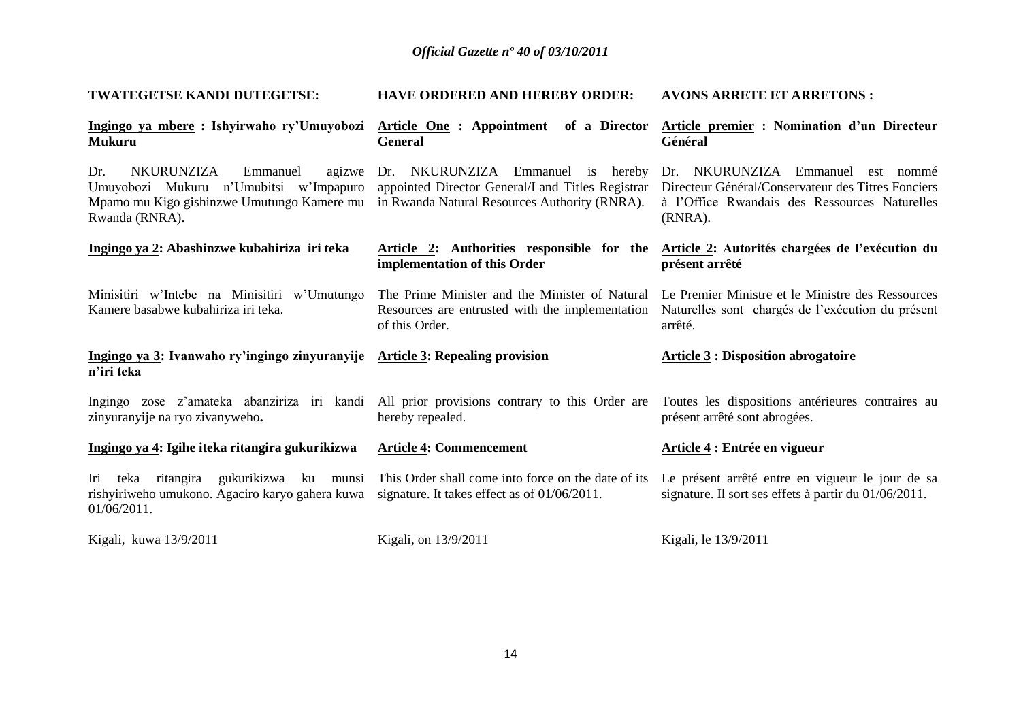| TWATEGETSE KANDI DUTEGETSE:                                                                                                                                                                  | <b>HAVE ORDERED AND HEREBY ORDER:</b>                                                                               | <b>AVONS ARRETE ET ARRETONS:</b>                                                                                                                    |
|----------------------------------------------------------------------------------------------------------------------------------------------------------------------------------------------|---------------------------------------------------------------------------------------------------------------------|-----------------------------------------------------------------------------------------------------------------------------------------------------|
| Ingingo ya mbere : Ishyirwaho ry'Umuyobozi Article One : Appointment of a Director<br><b>Mukuru</b>                                                                                          | <b>General</b>                                                                                                      | Article premier : Nomination d'un Directeur<br>Général                                                                                              |
| Dr.<br><b>NKURUNZIZA</b><br>Emmanuel<br>Umuyobozi Mukuru n'Umubitsi w'Impapuro<br>Mpamo mu Kigo gishinzwe Umutungo Kamere mu in Rwanda Natural Resources Authority (RNRA).<br>Rwanda (RNRA). | agizwe Dr. NKURUNZIZA Emmanuel is hereby<br>appointed Director General/Land Titles Registrar                        | Dr. NKURUNZIZA Emmanuel est nommé<br>Directeur Général/Conservateur des Titres Fonciers<br>à l'Office Rwandais des Ressources Naturelles<br>(RNRA). |
| Ingingo ya 2: Abashinzwe kubahiriza iri teka                                                                                                                                                 | implementation of this Order                                                                                        | Article 2: Authorities responsible for the Article 2: Autorités chargées de l'exécution du<br>présent arrêté                                        |
| Minisitiri w'Intebe na Minisitiri w'Umutungo<br>Kamere basabwe kubahiriza iri teka.                                                                                                          | The Prime Minister and the Minister of Natural<br>Resources are entrusted with the implementation<br>of this Order. | Le Premier Ministre et le Ministre des Ressources<br>Naturelles sont chargés de l'exécution du présent<br>arrêté.                                   |
| Ingingo ya 3: Ivanwaho ry'ingingo zinyuranyije Article 3: Repealing provision<br>n'iri teka                                                                                                  |                                                                                                                     | <b>Article 3 : Disposition abrogatoire</b>                                                                                                          |
| Ingingo zose z'amateka abanziriza iri kandi All prior provisions contrary to this Order are<br>zinyuranyije na ryo zivanyweho.                                                               | hereby repealed.                                                                                                    | Toutes les dispositions antérieures contraires au<br>présent arrêté sont abrogées.                                                                  |
| Ingingo ya 4: Igihe iteka ritangira gukurikizwa                                                                                                                                              | <b>Article 4: Commencement</b>                                                                                      | Article 4 : Entrée en vigueur                                                                                                                       |
| Iri teka ritangira gukurikizwa ku munsi This Order shall come into force on the date of its<br>rishyiriweho umukono. Agaciro karyo gahera kuwa<br>$01/06/2011$ .                             | signature. It takes effect as of $01/06/2011$ .                                                                     | Le présent arrêté entre en vigueur le jour de sa<br>signature. Il sort ses effets à partir du 01/06/2011.                                           |
| Kigali, kuwa 13/9/2011                                                                                                                                                                       | Kigali, on 13/9/2011                                                                                                | Kigali, le 13/9/2011                                                                                                                                |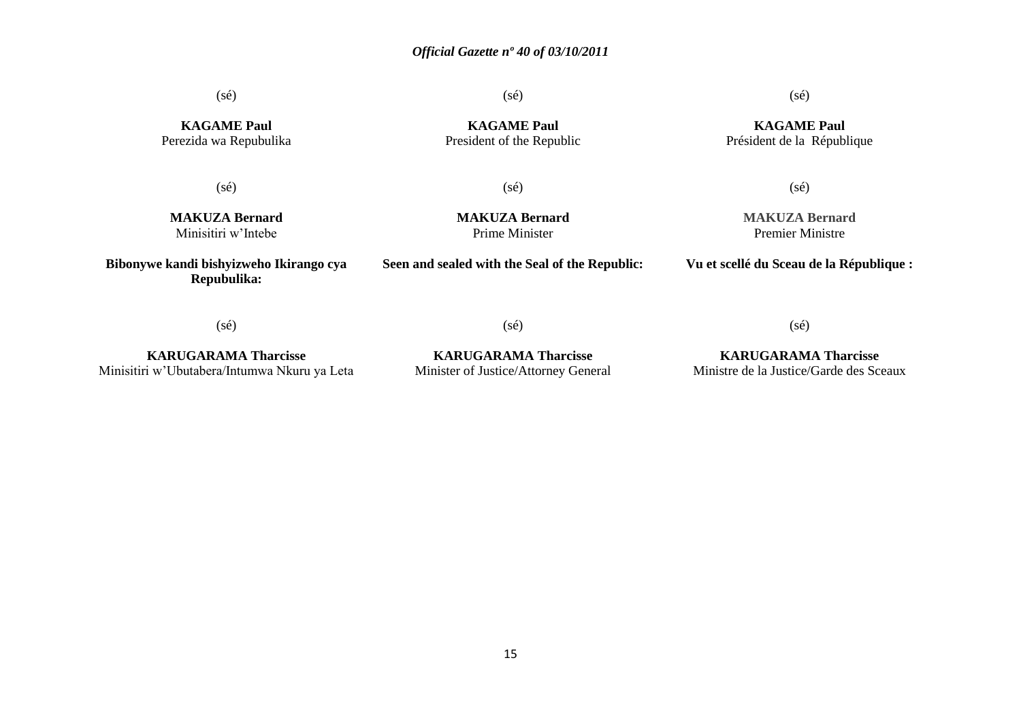(sé)

(sé)

**KAGAME Paul** President of the Republic  $(s\acute{e})$ 

**KAGAME Paul** Président de la République

**KAGAME Paul** Perezida wa Repubulika

(sé)

(sé)

**MAKUZA Bernard** Minisitiri w'Intebe

**Bibonywe kandi bishyizweho Ikirango cya Repubulika:**

**MAKUZA Bernard** Prime Minister

**Seen and sealed with the Seal of the Republic:**

**MAKUZA Bernard** Premier Ministre

(sé)

**Vu et scellé du Sceau de la République :**

(sé)

**KARUGARAMA Tharcisse** Minisitiri w'Ubutabera/Intumwa Nkuru ya Leta

**KARUGARAMA Tharcisse** Minister of Justice/Attorney General

(sé)

**KARUGARAMA Tharcisse** Ministre de la Justice/Garde des Sceaux

(sé)

15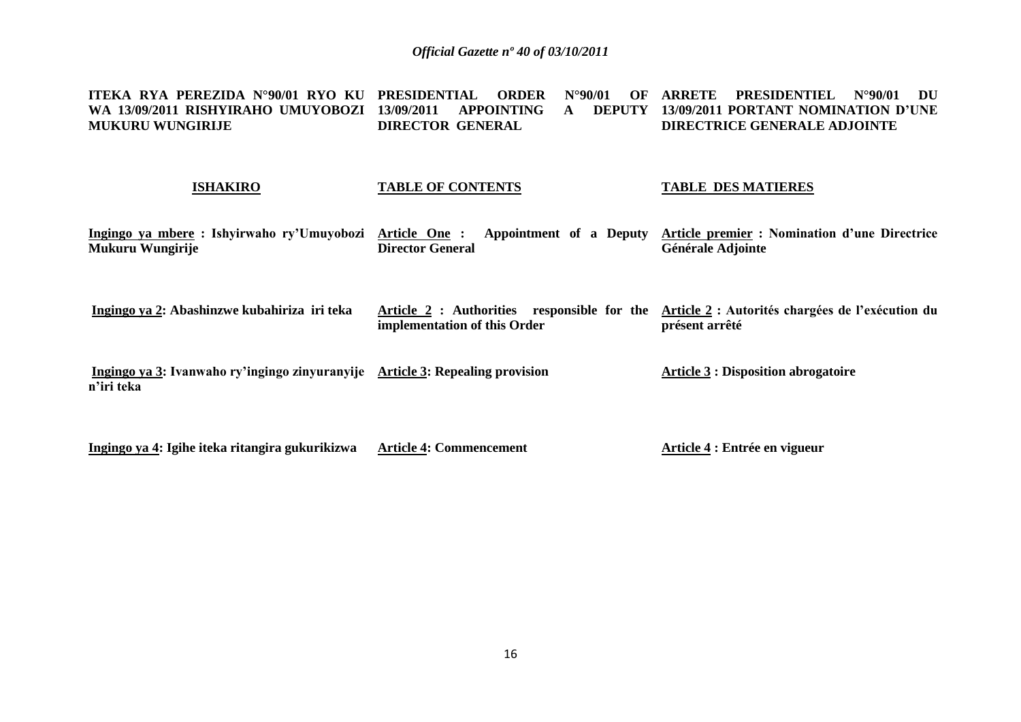| ITEKA RYA PEREZIDA N°90/01 RYO KU PRESIDENTIAL<br>WA 13/09/2011 RISHYIRAHO UMUYOBOZI<br><b>MUKURU WUNGIRIJE</b> | <b>ORDER</b><br>$N^{\circ}90/01$<br>OF<br><b>APPOINTING</b><br>13/09/2011<br><b>DEPUTY</b><br>$\mathbf{A}$<br><b>DIRECTOR GENERAL</b> | <b>PRESIDENTIEL</b><br><b>ARRETE</b><br>$N^{\circ}90/01$<br>DU<br>13/09/2011 PORTANT NOMINATION D'UNE<br><b>DIRECTRICE GENERALE ADJOINTE</b> |
|-----------------------------------------------------------------------------------------------------------------|---------------------------------------------------------------------------------------------------------------------------------------|----------------------------------------------------------------------------------------------------------------------------------------------|
| <b>ISHAKIRO</b>                                                                                                 | <b>TABLE OF CONTENTS</b>                                                                                                              | <b>TABLE DES MATIERES</b>                                                                                                                    |
| Ingingo ya mbere: Ishyirwaho ry'Umuyobozi<br>Mukuru Wungirije                                                   | Article One:<br>Appointment of a Deputy<br><b>Director General</b>                                                                    | Article premier : Nomination d'une Directrice<br>Générale Adjointe                                                                           |
| Ingingo ya 2: Abashinzwe kubahiriza iri teka                                                                    | Article 2 : Authorities responsible for the<br>implementation of this Order                                                           | Article 2 : Autorités chargées de l'exécution du<br>présent arrêté                                                                           |
| Ingingo ya 3: Ivanwaho ry'ingingo zinyuranyije Article 3: Repealing provision<br>n'iri teka                     |                                                                                                                                       | <b>Article 3 : Disposition abrogatoire</b>                                                                                                   |

**Ingingo ya 4: Igihe iteka ritangira gukurikizwa Article 4: Commencement Article 4 : Entrée en vigueur**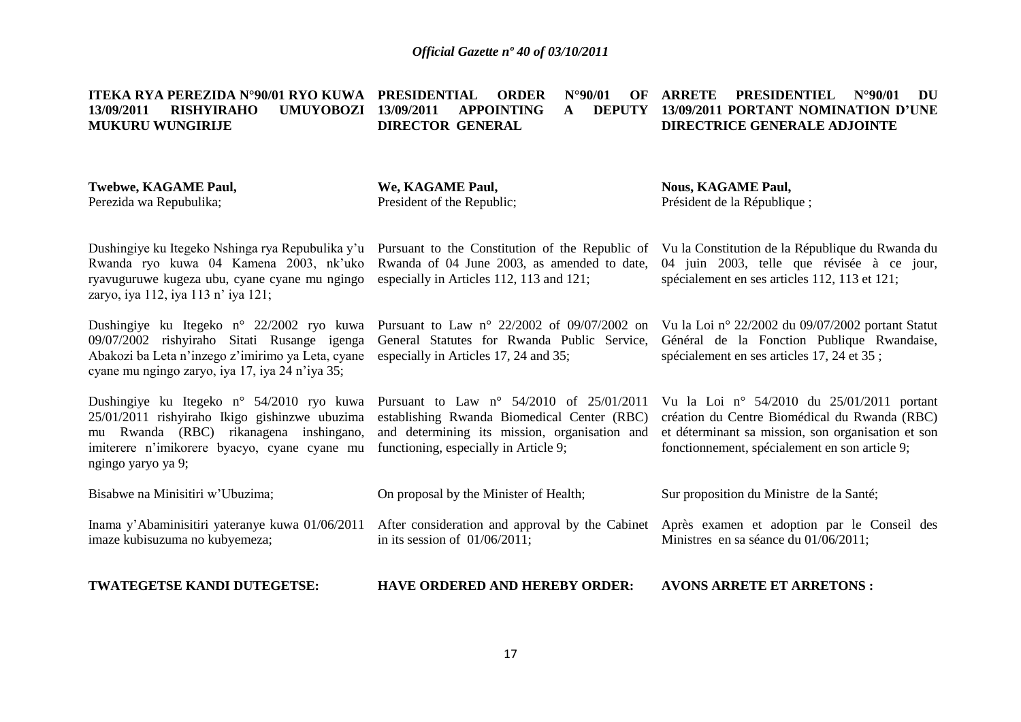|                         |  |                  |  |  | ITEKA RYA PEREZIDA N°90/01 RYO KUWA PRESIDENTIAL ORDER N°90/01 OF ARRETE PRESIDENTIEL N°90/01 DU |  |
|-------------------------|--|------------------|--|--|--------------------------------------------------------------------------------------------------|--|
| 13/09/2011              |  |                  |  |  | RISHYIRAHO UMUYOBOZI 13/09/2011 APPOINTING A DEPUTY 13/09/2011-PORTANT-NOMINATION-D'UNE          |  |
| <b>MUKURU WUNGIRLIE</b> |  | DIRECTOR GENERAL |  |  | DIRECTRICE GENERALE ADJOINTE                                                                     |  |

| Twebwe, KAGAME Paul,<br>Perezida wa Repubulika;                                                                                                                                                               | We, KAGAME Paul,<br>President of the Republic;                                                                                                                                             | <b>Nous, KAGAME Paul,</b><br>Président de la République;                                                                                                                                              |
|---------------------------------------------------------------------------------------------------------------------------------------------------------------------------------------------------------------|--------------------------------------------------------------------------------------------------------------------------------------------------------------------------------------------|-------------------------------------------------------------------------------------------------------------------------------------------------------------------------------------------------------|
| Dushingiye ku Itegeko Nshinga rya Repubulika y'u<br>Rwanda ryo kuwa 04 Kamena 2003, nk'uko<br>ryavuguruwe kugeza ubu, cyane cyane mu ngingo<br>zaryo, iya 112, iya 113 n' iya 121;                            | Pursuant to the Constitution of the Republic of<br>Rwanda of 04 June 2003, as amended to date,<br>especially in Articles 112, 113 and 121;                                                 | Vu la Constitution de la République du Rwanda du<br>04 juin 2003, telle que révisée à ce jour,<br>spécialement en ses articles 112, 113 et 121;                                                       |
| Dushingiye ku Itegeko n° 22/2002 ryo kuwa<br>09/07/2002 rishyiraho Sitati Rusange igenga<br>Abakozi ba Leta n'inzego z'imirimo ya Leta, cyane<br>cyane mu ngingo zaryo, iya 17, iya 24 n'iya 35;              | Pursuant to Law $n^{\circ}$ 22/2002 of 09/07/2002 on<br>General Statutes for Rwanda Public Service,<br>especially in Articles 17, 24 and 35;                                               | Vu la Loi nº 22/2002 du 09/07/2002 portant Statut<br>Général de la Fonction Publique Rwandaise,<br>spécialement en ses articles 17, 24 et 35;                                                         |
| Dushingiye ku Itegeko n° 54/2010 ryo kuwa<br>25/01/2011 rishyiraho Ikigo gishinzwe ubuzima<br>Rwanda (RBC) rikanagena inshingano,<br>mu<br>imiterere n'imikorere byacyo, cyane cyane mu<br>ngingo yaryo ya 9; | Pursuant to Law $n^{\circ}$ 54/2010 of 25/01/2011<br>establishing Rwanda Biomedical Center (RBC)<br>and determining its mission, organisation and<br>functioning, especially in Article 9; | Vu la Loi nº 54/2010 du $25/01/2011$ portant<br>création du Centre Biomédical du Rwanda (RBC)<br>et déterminant sa mission, son organisation et son<br>fonctionnement, spécialement en son article 9; |
| Bisabwe na Minisitiri w'Ubuzima;                                                                                                                                                                              | On proposal by the Minister of Health;                                                                                                                                                     | Sur proposition du Ministre de la Santé;                                                                                                                                                              |
| Inama y'Abaminisitiri yateranye kuwa 01/06/2011<br>imaze kubisuzuma no kubyemeza;                                                                                                                             | After consideration and approval by the Cabinet<br>in its session of $01/06/2011$ ;                                                                                                        | Après examen et adoption par le Conseil des<br>Ministres en sa séance du 01/06/2011;                                                                                                                  |
| TWATEGETSE KANDI DUTEGETSE:                                                                                                                                                                                   | <b>HAVE ORDERED AND HEREBY ORDER:</b>                                                                                                                                                      | <b>AVONS ARRETE ET ARRETONS:</b>                                                                                                                                                                      |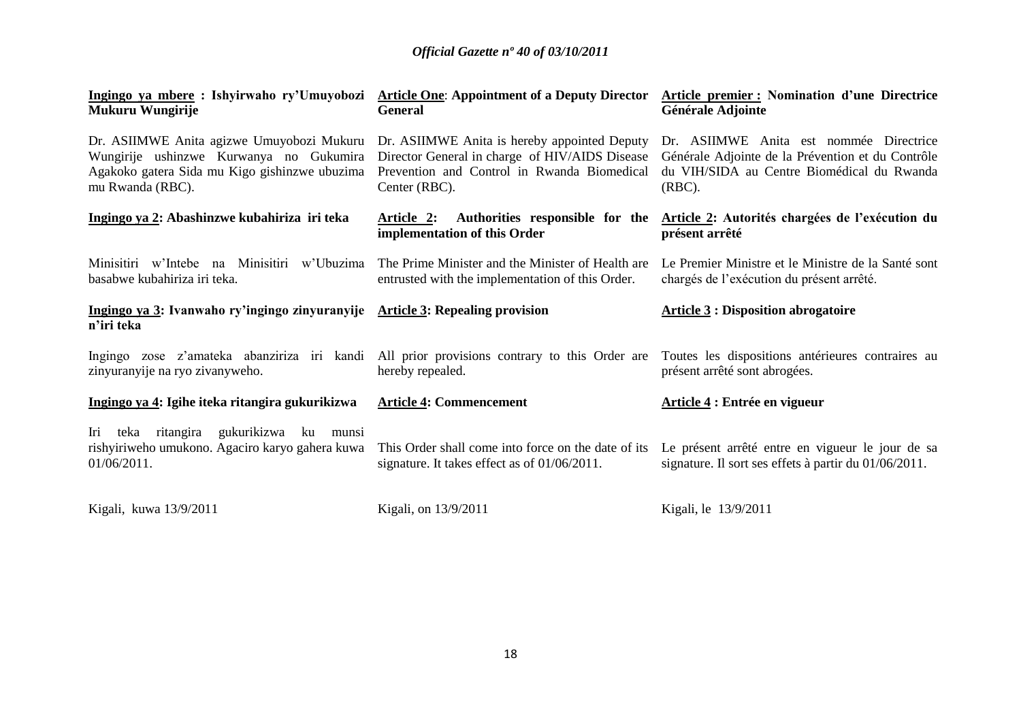| Ingingo ya mbere: Ishyirwaho ry'Umuyobozi Article One: Appointment of a Deputy Director<br>Mukuru Wungirije                                                                                            | <b>General</b>                                                                                                 | <b>Article premier: Nomination d'une Directrice</b><br>Générale Adjointe                                                                                |
|--------------------------------------------------------------------------------------------------------------------------------------------------------------------------------------------------------|----------------------------------------------------------------------------------------------------------------|---------------------------------------------------------------------------------------------------------------------------------------------------------|
| Dr. ASIIMWE Anita agizwe Umuyobozi Mukuru Dr. ASIIMWE Anita is hereby appointed Deputy<br>Wungirije ushinzwe Kurwanya no Gukumira<br>Agakoko gatera Sida mu Kigo gishinzwe ubuzima<br>mu Rwanda (RBC). | Director General in charge of HIV/AIDS Disease<br>Prevention and Control in Rwanda Biomedical<br>Center (RBC). | Dr. ASIIMWE Anita est nommée Directrice<br>Générale Adjointe de la Prévention et du Contrôle<br>du VIH/SIDA au Centre Biomédical du Rwanda<br>$(RBC)$ . |
| Ingingo ya 2: Abashinzwe kubahiriza iri teka                                                                                                                                                           | Authorities responsible for the<br>Article 2:<br>implementation of this Order                                  | Article 2: Autorités chargées de l'exécution du<br>présent arrêté                                                                                       |
| Minisitiri w'Intebe na Minisitiri w'Ubuzima<br>basabwe kubahiriza iri teka.                                                                                                                            | The Prime Minister and the Minister of Health are<br>entrusted with the implementation of this Order.          | Le Premier Ministre et le Ministre de la Santé sont<br>chargés de l'exécution du présent arrêté.                                                        |
| Ingingo ya 3: Ivanwaho ry'ingingo zinyuranyije Article 3: Repealing provision<br>n'iri teka                                                                                                            |                                                                                                                | <b>Article 3: Disposition abrogatoire</b>                                                                                                               |
|                                                                                                                                                                                                        |                                                                                                                |                                                                                                                                                         |
| Ingingo zose z'amateka abanziriza iri kandi All prior provisions contrary to this Order are<br>zinyuranyije na ryo zivanyweho.                                                                         | hereby repealed.                                                                                               | Toutes les dispositions antérieures contraires au<br>présent arrêté sont abrogées.                                                                      |
| Ingingo ya 4: Igihe iteka ritangira gukurikizwa                                                                                                                                                        | <b>Article 4: Commencement</b>                                                                                 | Article 4 : Entrée en vigueur                                                                                                                           |
| Iri teka ritangira<br>gukurikizwa<br>ku munsi<br>rishyiriweho umukono. Agaciro karyo gahera kuwa<br>01/06/2011.                                                                                        | This Order shall come into force on the date of its<br>signature. It takes effect as of 01/06/2011.            | Le présent arrêté entre en vigueur le jour de sa<br>signature. Il sort ses effets à partir du 01/06/2011.                                               |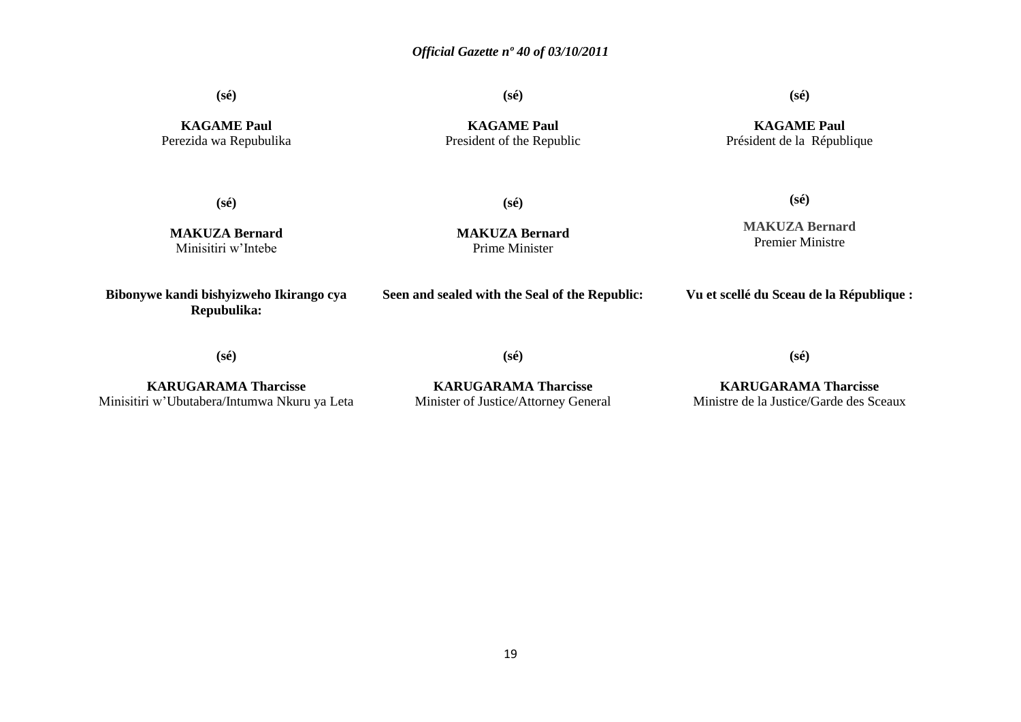**(sé)**

**(sé)**

**(sé)**

**KAGAME Paul** Perezida wa Repubulika

**KAGAME Paul** President of the Republic

#### **KAGAME Paul** Président de la République

**(sé)**

**(sé)**

**MAKUZA Bernard** Minisitiri w'Intebe

**MAKUZA Bernard** Prime Minister

**MAKUZA Bernard** Premier Ministre

**(sé)**

**Bibonywe kandi bishyizweho Ikirango cya Repubulika:**

**Seen and sealed with the Seal of the Republic:**

**Vu et scellé du Sceau de la République :**

**(sé)**

**(sé)**

**(sé)**

**KARUGARAMA Tharcisse** Minisitiri w'Ubutabera/Intumwa Nkuru ya Leta

**KARUGARAMA Tharcisse** Minister of Justice/Attorney General

**KARUGARAMA Tharcisse** Ministre de la Justice/Garde des Sceaux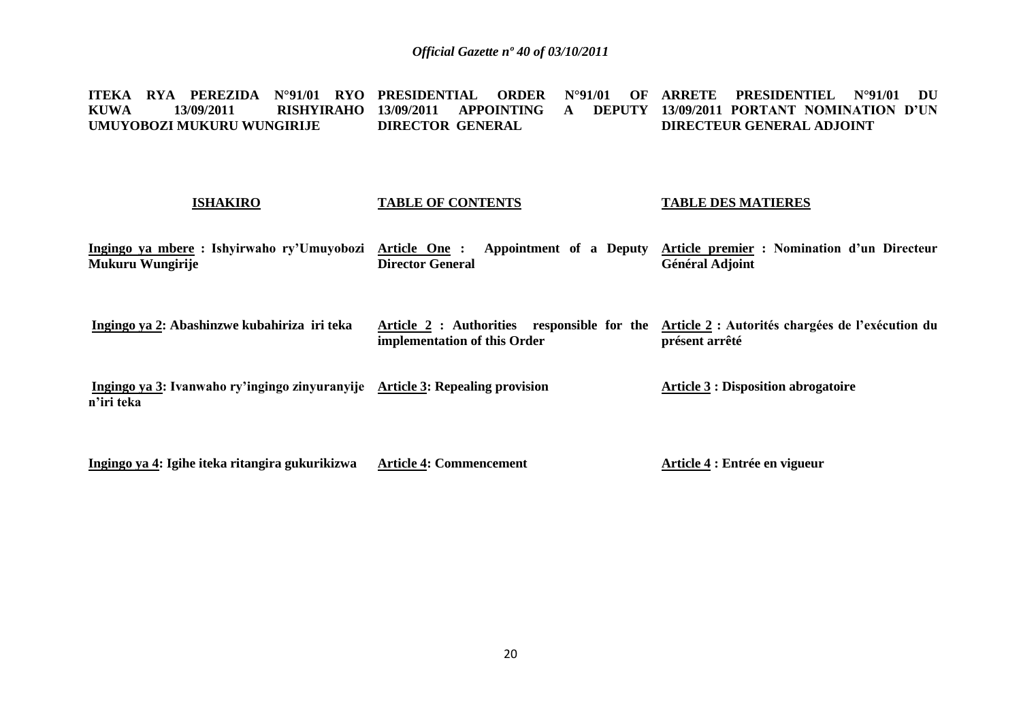**ITEKA RYA PEREZIDA N°91/01 RYO KUWA 13/09/2011 RISHYIRAHO 13/09/2011 APPOINTING A DEPUTY UMUYOBOZI MUKURU WUNGIRIJE PRESIDENTIAL ORDER N°91/01 OF ARRETE PRESIDENTIEL N°91/01 DU DIRECTOR GENERAL 13/09/2011 PORTANT NOMINATION D'UN DIRECTEUR GENERAL ADJOINT** 

#### **ISHAKIRO TABLE OF CONTENTS TABLE DES MATIERES**

**Ingingo ya mbere : Ishyirwaho ry'Umuyobozi Mukuru Wungirije Article One : Appointment of a Deputy Article premier : Nomination d'un Directeur Director General Général Adjoint**

**Ingingo ya 2: Abashinzwe kubahiriza iri teka Article 2 : Authorities responsible for the Article 2 : Autorités chargées de l'exécution du implementation of this Order présent arrêté**

**Ingingo ya 3: Ivanwaho ry'ingingo zinyuranyije Article 3: Repealing provision n'iri teka Article 3 : Disposition abrogatoire**

**Ingingo ya 4: Igihe iteka ritangira gukurikizwa Article 4: Commencement Article 4 : Entrée en vigueur**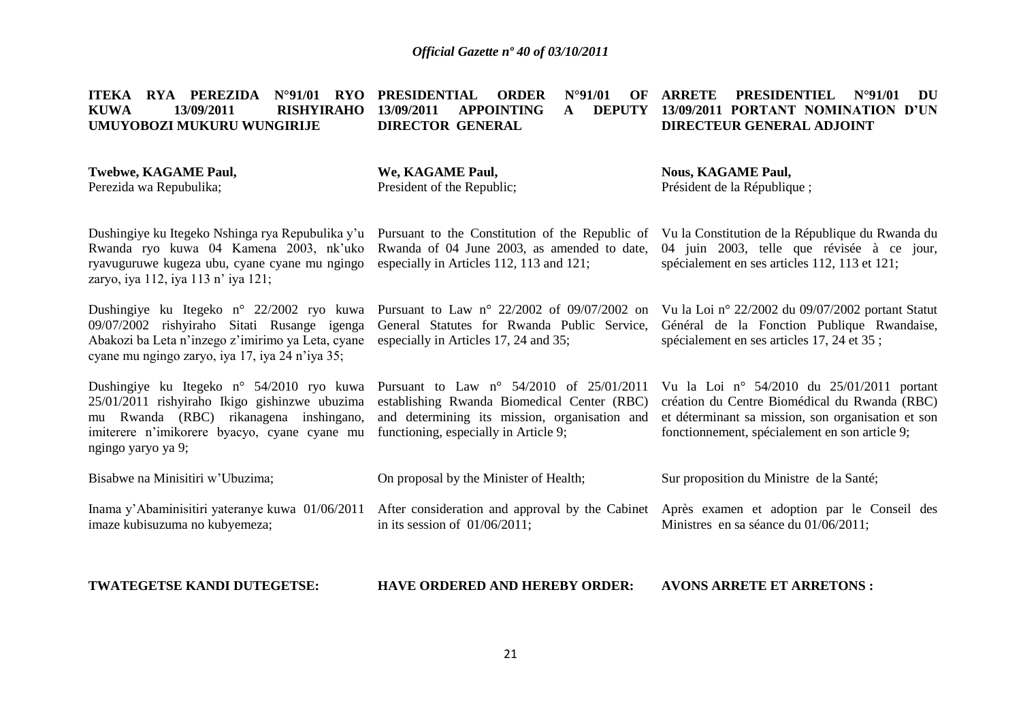#### **ITEKA RYA PEREZIDA N°91/01 RYO PRESIDENTIAL ORDER N°91/01 OF KUWA 13/09/2011 RISHYIRAHO 13/09/2011 APPOINTING A DEPUTY UMUYOBOZI MUKURU WUNGIRIJE DIRECTOR GENERAL ARRETE PRESIDENTIEL N°91/01 DU 13/09/2011 PORTANT NOMINATION D'UN DIRECTEUR GENERAL ADJOINT**

| <b>Twebwe, KAGAME Paul,</b> | We, KAGAME Paul,           | <b>Nous, KAGAME Paul,</b>   |
|-----------------------------|----------------------------|-----------------------------|
| Perezida wa Repubulika;     | President of the Republic: | Président de la République; |

Dushingiye ku Itegeko Nshinga rya Repubulika y'u Pursuant to the Constitution of the Republic of Rwanda ryo kuwa 04 Kamena 2003, nk'uko Rwanda of 04 June 2003, as amended to date, ryavuguruwe kugeza ubu, cyane cyane mu ngingo zaryo, iya 112, iya 113 n' iya 121; Dushingiye ku Itegeko n° 22/2002 ryo kuwa Pursuant to Law n° 22/2002 of 09/07/2002 on 09/07/2002 rishyiraho Sitati Rusange igenga Abakozi ba Leta n'inzego z'imirimo ya Leta, cyane cyane mu ngingo zaryo, iya 17, iya 24 n'iya 35; Dushingiye ku Itegeko n° 54/2010 ryo kuwa Pursuant to Law n° 54/2010 of 25/01/2011 25/01/2011 rishyiraho Ikigo gishinzwe ubuzima mu Rwanda (RBC) rikanagena inshingano, imiterere n'imikorere byacyo, cyane cyane mu functioning, especially in Article 9; ngingo yaryo ya 9; Bisabwe na Minisitiri w'Ubuzima; Inama y'Abaminisitiri yateranye kuwa 01/06/2011 After consideration and approval by the Cabinet Après examen et adoption par le Conseil des imaze kubisuzuma no kubyemeza; especially in Articles 112, 113 and 121; General Statutes for Rwanda Public Service, especially in Articles 17, 24 and 35; establishing Rwanda Biomedical Center (RBC) and determining its mission, organisation and On proposal by the Minister of Health; in its session of 01/06/2011; Vu la Constitution de la République du Rwanda du 04 juin 2003, telle que révisée à ce jour, spécialement en ses articles 112, 113 et 121; Vu la Loi n° 22/2002 du 09/07/2002 portant Statut Général de la Fonction Publique Rwandaise, spécialement en ses articles 17, 24 et 35 ; Vu la Loi n° 54/2010 du 25/01/2011 portant création du Centre Biomédical du Rwanda (RBC) et déterminant sa mission, son organisation et son fonctionnement, spécialement en son article 9; Sur proposition du Ministre de la Santé; Ministres en sa séance du 01/06/2011:

**TWATEGETSE KANDI DUTEGETSE: HAVE ORDERED AND HEREBY ORDER: AVONS ARRETE ET ARRETONS :**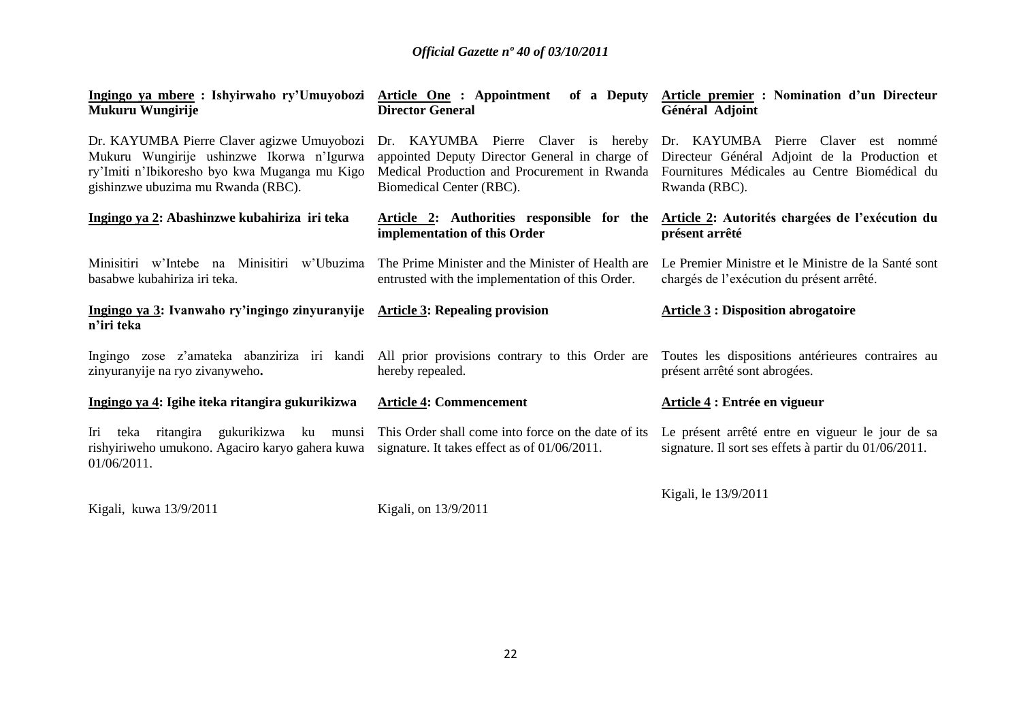| Mukuru Wungirije                                                                                                                                                               | <b>Director General</b>                                                                                | Ingingo ya mbere : Ishyirwaho ry'Umuyobozi Article One : Appointment of a Deputy Article premier : Nomination d'un Directeur<br>Général Adjoint                                                                                                                                        |
|--------------------------------------------------------------------------------------------------------------------------------------------------------------------------------|--------------------------------------------------------------------------------------------------------|----------------------------------------------------------------------------------------------------------------------------------------------------------------------------------------------------------------------------------------------------------------------------------------|
| Dr. KAYUMBA Pierre Claver agizwe Umuyobozi<br>Mukuru Wungirije ushinzwe Ikorwa n'Igurwa<br>ry'Imiti n'Ibikoresho byo kwa Muganga mu Kigo<br>gishinzwe ubuzima mu Rwanda (RBC). | Biomedical Center (RBC).                                                                               | Dr. KAYUMBA Pierre Claver is hereby Dr. KAYUMBA Pierre Claver est nommé<br>appointed Deputy Director General in charge of Directeur Général Adjoint de la Production et<br>Medical Production and Procurement in Rwanda Fournitures Médicales au Centre Biomédical du<br>Rwanda (RBC). |
| Ingingo ya 2: Abashinzwe kubahiriza iri teka                                                                                                                                   | implementation of this Order                                                                           | Article 2: Authorities responsible for the Article 2: Autorités chargées de l'exécution du<br>présent arrêté                                                                                                                                                                           |
| Minisitiri w'Intebe na Minisitiri w'Ubuzima<br>basabwe kubahiriza iri teka.                                                                                                    | The Prime Minister and the Minister of Health are<br>entrusted with the implementation of this Order.  | Le Premier Ministre et le Ministre de la Santé sont<br>chargés de l'exécution du présent arrêté.                                                                                                                                                                                       |
| Ingingo ya 3: Ivanwaho ry'ingingo zinyuranyije                                                                                                                                 | <b>Article 3: Repealing provision</b>                                                                  | <b>Article 3: Disposition abrogatoire</b>                                                                                                                                                                                                                                              |
| n'iri teka                                                                                                                                                                     |                                                                                                        |                                                                                                                                                                                                                                                                                        |
| Ingingo zose z'amateka abanziriza iri kandi All prior provisions contrary to this Order are<br>zinyuranyije na ryo zivanyweho.                                                 | hereby repealed.                                                                                       | Toutes les dispositions antérieures contraires au<br>présent arrêté sont abrogées.                                                                                                                                                                                                     |
| Ingingo ya 4: Igihe iteka ritangira gukurikizwa                                                                                                                                | <b>Article 4: Commencement</b>                                                                         | Article 4 : Entrée en vigueur                                                                                                                                                                                                                                                          |
| ritangira<br>gukurikizwa ku munsi<br>Iri teka<br>rishyiriweho umukono. Agaciro karyo gahera kuwa<br>$01/06/2011$ .                                                             | This Order shall come into force on the date of its<br>signature. It takes effect as of $01/06/2011$ . | Le présent arrêté entre en vigueur le jour de sa<br>signature. Il sort ses effets à partir du 01/06/2011.                                                                                                                                                                              |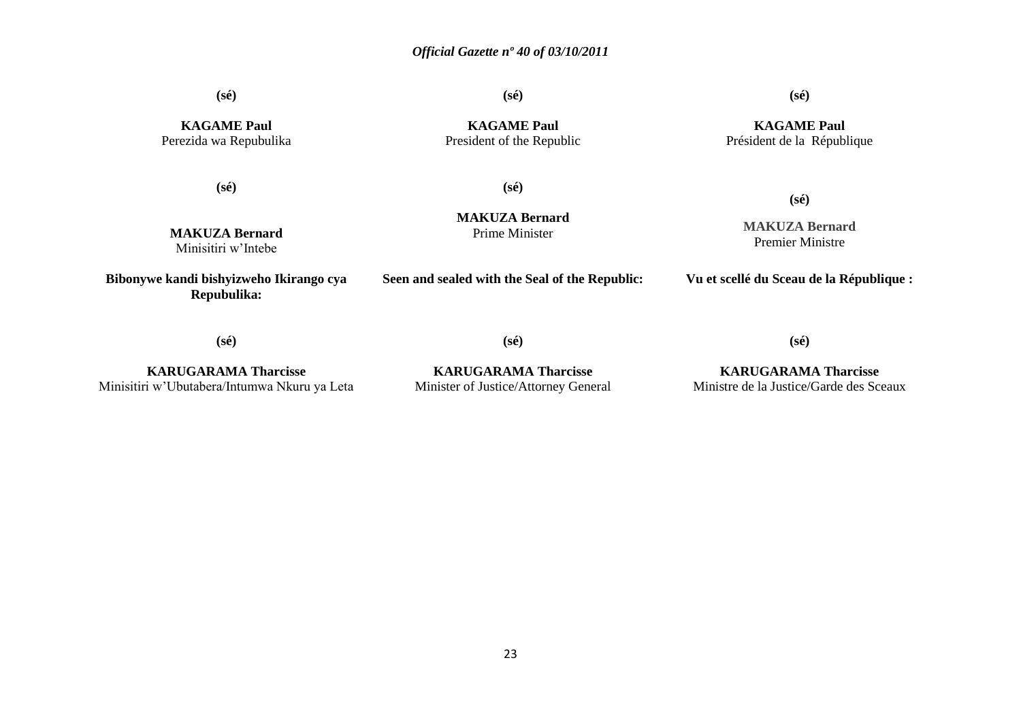**(sé)**

**(sé)**

**(sé)**

**KAGAME Paul** Perezida wa Repubulika

**(sé)**

**MAKUZA Bernard** Minisitiri w'Intebe

**KAGAME Paul** President of the Republic

#### **KAGAME Paul** Président de la République

**(sé)**

**MAKUZA Bernard** Prime Minister

**MAKUZA Bernard** Premier Ministre

**(sé)**

**Bibonywe kandi bishyizweho Ikirango cya Repubulika:**

**Seen and sealed with the Seal of the Republic:**

**Vu et scellé du Sceau de la République :**

**(sé)**

**(sé)**

**KARUGARAMA Tharcisse** Minisitiri w'Ubutabera/Intumwa Nkuru ya Leta

**KARUGARAMA Tharcisse** Minister of Justice/Attorney General

**KARUGARAMA Tharcisse** Ministre de la Justice/Garde des Sceaux

**(sé)**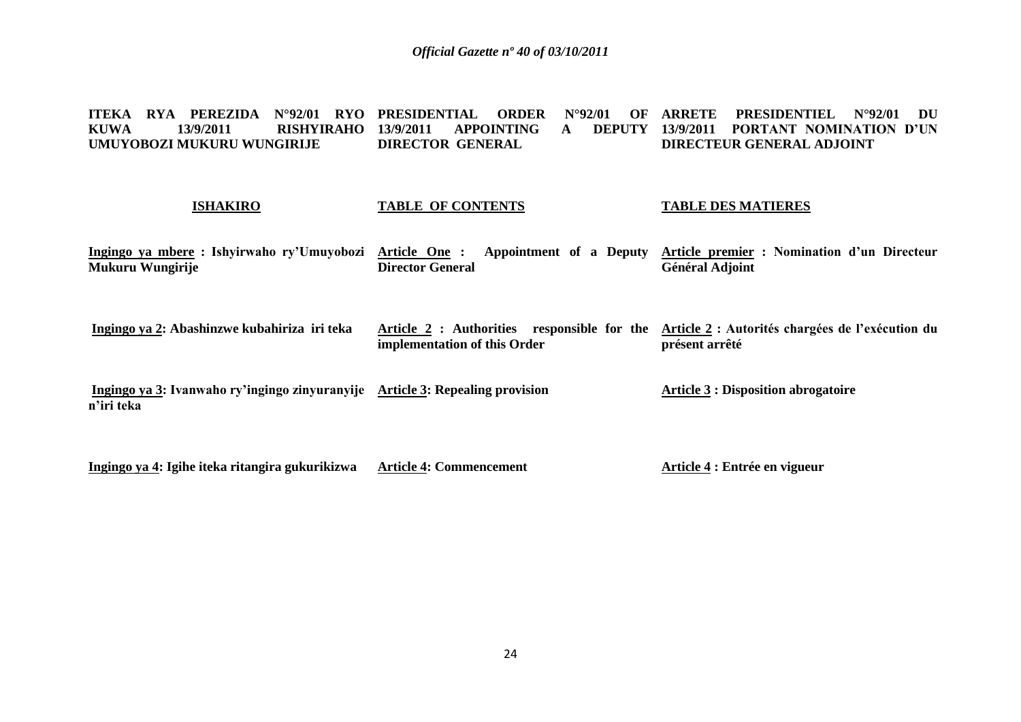**ITEKA RYA PEREZIDA N°92/01 RYO PRESIDENTIAL<br>KUWA 13/9/2011 RISHYIRAHO 13/9/2011 APPO AUGE 13/9/2011 RISHYIRAHO 13/9/2011 UMUYOBOZI MUKURU WUNGIRIJE PRESIDENTIAL ORDER N°92/01 OF ARRETE PRESIDENTIEL N°92/01 DU 13/9/2011 APPOINTING DIRECTOR GENERAL 13/9/2011 PORTANT NOMINATION D'UN DIRECTEUR GENERAL ADJOINT** 

#### **ISHAKIRO TABLE OF CONTENTS TABLE DES MATIERES**

**Ingingo ya mbere : Ishyirwaho ry'Umuyobozi Mukuru Wungirije Article One : Appointment of a Deputy Article premier : Nomination d'un Directeur Director General Général Adjoint**

**Ingingo ya 2: Abashinzwe kubahiriza iri teka Article 2 : Authorities responsible for the Article 2 : Autorités chargées de l'exécution du implementation of this Order présent arrêté**

**Ingingo ya 3: Ivanwaho ry'ingingo zinyuranyije Article 3: Repealing provision n'iri teka Article 3 : Disposition abrogatoire**

**Ingingo ya 4: Igihe iteka ritangira gukurikizwa Article 4: Commencement Article 4 : Entrée en vigueur**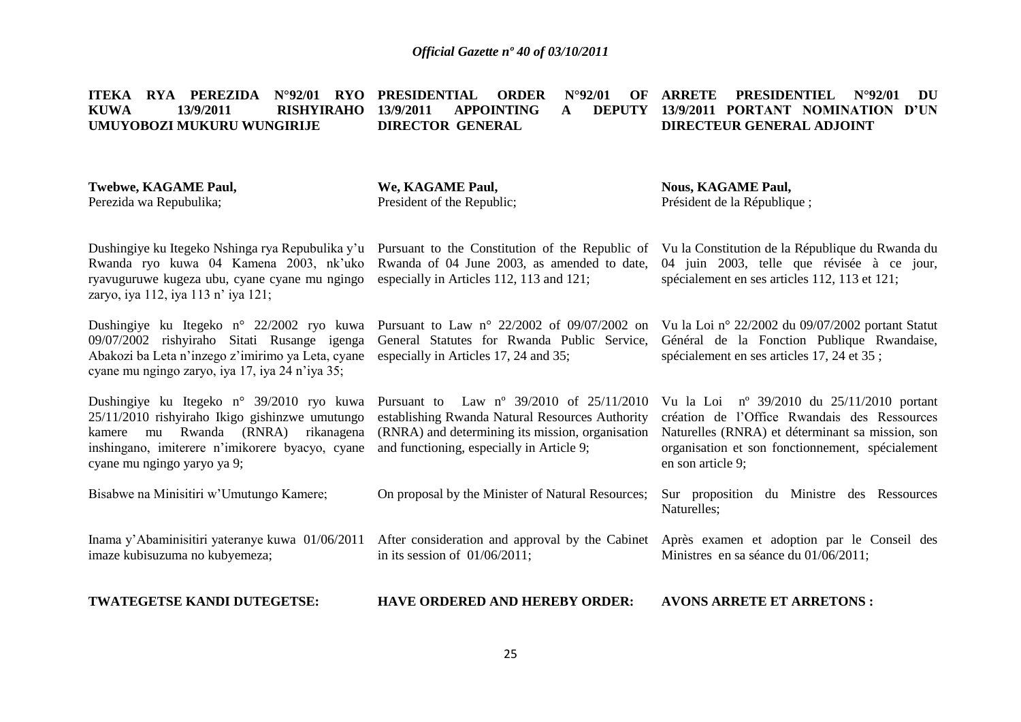**ITEKA RYA PEREZIDA N°92/01 RYO PRESIDENTIAL ORDER N°92/01 OF ARRETE PRESIDENTIEL N°92/01 DU KUWA 13/9/2011 RISHYIRAHO 13/9/2011 APPOINTING A DEPUTY 13/9/2011 PORTANT NOMINATION D'UN UMUYOBOZI MUKURU WUNGIRIJE DIRECTOR GENERAL DIRECTEUR GENERAL ADJOINT** 

| <b>Twebwe, KAGAME Paul,</b><br>Perezida wa Repubulika;                                                                                                                                                                 | We, KAGAME Paul,<br>President of the Republic;                                                                                                                                                        | <b>Nous, KAGAME Paul,</b><br>Président de la République;                                                                                                                                                                         |
|------------------------------------------------------------------------------------------------------------------------------------------------------------------------------------------------------------------------|-------------------------------------------------------------------------------------------------------------------------------------------------------------------------------------------------------|----------------------------------------------------------------------------------------------------------------------------------------------------------------------------------------------------------------------------------|
| Dushingiye ku Itegeko Nshinga rya Repubulika y'u<br>Rwanda ryo kuwa 04 Kamena 2003, nk'uko<br>ryavuguruwe kugeza ubu, cyane cyane mu ngingo<br>zaryo, iya 112, iya 113 n' iya 121;                                     | Pursuant to the Constitution of the Republic of<br>Rwanda of 04 June 2003, as amended to date,<br>especially in Articles 112, 113 and 121;                                                            | Vu la Constitution de la République du Rwanda du<br>04 juin 2003, telle que révisée à ce jour,<br>spécialement en ses articles 112, 113 et 121;                                                                                  |
| Dushingiye ku Itegeko n° 22/2002 ryo kuwa<br>09/07/2002 rishyiraho Sitati Rusange igenga<br>Abakozi ba Leta n'inzego z'imirimo ya Leta, cyane<br>cyane mu ngingo zaryo, iya 17, iya 24 n'iya 35;                       | Pursuant to Law $n^{\circ}$ 22/2002 of 09/07/2002 on<br>General Statutes for Rwanda Public Service,<br>especially in Articles 17, 24 and 35;                                                          | Vu la Loi nº 22/2002 du 09/07/2002 portant Statut<br>Général de la Fonction Publique Rwandaise,<br>spécialement en ses articles 17, 24 et 35;                                                                                    |
| Dushingiye ku Itegeko n° 39/2010 ryo kuwa<br>25/11/2010 rishyiraho Ikigo gishinzwe umutungo<br>kamere mu Rwanda (RNRA)<br>rikanagena<br>inshingano, imiterere n'imikorere byacyo, cyane<br>cyane mu ngingo yaryo ya 9; | Pursuant to Law $n^{\circ}$ 39/2010 of 25/11/2010<br>establishing Rwanda Natural Resources Authority<br>(RNRA) and determining its mission, organisation<br>and functioning, especially in Article 9; | Vu la Loi $n^{\circ}$ 39/2010 du 25/11/2010 portant<br>création de l'Office Rwandais des Ressources<br>Naturelles (RNRA) et déterminant sa mission, son<br>organisation et son fonctionnement, spécialement<br>en son article 9; |
| Bisabwe na Minisitiri w'Umutungo Kamere;                                                                                                                                                                               | On proposal by the Minister of Natural Resources;                                                                                                                                                     | Sur proposition du Ministre des Ressources<br>Naturelles;                                                                                                                                                                        |
| Inama y'Abaminisitiri yateranye kuwa 01/06/2011<br>imaze kubisuzuma no kubyemeza;                                                                                                                                      | in its session of $01/06/2011$ ;                                                                                                                                                                      | After consideration and approval by the Cabinet Après examen et adoption par le Conseil des<br>Ministres en sa séance du 01/06/2011;                                                                                             |
| TWATEGETSE KANDI DUTEGETSE:                                                                                                                                                                                            | <b>HAVE ORDERED AND HEREBY ORDER:</b>                                                                                                                                                                 | <b>AVONS ARRETE ET ARRETONS:</b>                                                                                                                                                                                                 |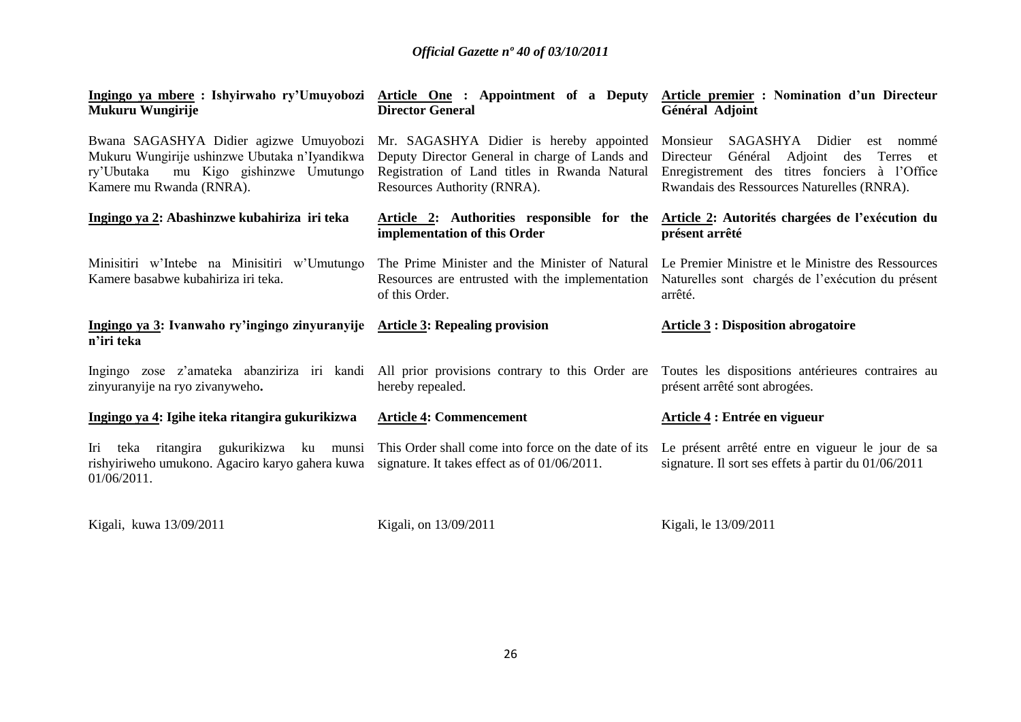| Mukuru Wungirije                                                                                                                                                                                        | <b>Director General</b>                                                                                                        | Ingingo ya mbere : Ishyirwaho ry'Umuyobozi Article One : Appointment of a Deputy Article premier : Nomination d'un Directeur<br>Général Adjoint                                       |  |
|---------------------------------------------------------------------------------------------------------------------------------------------------------------------------------------------------------|--------------------------------------------------------------------------------------------------------------------------------|---------------------------------------------------------------------------------------------------------------------------------------------------------------------------------------|--|
| Bwana SAGASHYA Didier agizwe Umuyobozi Mr. SAGASHYA Didier is hereby appointed<br>Mukuru Wungirije ushinzwe Ubutaka n'Iyandikwa<br>ry'Ubutaka<br>mu Kigo gishinzwe Umutungo<br>Kamere mu Rwanda (RNRA). | Deputy Director General in charge of Lands and<br>Registration of Land titles in Rwanda Natural<br>Resources Authority (RNRA). | Monsieur<br>SAGASHYA Didier est nommé<br>Adjoint des Terres et<br>Général<br>Directeur<br>Enregistrement des titres fonciers à l'Office<br>Rwandais des Ressources Naturelles (RNRA). |  |
| Ingingo ya 2: Abashinzwe kubahiriza iri teka                                                                                                                                                            | Article 2: Authorities responsible for the<br>implementation of this Order                                                     | Article 2: Autorités chargées de l'exécution du<br>présent arrêté                                                                                                                     |  |
| Minisitiri w'Intebe na Minisitiri w'Umutungo<br>Kamere basabwe kubahiriza iri teka.                                                                                                                     | The Prime Minister and the Minister of Natural<br>Resources are entrusted with the implementation<br>of this Order.            | Le Premier Ministre et le Ministre des Ressources<br>Naturelles sont chargés de l'exécution du présent<br>arrêté.                                                                     |  |
| Ingingo ya 3: Ivanwaho ry'ingingo zinyuranyije Article 3: Repealing provision<br>n'iri teka                                                                                                             |                                                                                                                                | <b>Article 3 : Disposition abrogatoire</b>                                                                                                                                            |  |
| Ingingo zose z'amateka abanziriza iri kandi All prior provisions contrary to this Order are<br>zinyuranyije na ryo zivanyweho.                                                                          | hereby repealed.                                                                                                               | Toutes les dispositions antérieures contraires au<br>présent arrêté sont abrogées.                                                                                                    |  |
| Ingingo ya 4: Igihe iteka ritangira gukurikizwa                                                                                                                                                         | <b>Article 4: Commencement</b>                                                                                                 | Article 4 : Entrée en vigueur                                                                                                                                                         |  |
| Iri teka ritangira gukurikizwa ku munsi This Order shall come into force on the date of its<br>rishyiriweho umukono. Agaciro karyo gahera kuwa<br>01/06/2011.                                           | signature. It takes effect as of $01/06/2011$ .                                                                                | Le présent arrêté entre en vigueur le jour de sa<br>signature. Il sort ses effets à partir du 01/06/2011                                                                              |  |

Kigali, kuwa 13/09/2011

Kigali, on 13/09/2011

Kigali, le 13/09/2011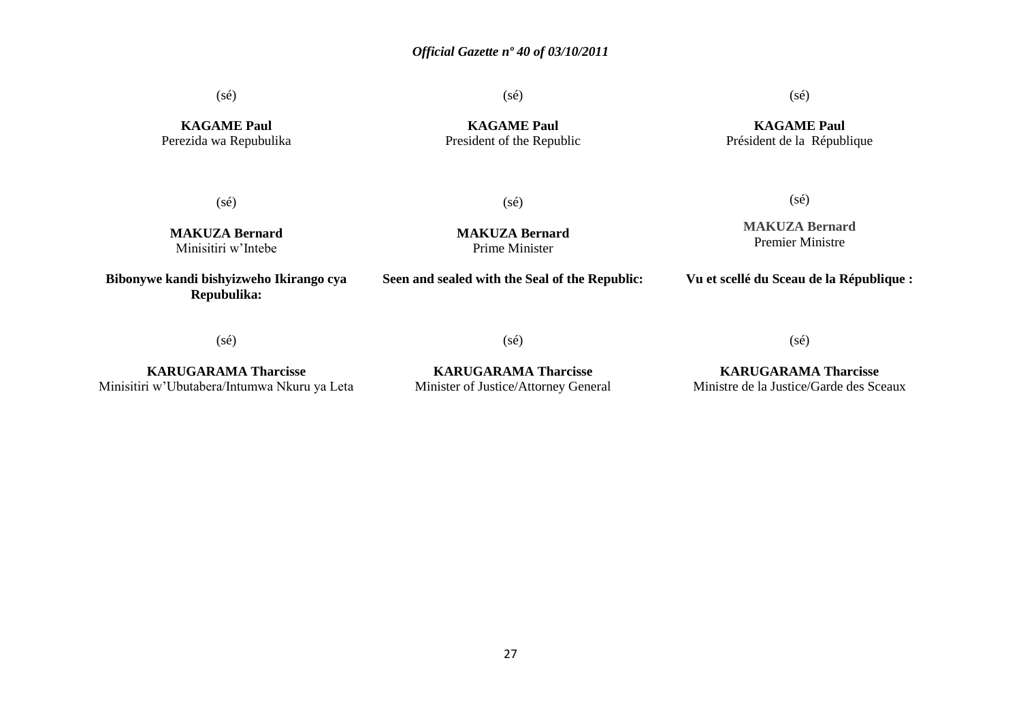(sé)

(sé)

(sé)

**KAGAME Paul** Perezida wa Repubulika

**KAGAME Paul** President of the Republic

**KAGAME Paul** Président de la République

(sé)

(sé)

**MAKUZA Bernard** Minisitiri w'Intebe

**Bibonywe kandi bishyizweho Ikirango cya Repubulika:**

**MAKUZA Bernard** Prime Minister

**Seen and sealed with the Seal of the Republic:**

**MAKUZA Bernard** Premier Ministre

(sé)

**Vu et scellé du Sceau de la République :**

(sé)

**KARUGARAMA Tharcisse**

Minisitiri w'Ubutabera/Intumwa Nkuru ya Leta

**KARUGARAMA Tharcisse** Minister of Justice/Attorney General

(sé)

**KARUGARAMA Tharcisse** Ministre de la Justice/Garde des Sceaux

(sé)

27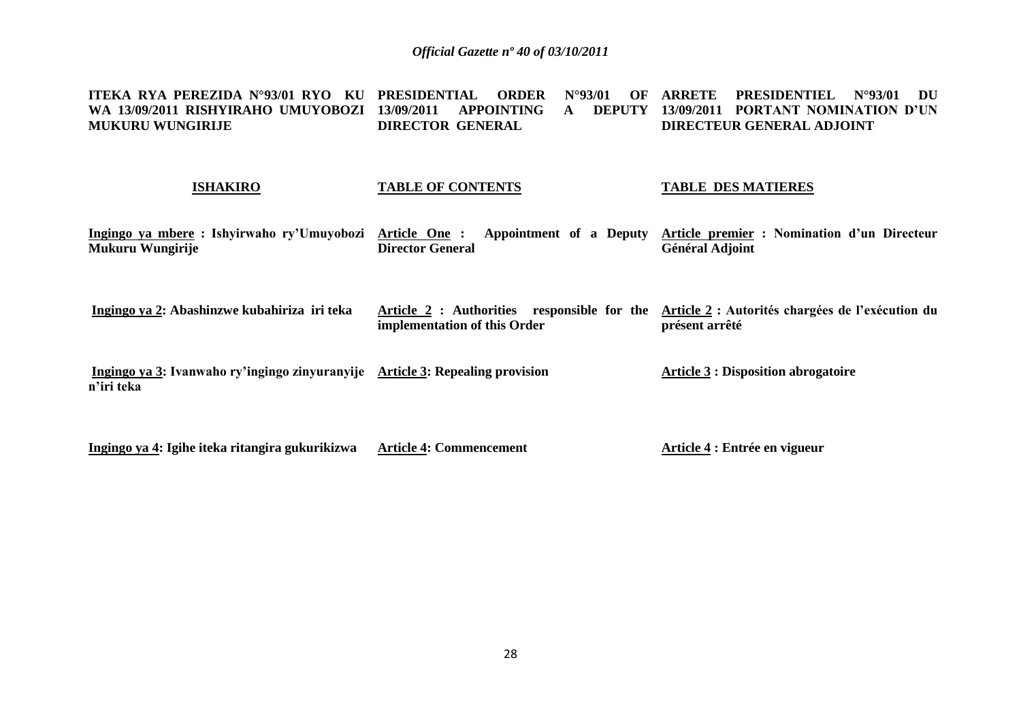**ITEKA RYA PEREZIDA N°93/01 RYO KU PRESIDENTIAL ORDER N°93/01 OF ARRETE PRESIDENTIEL N°93/01 DU WA 13/09/2011 RISHYIRAHO UMUYOBOZI 13/09/2011 APPOINTING A DEPUTY 13/09/2011 PORTANT NOMINATION D'UN MUKURU WUNGIRIJE DIRECTOR GENERAL DIRECTEUR GENERAL ADJOINT** 

#### **ISHAKIRO**

### **TABLE OF CONTENTS**

#### **TABLE DES MATIERES**

| Ingingo ya mbere: Ishyirwaho ry'Umuyobozi<br>Mukuru Wungirije                               | Article One:<br>Appointment of a Deputy<br><b>Director General</b>             | Article premier : Nomination d'un Directeur<br><b>Général Adjoint</b> |
|---------------------------------------------------------------------------------------------|--------------------------------------------------------------------------------|-----------------------------------------------------------------------|
| Ingingo ya 2: Abashinzwe kubahiriza iri teka                                                | responsible for the<br>Article 2 : Authorities<br>implementation of this Order | Article 2 : Autorités chargées de l'exécution du<br>présent arrêté    |
| Ingingo ya 3: Ivanwaho ry'ingingo zinyuranyije Article 3: Repealing provision<br>n'iri teka |                                                                                | <b>Article 3 : Disposition abrogatoire</b>                            |

**Ingingo ya 4: Igihe iteka ritangira gukurikizwa Article 4: Commencement Article 4 : Entrée en vigueur**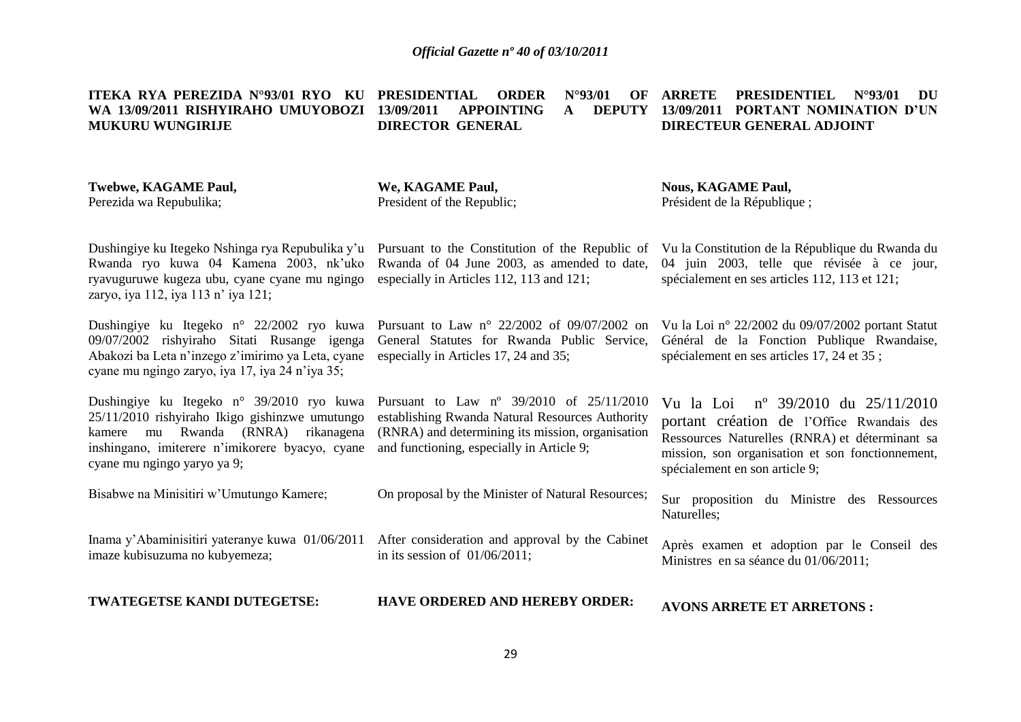**ITEKA RYA PEREZIDA N°93/01 RYO KU PRESIDENTIAL ORDER N°93/01 OF WA 13/09/2011 RISHYIRAHO UMUYOBOZI 13/09/2011 APPOINTING A DEPUTY MUKURU WUNGIRIJE DIRECTOR GENERAL ARRETE PRESIDENTIEL N°93/01 DU 13/09/2011 PORTANT NOMINATION D'UN DIRECTEUR GENERAL ADJOINT** 

#### **Twebwe, KAGAME Paul,** Perezida wa Repubulika; **We, KAGAME Paul,** President of the Republic; **Nous, KAGAME Paul,** Président de la République ;

Dushingiye ku Itegeko Nshinga rya Repubulika y'u Pursuant to the Constitution of the Republic of Rwanda ryo kuwa 04 Kamena 2003, nk'uko ryavuguruwe kugeza ubu, cyane cyane mu ngingo zaryo, iya 112, iya 113 n' iya 121;

Dushingiye ku Itegeko n° 22/2002 ryo kuwa Pursuant to Law n° 22/2002 of 09/07/2002 on 09/07/2002 rishyiraho Sitati Rusange igenga Abakozi ba Leta n'inzego z'imirimo ya Leta, cyane especially in Articles 17, 24 and 35; cyane mu ngingo zaryo, iya 17, iya 24 n'iya 35;

Dushingiye ku Itegeko n° 39/2010 ryo kuwa Pursuant to Law nº 39/2010 of 25/11/2010 25/11/2010 rishyiraho Ikigo gishinzwe umutungo kamere mu Rwanda (RNRA) rikanagena inshingano, imiterere n'imikorere byacyo, cyane and functioning, especially in Article 9; cyane mu ngingo yaryo ya 9;

Bisabwe na Minisitiri w'Umutungo Kamere;

Inama y'Abaminisitiri yateranye kuwa 01/06/2011 imaze kubisuzuma no kubyemeza;

**TWATEGETSE KANDI DUTEGETSE:**

Rwanda of 04 June 2003, as amended to date, especially in Articles 112, 113 and 121;

General Statutes for Rwanda Public Service,

establishing Rwanda Natural Resources Authority (RNRA) and determining its mission, organisation

On proposal by the Minister of Natural Resources;

After consideration and approval by the Cabinet

in its session of 01/06/2011;

Vu la Loi nº 39/2010 du 25/11/2010 portant création de l'Office Rwandais des Ressources Naturelles (RNRA) et déterminant sa mission, son organisation et son fonctionnement,

Vu la Constitution de la République du Rwanda du 04 juin 2003, telle que révisée à ce jour,

Vu la Loi n° 22/2002 du 09/07/2002 portant Statut Général de la Fonction Publique Rwandaise,

spécialement en ses articles 112, 113 et 121;

spécialement en ses articles 17, 24 et 35 ;

Sur proposition du Ministre des Ressources Naturelles;

Après examen et adoption par le Conseil des Ministres en sa séance du 01/06/2011;

**AVONS ARRETE ET ARRETONS :**

spécialement en son article 9;

**HAVE ORDERED AND HEREBY ORDER:**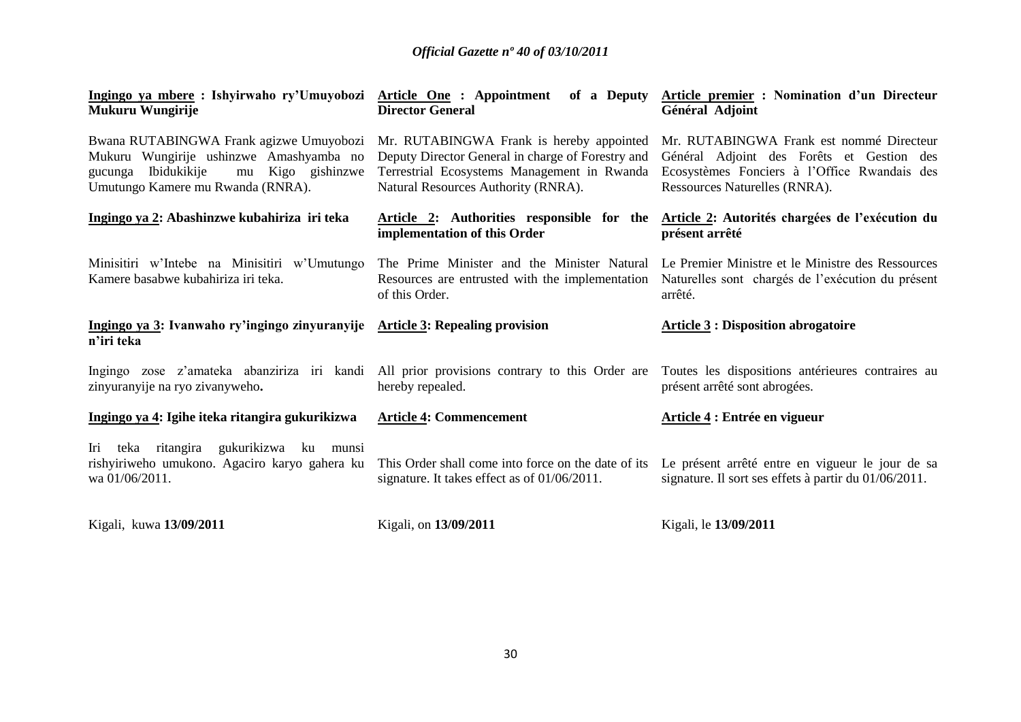| Mukuru Wungirije                                                                                                                                                    | <u>Ingingo ya mbere</u> : Ishyirwaho ry'Umuyobozi Article One : Appointment of a Deputy Article premier : Nomination d'un Directeur<br><b>Director General</b>                      | Général Adjoint                                                                                                                                                                                               |
|---------------------------------------------------------------------------------------------------------------------------------------------------------------------|-------------------------------------------------------------------------------------------------------------------------------------------------------------------------------------|---------------------------------------------------------------------------------------------------------------------------------------------------------------------------------------------------------------|
| Bwana RUTABINGWA Frank agizwe Umuyobozi<br>Mukuru Wungirije ushinzwe Amashyamba no<br>gucunga Ibidukikije<br>mu Kigo gishinzwe<br>Umutungo Kamere mu Rwanda (RNRA). | Mr. RUTABINGWA Frank is hereby appointed<br>Deputy Director General in charge of Forestry and<br>Terrestrial Ecosystems Management in Rwanda<br>Natural Resources Authority (RNRA). | Mr. RUTABINGWA Frank est nommé Directeur<br>Général Adjoint des Forêts et Gestion des<br>Ecosystèmes Fonciers à l'Office Rwandais des<br>Ressources Naturelles (RNRA).                                        |
| Ingingo ya 2: Abashinzwe kubahiriza iri teka                                                                                                                        | implementation of this Order                                                                                                                                                        | Article 2: Authorities responsible for the Article 2: Autorités chargées de l'exécution du<br>présent arrêté                                                                                                  |
| Minisitiri w'Intebe na Minisitiri w'Umutungo<br>Kamere basabwe kubahiriza iri teka.                                                                                 | of this Order.                                                                                                                                                                      | The Prime Minister and the Minister Natural Le Premier Ministre et le Ministre des Ressources<br>Resources are entrusted with the implementation Naturelles sont chargés de l'exécution du présent<br>arrêté. |
| Ingingo ya 3: Ivanwaho ry'ingingo zinyuranyije Article 3: Repealing provision<br>n'iri teka                                                                         |                                                                                                                                                                                     | <b>Article 3: Disposition abrogatoire</b>                                                                                                                                                                     |
| Ingingo zose z'amateka abanziriza iri kandi All prior provisions contrary to this Order are<br>zinyuranyije na ryo zivanyweho.                                      | hereby repealed.                                                                                                                                                                    | Toutes les dispositions antérieures contraires au<br>présent arrêté sont abrogées.                                                                                                                            |
| Ingingo ya 4: Igihe iteka ritangira gukurikizwa                                                                                                                     | <b>Article 4: Commencement</b>                                                                                                                                                      | Article 4 : Entrée en vigueur                                                                                                                                                                                 |
|                                                                                                                                                                     |                                                                                                                                                                                     |                                                                                                                                                                                                               |
| Iri teka ritangira gukurikizwa ku munsi<br>rishyiriweho umukono. Agaciro karyo gahera ku<br>wa 01/06/2011.                                                          | This Order shall come into force on the date of its<br>signature. It takes effect as of 01/06/2011.                                                                                 | Le présent arrêté entre en vigueur le jour de sa<br>signature. Il sort ses effets à partir du 01/06/2011.                                                                                                     |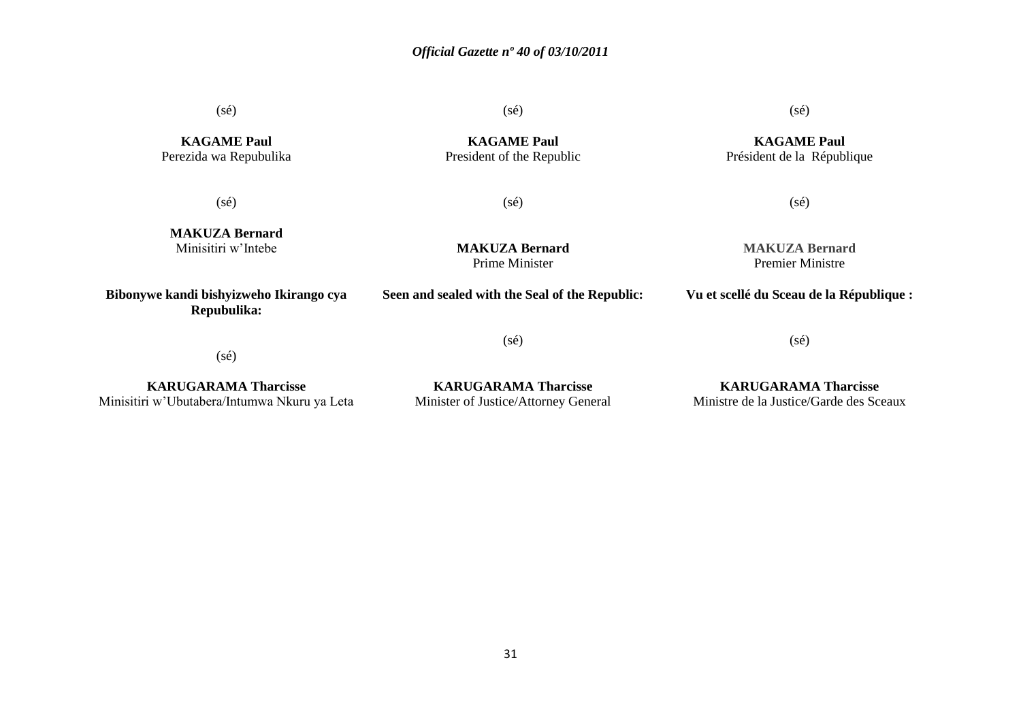(sé)

**KAGAME Paul** Perezida wa Repubulika (sé)

**KAGAME Paul** President of the Republic (sé)

**KAGAME Paul** Président de la République

(sé)

(sé)

(sé)

**MAKUZA Bernard** Minisitiri w'Intebe

**Bibonywe kandi bishyizweho Ikirango cya Repubulika:**

**MAKUZA Bernard** Prime Minister

**Seen and sealed with the Seal of the Republic:**

(sé)

**MAKUZA Bernard** Premier Ministre

**Vu et scellé du Sceau de la République :**

(sé)

(sé)

**KARUGARAMA Tharcisse** Minisitiri w'Ubutabera/Intumwa Nkuru ya Leta

**KARUGARAMA Tharcisse** Minister of Justice/Attorney General

**KARUGARAMA Tharcisse** Ministre de la Justice/Garde des Sceaux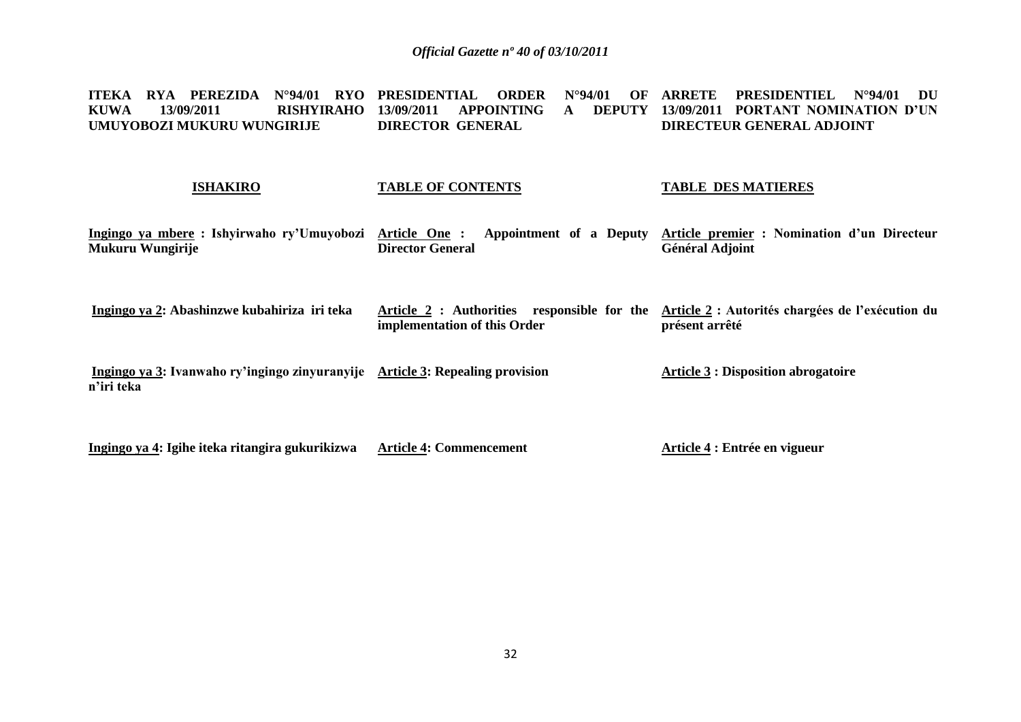**ITEKA RYA PEREZIDA N°94/01 RYO PRESIDENTIAL ORDER N°94/01 OF ARRETE PRESIDENTIEL N°94/01 DU KUWA 13/09/2011 RISHYIRAHO 13/09/2011 APPOINTING A DEPUTY UMUYOBOZI MUKURU WUNGIRIJE DIRECTOR GENERAL 13/09/2011 PORTANT NOMINATION D'UN DIRECTEUR GENERAL ADJOINT** 

#### **ISHAKIRO**

### **TABLE OF CONTENTS**

#### **TABLE DES MATIERES**

| Ingingo ya mbere: Ishyirwaho ry'Umuyobozi<br>Mukuru Wungirije                               | Article One:<br>Appointment of a Deputy<br><b>Director General</b>          | Article premier : Nomination d'un Directeur<br><b>Général Adjoint</b> |
|---------------------------------------------------------------------------------------------|-----------------------------------------------------------------------------|-----------------------------------------------------------------------|
| Ingingo ya 2: Abashinzwe kubahiriza iri teka                                                | Article 2 : Authorities responsible for the<br>implementation of this Order | Article 2 : Autorités chargées de l'exécution du<br>présent arrêté    |
| Ingingo ya 3: Ivanwaho ry'ingingo zinyuranyije Article 3: Repealing provision<br>n'iri teka |                                                                             | <b>Article 3 : Disposition abrogatoire</b>                            |

**Ingingo ya 4: Igihe iteka ritangira gukurikizwa Article 4: Commencement Article 4 : Entrée en vigueur**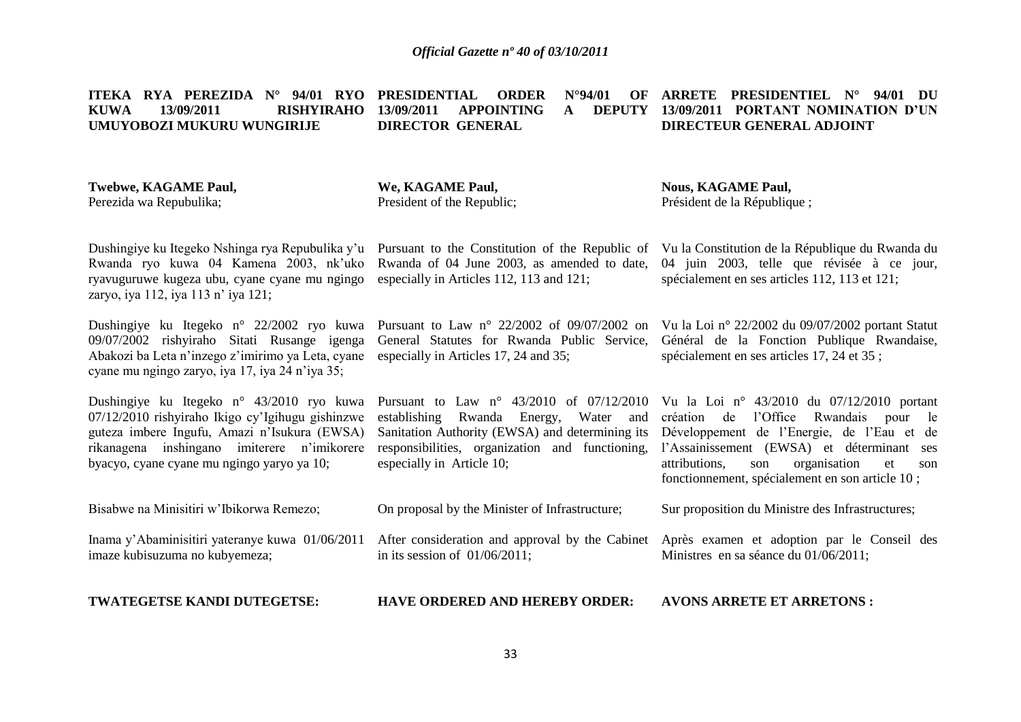**ITEKA RYA PEREZIDA N° 94/01 RYO PRESIDENTIAL ORDER N°94/01 OF KUWA 13/09/2011 RISHYIRAHO 13/09/2011 APPOINTING A DEPUTY UMUYOBOZI MUKURU WUNGIRIJE DIRECTOR GENERAL ARRETE PRESIDENTIEL N° 94/01 DU 13/09/2011 PORTANT NOMINATION D'UN DIRECTEUR GENERAL ADJOINT** 

#### **Twebwe, KAGAME Paul,** Perezida wa Repubulika;

**We, KAGAME Paul,** President of the Republic; **Nous, KAGAME Paul,** Président de la République ;

Dushingiye ku Itegeko Nshinga rya Repubulika y'u Rwanda ryo kuwa 04 Kamena 2003, nk'uko ryavuguruwe kugeza ubu, cyane cyane mu ngingo zaryo, iya 112, iya 113 n' iya 121;

Dushingiye ku Itegeko n° 22/2002 ryo kuwa Pursuant to Law n° 22/2002 of 09/07/2002 on 09/07/2002 rishyiraho Sitati Rusange igenga Abakozi ba Leta n'inzego z'imirimo ya Leta, cyane especially in Articles 17, 24 and 35; cyane mu ngingo zaryo, iya 17, iya 24 n'iya 35;

Dushingiye ku Itegeko n° 43/2010 ryo kuwa 07/12/2010 rishyiraho Ikigo cy'Igihugu gishinzwe guteza imbere Ingufu, Amazi n'Isukura (EWSA) rikanagena inshingano imiterere n'imikorere byacyo, cyane cyane mu ngingo yaryo ya 10;

Pursuant to the Constitution of the Republic of Rwanda of 04 June 2003, as amended to date, especially in Articles 112, 113 and 121;

General Statutes for Rwanda Public Service,

Pursuant to Law n° 43/2010 of 07/12/2010 establishing Rwanda Energy, Water and especially in Article 10;

On proposal by the Minister of Infrastructure;

Vu la Constitution de la République du Rwanda du 04 juin 2003, telle que révisée à ce jour, spécialement en ses articles 112, 113 et 121;

Vu la Loi n° 22/2002 du 09/07/2002 portant Statut Général de la Fonction Publique Rwandaise, spécialement en ses articles 17, 24 et 35 ;

Sanitation Authority (EWSA) and determining its Développement de l'Energie, de l'Eau et de responsibilities, organization and functioning, l'Assainissement (EWSA) et déterminant ses Vu la Loi n° 43/2010 du 07/12/2010 portant création de l'Office Rwandais pour le attributions, son organisation et son fonctionnement, spécialement en son article 10 ;

Sur proposition du Ministre des Infrastructures;

Inama y'Abaminisitiri yateranye kuwa 01/06/2011 imaze kubisuzuma no kubyemeza; After consideration and approval by the Cabinet in its session of 01/06/2011; Après examen et adoption par le Conseil des Ministres en sa séance du 01/06/2011;

**TWATEGETSE KANDI DUTEGETSE:**

Bisabwe na Minisitiri w'Ibikorwa Remezo;

**HAVE ORDERED AND HEREBY ORDER: AVONS ARRETE ET ARRETONS :**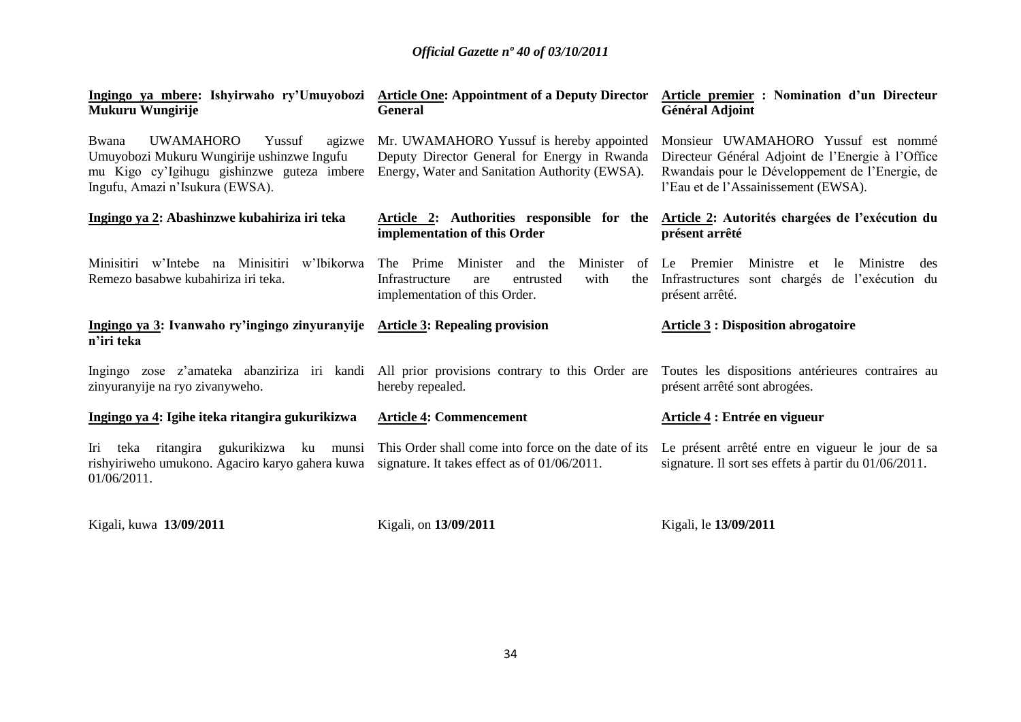| Ingingo ya mbere: Ishyirwaho ry'Umuyobozi Article One: Appointment of a Deputy Director<br>Mukuru Wungirije                                                                  | <b>General</b>                                                                                                                             | Article premier : Nomination d'un Directeur<br><b>Général Adjoint</b>                                                                                                               |
|------------------------------------------------------------------------------------------------------------------------------------------------------------------------------|--------------------------------------------------------------------------------------------------------------------------------------------|-------------------------------------------------------------------------------------------------------------------------------------------------------------------------------------|
| <b>UWAMAHORO</b><br>Yussuf<br>agizwe<br>Bwana<br>Umuyobozi Mukuru Wungirije ushinzwe Ingufu<br>mu Kigo cy'lgihugu gishinzwe guteza imbere<br>Ingufu, Amazi n'Isukura (EWSA). | Mr. UWAMAHORO Yussuf is hereby appointed<br>Deputy Director General for Energy in Rwanda<br>Energy, Water and Sanitation Authority (EWSA). | Monsieur UWAMAHORO Yussuf est nommé<br>Directeur Général Adjoint de l'Energie à l'Office<br>Rwandais pour le Développement de l'Energie, de<br>l'Eau et de l'Assainissement (EWSA). |
| Ingingo ya 2: Abashinzwe kubahiriza iri teka                                                                                                                                 | Article 2: Authorities responsible for the<br>implementation of this Order                                                                 | Article 2: Autorités chargées de l'exécution du<br>présent arrêté                                                                                                                   |
| Minisitiri w'Intebe na Minisitiri<br>w'Ibikorwa<br>Remezo basabwe kubahiriza iri teka.                                                                                       | Minister<br>The Prime Minister and the<br>of<br>with<br>Infrastructure<br>entrusted<br>the<br>are<br>implementation of this Order.         | Ministre et<br>Le Premier<br>Ministre<br>le<br>des<br>sont chargés de l'exécution du<br>Infrastructures<br>présent arrêté.                                                          |
| Ingingo ya 3: Ivanwaho ry'ingingo zinyuranyije Article 3: Repealing provision<br>n'iri teka                                                                                  |                                                                                                                                            | <b>Article 3 : Disposition abrogatoire</b>                                                                                                                                          |
| Ingingo zose z'amateka abanziriza iri kandi All prior provisions contrary to this Order are<br>zinyuranyije na ryo zivanyweho.                                               | hereby repealed.                                                                                                                           | Toutes les dispositions antérieures contraires au<br>présent arrêté sont abrogées.                                                                                                  |
| Ingingo ya 4: Igihe iteka ritangira gukurikizwa                                                                                                                              | <b>Article 4: Commencement</b>                                                                                                             | Article 4 : Entrée en vigueur                                                                                                                                                       |
| Iri<br>rishyiriweho umukono. Agaciro karyo gahera kuwa<br>01/06/2011.                                                                                                        | teka ritangira gukurikizwa ku munsi This Order shall come into force on the date of its<br>signature. It takes effect as of 01/06/2011.    | Le présent arrêté entre en vigueur le jour de sa<br>signature. Il sort ses effets à partir du 01/06/2011.                                                                           |

Kigali, kuwa **13/09/2011**

Kigali, on **13/09/2011**

Kigali, le **13/09/2011**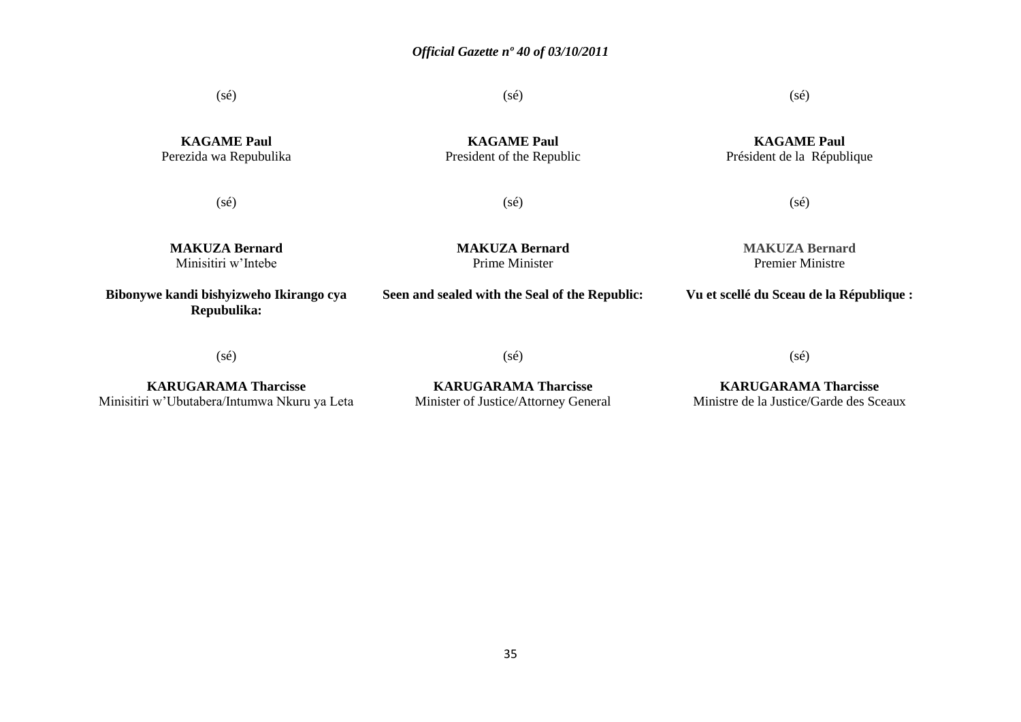(sé)

(sé)

 $(s\acute{e})$ 

**KAGAME Paul** Président de la République

**KAGAME Paul** Perezida wa Repubulika

**KAGAME Paul** President of the Republic

(sé)

(sé)

(sé)

**MAKUZA Bernard** Minisitiri w'Intebe

**MAKUZA Bernard** Prime Minister

**Seen and sealed with the Seal of the Republic:**

**MAKUZA Bernard** Premier Ministre

**Vu et scellé du Sceau de la République :**

**Bibonywe kandi bishyizweho Ikirango cya Repubulika:**

(sé)

**KARUGARAMA Tharcisse** Minisitiri w'Ubutabera/Intumwa Nkuru ya Leta

(sé)

**KARUGARAMA Tharcisse** Minister of Justice/Attorney General

(sé)

**KARUGARAMA Tharcisse** Ministre de la Justice/Garde des Sceaux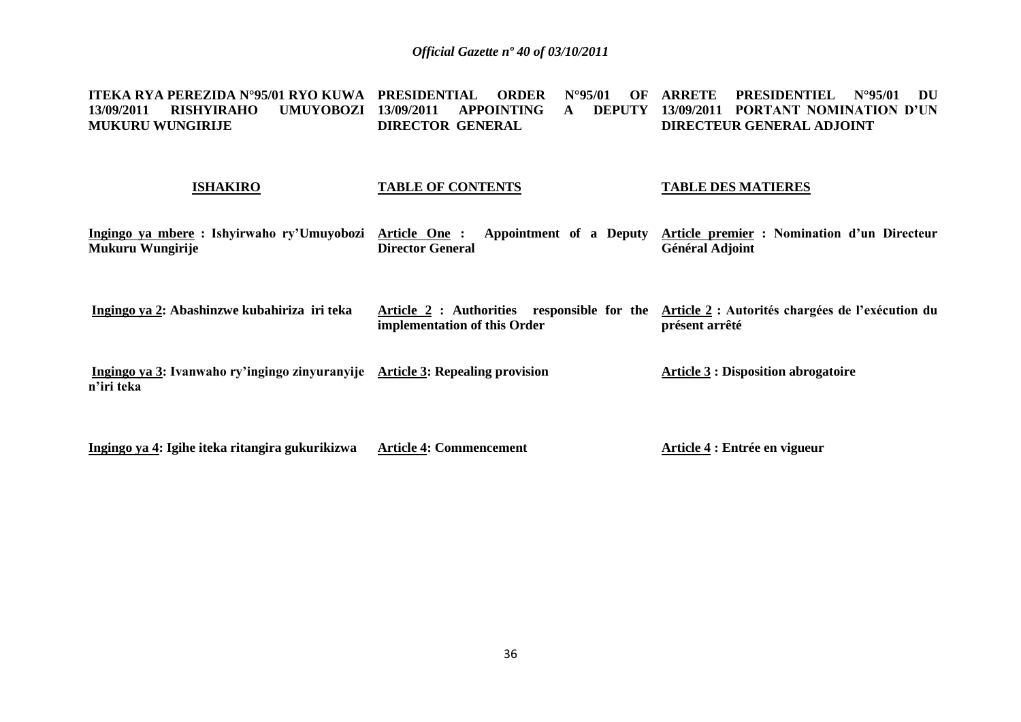**ITEKA RYA PEREZIDA N°95/01 RYO KUWA PRESIDENTIAL ORDER N°95/01 OF ARRETE PRESIDENTIEL N°95/01 DU 13/09/2011 RISHYIRAHO UMUYOBOZI 13/09/2011 APPOINTING A DEPUTY 13/09/2011 PORTANT NOMINATION D'UN MUKURU WUNGIRIJE DIRECTOR GENERAL DIRECTEUR GENERAL ADJOINT** 

#### **ISHAKIRO**

### **TABLE OF CONTENTS**

#### **TABLE DES MATIERES**

| Ingingo ya mbere: Ishyirwaho ry'Umuyobozi<br>Mukuru Wungirije                               | Article One:<br>Appointment of a Deputy<br><b>Director General</b>          | Article premier : Nomination d'un Directeur<br><b>Général Adjoint</b> |
|---------------------------------------------------------------------------------------------|-----------------------------------------------------------------------------|-----------------------------------------------------------------------|
| Ingingo ya 2: Abashinzwe kubahiriza iri teka                                                | Article 2 : Authorities responsible for the<br>implementation of this Order | Article 2 : Autorités chargées de l'exécution du<br>présent arrêté    |
| Ingingo ya 3: Ivanwaho ry'ingingo zinyuranyije Article 3: Repealing provision<br>n'iri teka |                                                                             | <b>Article 3 : Disposition abrogatoire</b>                            |

**Ingingo ya 4: Igihe iteka ritangira gukurikizwa Article 4: Commencement Article 4 : Entrée en vigueur**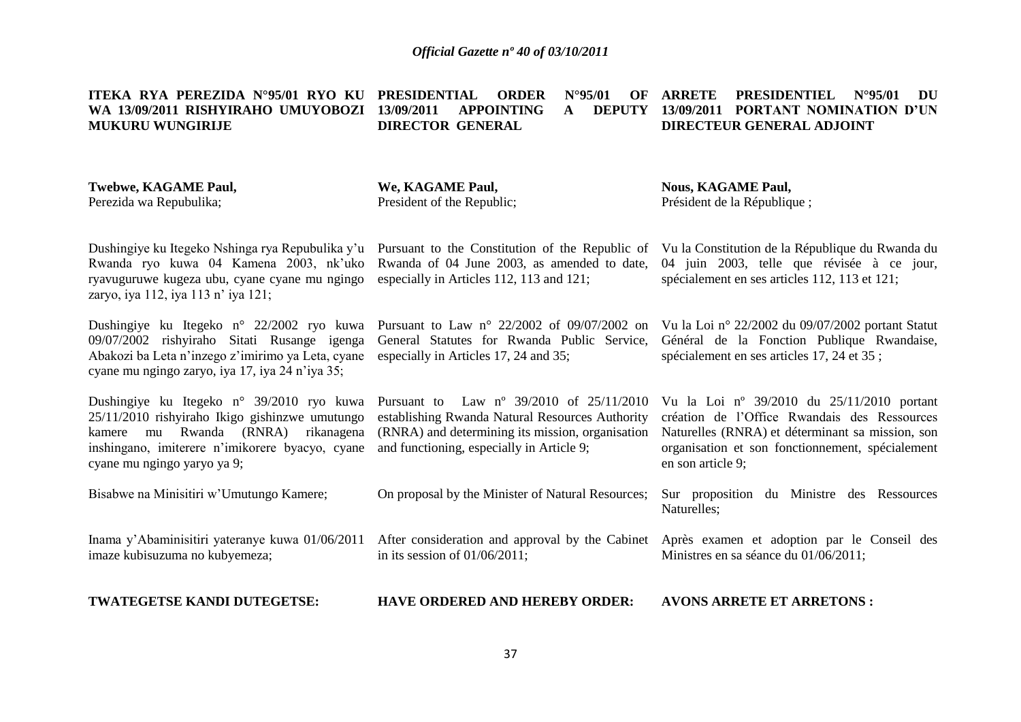**ITEKA RYA PEREZIDA N°95/01 RYO KU PRESIDENTIAL ORDER N°95/01 OF WA 13/09/2011 RISHYIRAHO UMUYOBOZI 13/09/2011 APPOINTING A DEPUTY MUKURU WUNGIRIJE DIRECTOR GENERAL ARRETE PRESIDENTIEL N°95/01 DU 13/09/2011 PORTANT NOMINATION D'UN DIRECTEUR GENERAL ADJOINT** 

#### **Twebwe, KAGAME Paul,** Perezida wa Repubulika; Dushingiye ku Itegeko Nshinga rya Repubulika y'u Pursuant to the Constitution of the Republic of Rwanda ryo kuwa 04 Kamena 2003, nk'uko ryavuguruwe kugeza ubu, cyane cyane mu ngingo **We, KAGAME Paul,** President of the Republic; Rwanda of 04 June 2003, as amended to date, **Nous, KAGAME Paul,** Président de la République ; Vu la Constitution de la République du Rwanda du 04 juin 2003, telle que révisée à ce jour, spécialement en ses articles 112, 113 et 121;

Dushingiye ku Itegeko n° 22/2002 ryo kuwa Pursuant to Law n° 22/2002 of 09/07/2002 on 09/07/2002 rishyiraho Sitati Rusange igenga Abakozi ba Leta n'inzego z'imirimo ya Leta, cyane especially in Articles 17, 24 and 35; cyane mu ngingo zaryo, iya 17, iya 24 n'iya 35;

zaryo, iya 112, iya 113 n' iya 121;

Dushingiye ku Itegeko n° 39/2010 ryo kuwa Pursuant to Law nº 39/2010 of 25/11/2010 25/11/2010 rishyiraho Ikigo gishinzwe umutungo kamere mu Rwanda (RNRA) rikanagena (RNRA) and determining its mission, organisation inshingano, imiterere n'imikorere byacyo, cyane and functioning, especially in Article 9; cyane mu ngingo yaryo ya 9;

Bisabwe na Minisitiri w'Umutungo Kamere;

Inama y'Abaminisitiri yateranye kuwa 01/06/2011 imaze kubisuzuma no kubyemeza;

**TWATEGETSE KANDI DUTEGETSE:**

especially in Articles 112, 113 and 121;

General Statutes for Rwanda Public Service,

establishing Rwanda Natural Resources Authority

On proposal by the Minister of Natural Resources;

in its session of 01/06/2011;

Vu la Loi n° 22/2002 du 09/07/2002 portant Statut Général de la Fonction Publique Rwandaise, spécialement en ses articles 17, 24 et 35 ;

Vu la Loi nº 39/2010 du 25/11/2010 portant création de l'Office Rwandais des Ressources Naturelles (RNRA) et déterminant sa mission, son organisation et son fonctionnement, spécialement en son article 9;

Sur proposition du Ministre des Ressources Naturelles;

After consideration and approval by the Cabinet Après examen et adoption par le Conseil des Ministres en sa séance du 01/06/2011;

**HAVE ORDERED AND HEREBY ORDER: AVONS ARRETE ET ARRETONS :**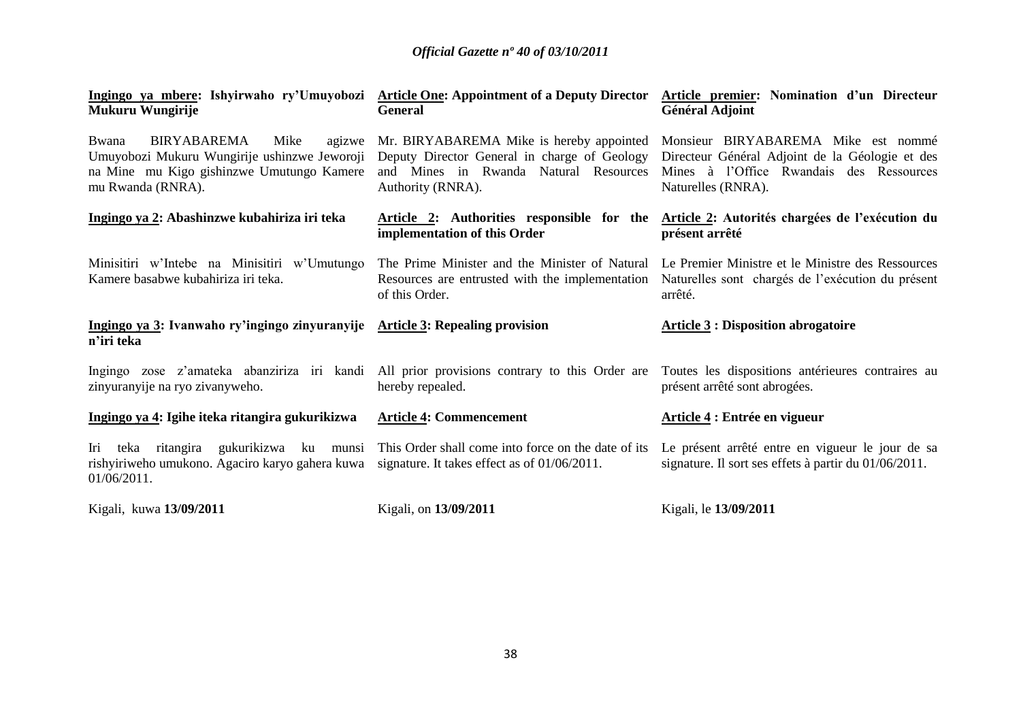| Ingingo ya mbere: Ishyirwaho ry'Umuyobozi Article One: Appointment of a Deputy Director<br>Mukuru Wungirije                                              | <b>General</b>                                                                                                                                         | Article premier: Nomination d'un Directeur<br><b>Général Adjoint</b>                                                                                     |
|----------------------------------------------------------------------------------------------------------------------------------------------------------|--------------------------------------------------------------------------------------------------------------------------------------------------------|----------------------------------------------------------------------------------------------------------------------------------------------------------|
| BIRYABAREMA<br>Bwana<br>Mike<br>agizwe<br>Umuyobozi Mukuru Wungirije ushinzwe Jeworoji<br>na Mine mu Kigo gishinzwe Umutungo Kamere<br>mu Rwanda (RNRA). | Mr. BIRYABAREMA Mike is hereby appointed<br>Deputy Director General in charge of Geology<br>and Mines in Rwanda Natural Resources<br>Authority (RNRA). | Monsieur BIRYABAREMA Mike est nommé<br>Directeur Général Adjoint de la Géologie et des<br>Mines à l'Office Rwandais des Ressources<br>Naturelles (RNRA). |
| Ingingo ya 2: Abashinzwe kubahiriza iri teka                                                                                                             | implementation of this Order                                                                                                                           | Article 2: Authorities responsible for the Article 2: Autorités chargées de l'exécution du<br>présent arrêté                                             |
| Minisitiri w'Intebe na Minisitiri w'Umutungo<br>Kamere basabwe kubahiriza iri teka.                                                                      | The Prime Minister and the Minister of Natural<br>Resources are entrusted with the implementation<br>of this Order.                                    | Le Premier Ministre et le Ministre des Ressources<br>Naturelles sont chargés de l'exécution du présent<br>arrêté.                                        |
| Ingingo ya 3: Ivanwaho ry'ingingo zinyuranyije Article 3: Repealing provision<br>n'iri teka                                                              |                                                                                                                                                        | <b>Article 3 : Disposition abrogatoire</b>                                                                                                               |
| Ingingo zose z'amateka abanziriza iri kandi All prior provisions contrary to this Order are<br>zinyuranyije na ryo zivanyweho.                           | hereby repealed.                                                                                                                                       | Toutes les dispositions antérieures contraires au<br>présent arrêté sont abrogées.                                                                       |
| Ingingo ya 4: Igihe iteka ritangira gukurikizwa                                                                                                          | <b>Article 4: Commencement</b>                                                                                                                         | Article 4 : Entrée en vigueur                                                                                                                            |
| Iri<br>rishyiriweho umukono. Agaciro karyo gahera kuwa signature. It takes effect as of 01/06/2011.<br>01/06/2011.                                       | teka ritangira gukurikizwa ku munsi This Order shall come into force on the date of its                                                                | Le présent arrêté entre en vigueur le jour de sa<br>signature. Il sort ses effets à partir du 01/06/2011.                                                |
| Kigali, kuwa 13/09/2011                                                                                                                                  | Kigali, on 13/09/2011                                                                                                                                  | Kigali, le 13/09/2011                                                                                                                                    |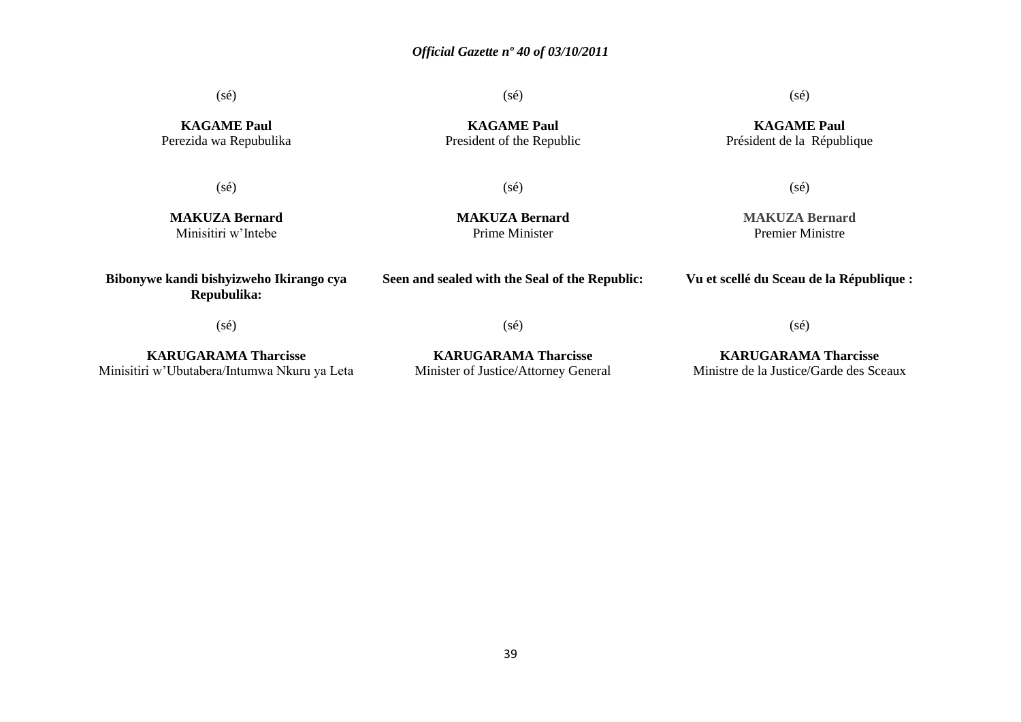(sé)

(sé)

(sé)

**KAGAME Paul** Président de la République

**KAGAME Paul** Perezida wa Repubulika

(sé)

**KAGAME Paul** President of the Republic

(sé)

(sé)

**MAKUZA Bernard** Minisitiri w'Intebe

**MAKUZA Bernard** Prime Minister

**Seen and sealed with the Seal of the Republic:**

(sé)

## **MAKUZA Bernard** Premier Ministre

**Vu et scellé du Sceau de la République :**

(sé)

**Bibonywe kandi bishyizweho Ikirango cya Repubulika:**

**KARUGARAMA Tharcisse** Minisitiri w'Ubutabera/Intumwa Nkuru ya Leta **KARUGARAMA Tharcisse** Minister of Justice/Attorney General (sé)

**KARUGARAMA Tharcisse** Ministre de la Justice/Garde des Sceaux

39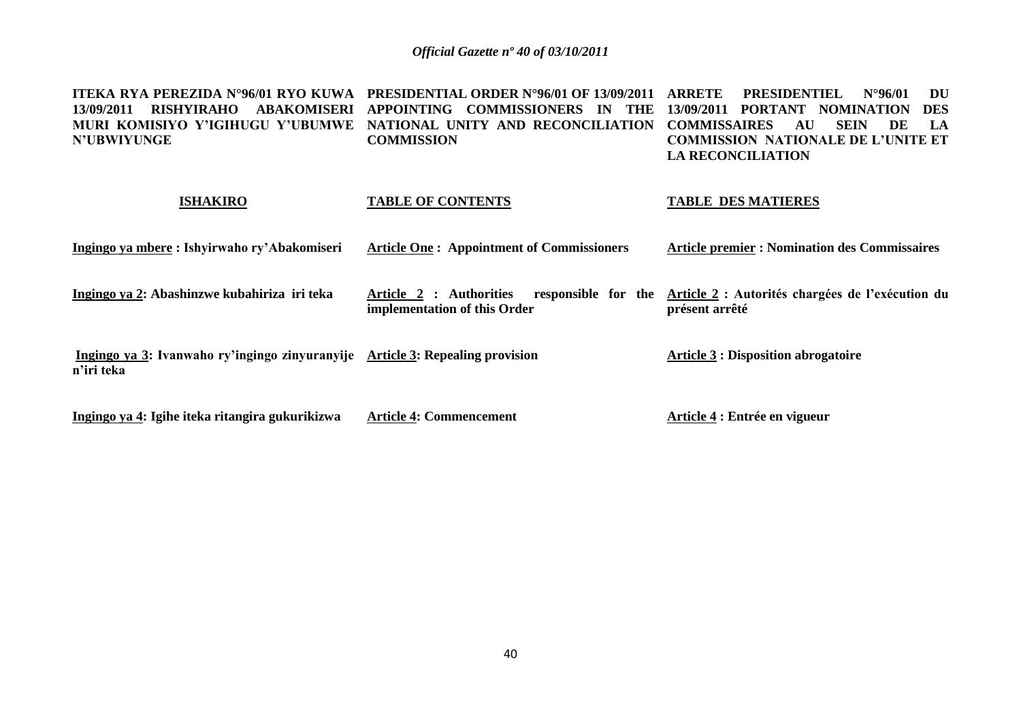| ITEKA RYA PEREZIDA N°96/01 RYO KUWA<br><b>RISHYIRAHO</b><br><b>ABAKOMISERI</b><br>13/09/2011<br>MURI KOMISIYO Y'IGIHUGU Y'UBUMWE<br><b>N'UBWIYUNGE</b> | <b>PRESIDENTIAL ORDER N°96/01 OF 13/09/2011</b><br>APPOINTING COMMISSIONERS<br><b>THE</b><br><b>IN</b><br>NATIONAL UNITY AND RECONCILIATION<br><b>COMMISSION</b> | <b>ARRETE</b><br><b>PRESIDENTIEL</b><br>$N^{\circ}96/01$<br>DU<br><b>PORTANT</b><br>13/09/2011<br><b>NOMINATION</b><br><b>DES</b><br><b>SEIN</b><br><b>COMMISSAIRES</b><br>AU<br>DE<br>LA<br><b>COMMISSION NATIONALE DE L'UNITE ET</b><br><b>LA RECONCILIATION</b> |
|--------------------------------------------------------------------------------------------------------------------------------------------------------|------------------------------------------------------------------------------------------------------------------------------------------------------------------|--------------------------------------------------------------------------------------------------------------------------------------------------------------------------------------------------------------------------------------------------------------------|
| <b>ISHAKIRO</b>                                                                                                                                        | <b>TABLE OF CONTENTS</b>                                                                                                                                         | <b>TABLE DES MATIERES</b>                                                                                                                                                                                                                                          |
| Ingingo ya mbere: Ishyirwaho ry'Abakomiseri                                                                                                            | <b>Article One: Appointment of Commissioners</b>                                                                                                                 | <b>Article premier : Nomination des Commissaires</b>                                                                                                                                                                                                               |
| Ingingo ya 2: Abashinzwe kubahiriza iri teka                                                                                                           | responsible for the<br>Article 2 : Authorities<br>implementation of this Order                                                                                   | Article 2 : Autorités chargées de l'exécution du<br>présent arrêté                                                                                                                                                                                                 |
| Ingingo ya 3: Ivanwaho ry'ingingo zinyuranyije Article 3: Repealing provision<br>n'iri teka                                                            |                                                                                                                                                                  | <b>Article 3: Disposition abrogatoire</b>                                                                                                                                                                                                                          |
| Ingingo ya 4: Igihe iteka ritangira gukurikizwa                                                                                                        | <b>Article 4: Commencement</b>                                                                                                                                   | Article 4 : Entrée en vigueur                                                                                                                                                                                                                                      |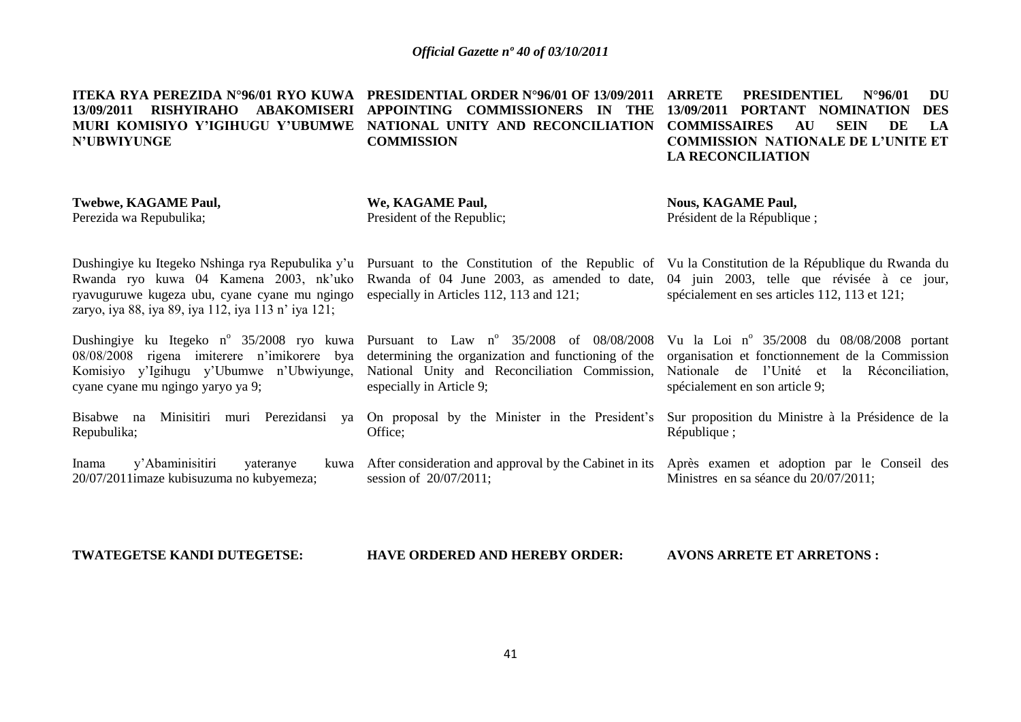**N'UBWIYUNGE**

**ITEKA RYA PEREZIDA N°96/01 RYO KUWA PRESIDENTIAL ORDER N°96/01 OF 13/09/2011 13/09/2011 RISHYIRAHO ABAKOMISERI APPOINTING COMMISSIONERS IN THE 13/09/2011 PORTANT NOMINATION DES MURI KOMISIYO Y'IGIHUGU Y'UBUMWE NATIONAL UNITY AND RECONCILIATION COMMISSAIRES AU SEIN DE LA COMMISSION**

**ARRETE PRESIDENTIEL N°96/01 DU COMMISSION NATIONALE DE L'UNITE ET LA RECONCILIATION**

**Twebwe, KAGAME Paul,** Perezida wa Repubulika;

**We, KAGAME Paul,** President of the Republic; **Nous, KAGAME Paul,** Président de la République ;

Rwanda ryo kuwa 04 Kamena 2003, nk'uko ryavuguruwe kugeza ubu, cyane cyane mu ngingo zaryo, iya 88, iya 89, iya 112, iya 113 n' iya 121;

Dushingiye ku Itegeko n<sup>o</sup> 35/2008 ryo kuwa 08/08/2008 rigena imiterere n'imikorere bya Komisiyo y'Igihugu y'Ubumwe n'Ubwiyunge, cyane cyane mu ngingo yaryo ya 9;

Bisabwe na Minisitiri muri Perezidansi ya On proposal by the Minister in the President's Repubulika;

Inama y'Abaminisitiri vateranye 20/07/2011imaze kubisuzuma no kubyemeza;

Dushingiye ku Itegeko Nshinga rya Repubulika y'u Pursuant to the Constitution of the Republic of Vu la Constitution de la République du Rwanda du Rwanda of 04 June 2003, as amended to date, 04 juin 2003, telle que révisée à ce jour, especially in Articles 112, 113 and 121;

> Pursuant to Law  $n^{\circ}$  35/2008 of 08/08/2008 determining the organization and functioning of the National Unity and Reconciliation Commission, especially in Article 9;

Office;

session of 20/07/2011;

spécialement en ses articles 112, 113 et 121;

Vu la Loi nº 35/2008 du 08/08/2008 portant organisation et fonctionnement de la Commission Nationale de l'Unité et la Réconciliation, spécialement en son article 9;

Sur proposition du Ministre à la Présidence de la République ;

After consideration and approval by the Cabinet in its Après examen et adoption par le Conseil des Ministres en sa séance du 20/07/2011;

**TWATEGETSE KANDI DUTEGETSE:**

**HAVE ORDERED AND HEREBY ORDER:**

**AVONS ARRETE ET ARRETONS :**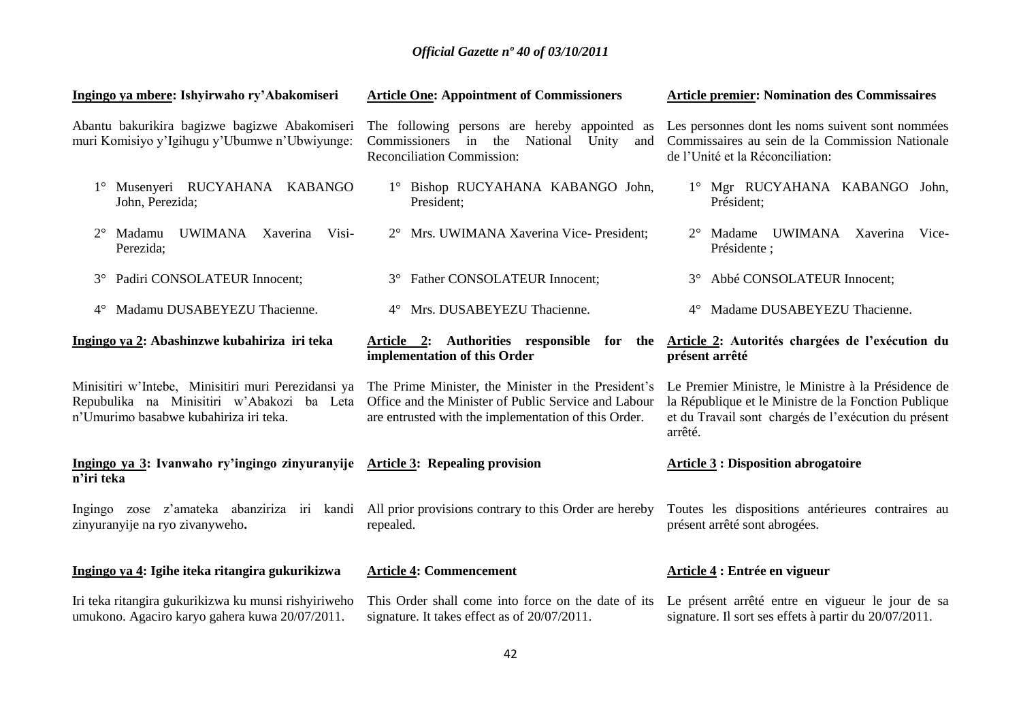| Ingingo ya mbere: Ishyirwaho ry'Abakomiseri                                                                                                 | <b>Article One: Appointment of Commissioners</b>                                                                                                                    | <b>Article premier: Nomination des Commissaires</b>                                                                                                                            |
|---------------------------------------------------------------------------------------------------------------------------------------------|---------------------------------------------------------------------------------------------------------------------------------------------------------------------|--------------------------------------------------------------------------------------------------------------------------------------------------------------------------------|
| Abantu bakurikira bagizwe bagizwe Abakomiseri<br>muri Komisiyo y'Igihugu y'Ubumwe n'Ubwiyunge:                                              | The following persons are hereby appointed as<br>Commissioners in the<br>National Unity<br>and<br>Reconciliation Commission:                                        | Les personnes dont les noms suivent sont nommées<br>Commissaires au sein de la Commission Nationale<br>de l'Unité et la Réconciliation:                                        |
| 1° Musenyeri RUCYAHANA KABANGO<br>John, Perezida;                                                                                           | 1° Bishop RUCYAHANA KABANGO John,<br>President;                                                                                                                     | 1° Mgr RUCYAHANA KABANGO John,<br>Président:                                                                                                                                   |
| Madamu<br>UWIMANA Xaverina<br>Visi-<br>$2^{\circ}$<br>Perezida;                                                                             | 2° Mrs. UWIMANA Xaverina Vice-President;                                                                                                                            | 2° Madame UWIMANA Xaverina<br>Vice-<br>Présidente ;                                                                                                                            |
| Padiri CONSOLATEUR Innocent;<br>$3^\circ$                                                                                                   | <b>Father CONSOLATEUR Innocent;</b><br>$3^\circ$                                                                                                                    | Abbé CONSOLATEUR Innocent;<br>$3^\circ$                                                                                                                                        |
| Madamu DUSABEYEZU Thacienne.<br>$4^{\circ}$                                                                                                 | 4° Mrs. DUSABEYEZU Thacienne.                                                                                                                                       | 4° Madame DUSABEYEZU Thacienne.                                                                                                                                                |
| Ingingo ya 2: Abashinzwe kubahiriza iri teka                                                                                                | Article 2: Authorities responsible for the<br>implementation of this Order                                                                                          | Article 2: Autorités chargées de l'exécution du<br>présent arrêté                                                                                                              |
| Minisitiri w'Intebe, Minisitiri muri Perezidansi ya<br>Repubulika na Minisitiri w'Abakozi ba Leta<br>n'Umurimo basabwe kubahiriza iri teka. | The Prime Minister, the Minister in the President's<br>Office and the Minister of Public Service and Labour<br>are entrusted with the implementation of this Order. | Le Premier Ministre, le Ministre à la Présidence de<br>la République et le Ministre de la Fonction Publique<br>et du Travail sont chargés de l'exécution du présent<br>arrêté. |
| Ingingo ya 3: Ivanwaho ry'ingingo zinyuranyije Article 3: Repealing provision<br>n'iri teka                                                 |                                                                                                                                                                     | <b>Article 3: Disposition abrogatoire</b>                                                                                                                                      |
| zinyuranyije na ryo zivanyweho.                                                                                                             | Ingingo zose z'amateka abanziriza iri kandi All prior provisions contrary to this Order are hereby<br>repealed.                                                     | Toutes les dispositions antérieures contraires au<br>présent arrêté sont abrogées.                                                                                             |
| Ingingo ya 4: Igihe iteka ritangira gukurikizwa                                                                                             | <b>Article 4: Commencement</b>                                                                                                                                      | Article 4 : Entrée en vigueur                                                                                                                                                  |
| Iri teka ritangira gukurikizwa ku munsi rishyiriweho<br>umukono. Agaciro karyo gahera kuwa 20/07/2011.                                      | This Order shall come into force on the date of its<br>signature. It takes effect as of 20/07/2011.                                                                 | Le présent arrêté entre en vigueur le jour de sa<br>signature. Il sort ses effets à partir du 20/07/2011.                                                                      |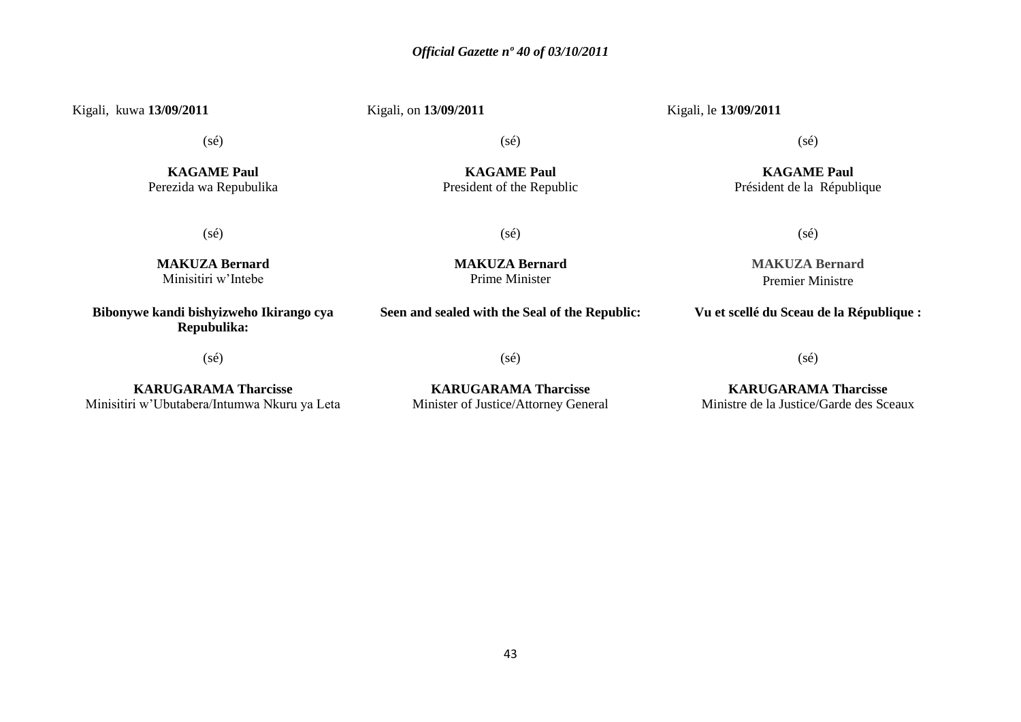Kigali, kuwa **13/09/2011** Kigali, on **13/09/2011** Kigali, le **13/09/2011** (sé) **KAGAME Paul** Perezida wa Repubulika (sé) **KAGAME Paul** President of the Republic (sé) **KAGAME Paul** Président de la République (sé) **MAKUZA Bernard** Minisitiri w'Intebe (sé) **MAKUZA Bernard** Prime Minister (sé) **MAKUZA Bernard** Premier Ministre **Bibonywe kandi bishyizweho Ikirango cya Repubulika: Seen and sealed with the Seal of the Republic:**

(sé)

(sé)

**KARUGARAMA Tharcisse** Minisitiri w'Ubutabera/Intumwa Nkuru ya Leta

**KARUGARAMA Tharcisse** Minister of Justice/Attorney General

**KARUGARAMA Tharcisse** Ministre de la Justice/Garde des Sceaux

(sé)

**Vu et scellé du Sceau de la République :**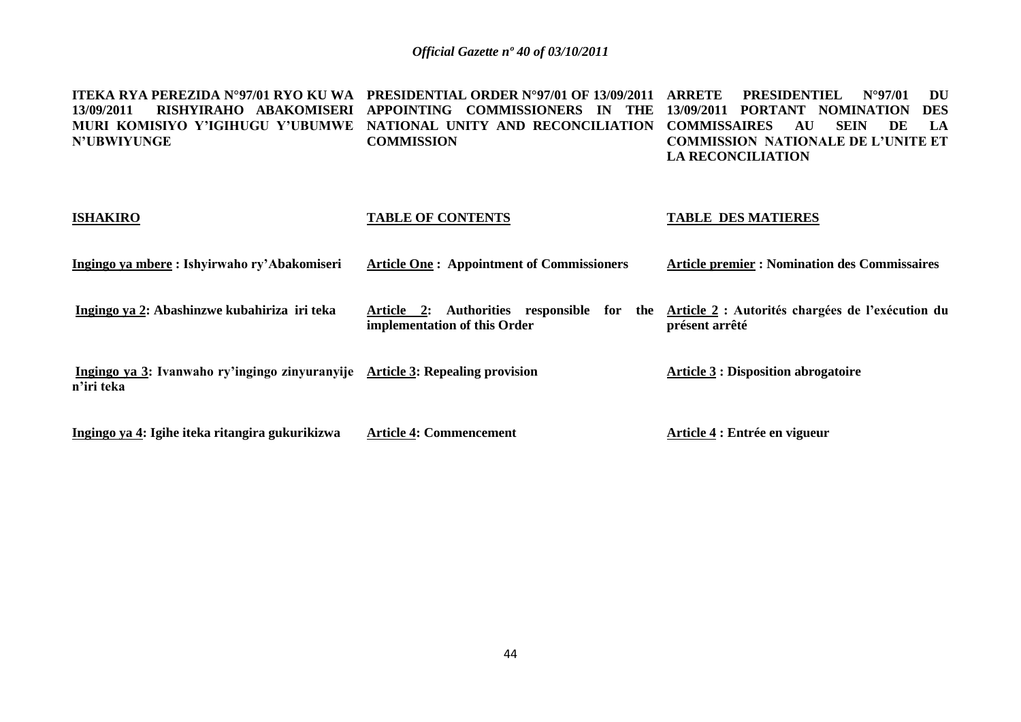**ITEKA RYA PEREZIDA N°97/01 RYO KU WA PRESIDENTIAL ORDER N°97/01 OF 13/09/2011 ARRETE PRESIDENTIEL N°97/01 DU 13/09/2011 RISHYIRAHO ABAKOMISERI APPOINTING COMMISSIONERS IN THE 13/09/2011 PORTANT NOMINATION DES MURI KOMISIYO Y'IGIHUGU Y'UBUMWE NATIONAL UNITY AND RECONCILIATION COMMISSAIRES AU SEIN DE LA N'UBWIYUNGE COMMISSION COMMISSION NATIONALE DE L'UNITE ET LA RECONCILIATION**

| <b>ISHAKIRO</b>                                                                             | <b>TABLE OF CONTENTS</b>                                                      | <b>TABLE DES MATIERES</b>                                          |
|---------------------------------------------------------------------------------------------|-------------------------------------------------------------------------------|--------------------------------------------------------------------|
| Ingingo ya mbere: Ishyirwaho ry'Abakomiseri                                                 | <b>Article One: Appointment of Commissioners</b>                              | <b>Article premier : Nomination des Commissaires</b>               |
| Ingingo ya 2: Abashinzwe kubahiriza iri teka                                                | Authorities responsible for the<br>Article 2:<br>implementation of this Order | Article 2 : Autorités chargées de l'exécution du<br>présent arrêté |
| Ingingo ya 3: Ivanwaho ry'ingingo zinyuranyije Article 3: Repealing provision<br>n'iri teka |                                                                               | <b>Article 3 : Disposition abrogatoire</b>                         |
| Ingingo ya 4: Igihe iteka ritangira gukurikizwa                                             | <b>Article 4: Commencement</b>                                                | Article 4 : Entrée en vigueur                                      |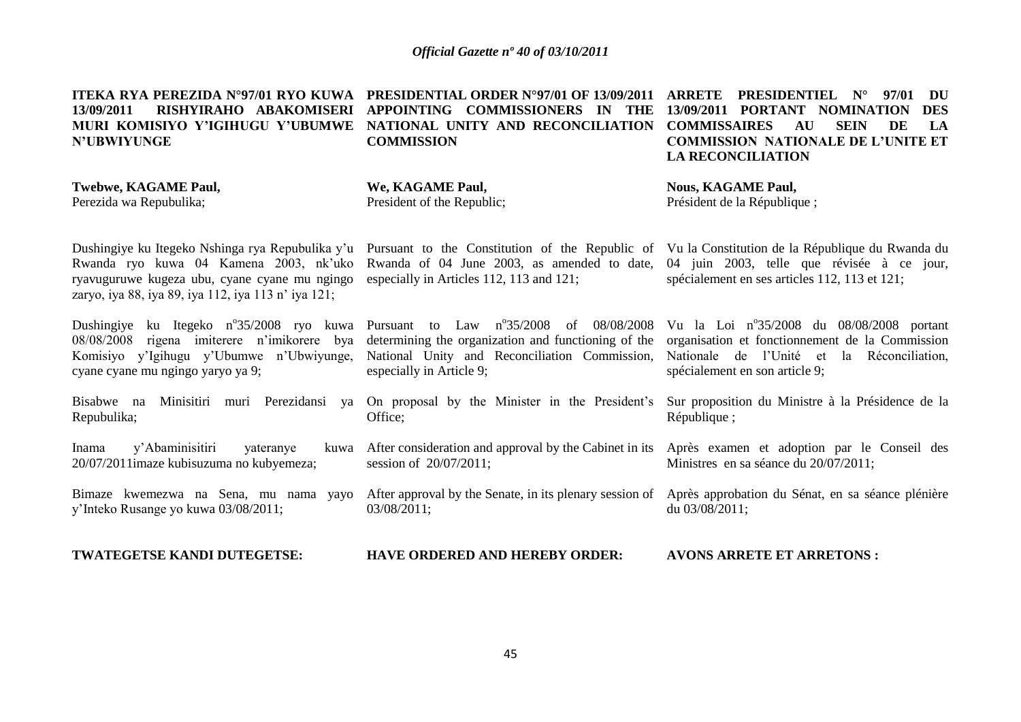**13/09/2011 RISHYIRAHO ABAKOMISERI APPOINTING COMMISSIONERS IN THE MURI KOMISIYO Y'IGIHUGU Y'UBUMWE NATIONAL UNITY AND RECONCILIATION N'UBWIYUNGE**

**Twebwe, KAGAME Paul,**

Perezida wa Repubulika;

**ITEKA RYA PEREZIDA N°97/01 RYO KUWA PRESIDENTIAL ORDER N°97/01 OF 13/09/2011 ARRETE PRESIDENTIEL N° 97/01 DU COMMISSION**

Rwanda of 04 June 2003, as amended to date,

determining the organization and functioning of the National Unity and Reconciliation Commission,

After consideration and approval by the Cabinet in its

especially in Articles 112, 113 and 121;

**13/09/2011 PORTANT NOMINATION DES COMMISSAIRES AU SEIN DE LA COMMISSION NATIONALE DE L'UNITE ET LA RECONCILIATION**

**We, KAGAME Paul,** President of the Republic; **Nous, KAGAME Paul,**

Dushingiye ku Itegeko Nshinga rya Repubulika y'u Rwanda ryo kuwa 04 Kamena 2003, nk'uko ryavuguruwe kugeza ubu, cyane cyane mu ngingo zaryo, iya 88, iya 89, iya 112, iya 113 n' iya 121;

Dushingiye ku Itegeko n°35/2008 ryo kuwa 08/08/2008 rigena imiterere n'imikorere bya Komisiyo y'Igihugu y'Ubumwe n'Ubwiyunge, cyane cyane mu ngingo yaryo ya 9;

Bisabwe na Minisitiri muri Perezidansi ya Repubulika; On proposal by the Minister in the President's

Inama y'Abaminisitiri yateranye kuwa 20/07/2011imaze kubisuzuma no kubyemeza;

y'Inteko Rusange yo kuwa 03/08/2011;

03/08/2011;

session of 20/07/2011;

especially in Article 9;

Office;

Président de la République ;

Pursuant to the Constitution of the Republic of Vu la Constitution de la République du Rwanda du 04 juin 2003, telle que révisée à ce jour, spécialement en ses articles 112, 113 et 121;

Pursuant to Law nº35/2008 of 08/08/2008 Vu la Loi nº35/2008 du 08/08/2008 portant organisation et fonctionnement de la Commission Nationale de l'Unité et la Réconciliation, spécialement en son article 9;

> Sur proposition du Ministre à la Présidence de la République ;

> Après examen et adoption par le Conseil des Ministres en sa séance du 20/07/2011;

Bimaze kwemezwa na Sena, mu nama yayo After approval by the Senate, in its plenary session of Après approbation du Sénat, en sa séance plénière du 03/08/2011;

```
TWATEGETSE KANDI DUTEGETSE:
                       HAVE ORDERED AND HEREBY ORDER:
                                                          AVONS ARRETE ET ARRETONS :
```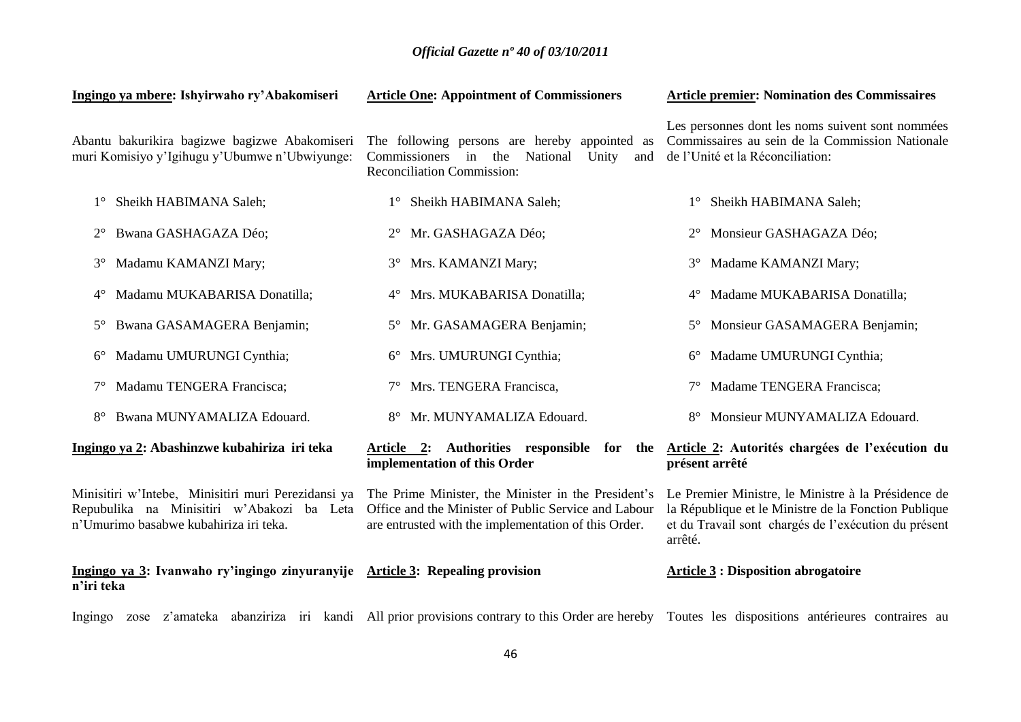| Ingingo ya mbere: Ishyirwaho ry'Abakomiseri                                                                                                 | <b>Article One: Appointment of Commissioners</b>                                                                                                                    | <b>Article premier: Nomination des Commissaires</b>                                                                                                                            |
|---------------------------------------------------------------------------------------------------------------------------------------------|---------------------------------------------------------------------------------------------------------------------------------------------------------------------|--------------------------------------------------------------------------------------------------------------------------------------------------------------------------------|
| Abantu bakurikira bagizwe bagizwe Abakomiseri<br>muri Komisiyo y'Igihugu y'Ubumwe n'Ubwiyunge:                                              | The following persons are hereby appointed as<br>Commissioners in the<br>National<br>Unity<br>and<br><b>Reconciliation Commission:</b>                              | Les personnes dont les noms suivent sont nommées<br>Commissaires au sein de la Commission Nationale<br>de l'Unité et la Réconciliation:                                        |
| Sheikh HABIMANA Saleh;                                                                                                                      | 1° Sheikh HABIMANA Saleh;                                                                                                                                           | Sheikh HABIMANA Saleh;<br>$1^{\circ}$                                                                                                                                          |
| Bwana GASHAGAZA Déo;                                                                                                                        | Mr. GASHAGAZA Déo;<br>$2^{\circ}$                                                                                                                                   | Monsieur GASHAGAZA Déo;<br>$2^{\circ}$                                                                                                                                         |
| Madamu KAMANZI Mary;<br>$3^\circ$                                                                                                           | Mrs. KAMANZI Mary;<br>$3^\circ$                                                                                                                                     | Madame KAMANZI Mary;<br>$3^\circ$                                                                                                                                              |
| Madamu MUKABARISA Donatilla;<br>$4^{\circ}$                                                                                                 | Mrs. MUKABARISA Donatilla;<br>$4^{\circ}$                                                                                                                           | Madame MUKABARISA Donatilla;<br>$4^{\circ}$                                                                                                                                    |
| Bwana GASAMAGERA Benjamin;<br>$5^{\circ}$                                                                                                   | Mr. GASAMAGERA Benjamin;<br>$5^{\circ}$                                                                                                                             | Monsieur GASAMAGERA Benjamin;<br>$5^{\circ}$                                                                                                                                   |
| Madamu UMURUNGI Cynthia;<br>$6^{\circ}$                                                                                                     | Mrs. UMURUNGI Cynthia;<br>$6^{\circ}$                                                                                                                               | Madame UMURUNGI Cynthia;<br>$6^{\circ}$                                                                                                                                        |
| Madamu TENGERA Francisca;                                                                                                                   | Mrs. TENGERA Francisca,<br>$7^{\circ}$                                                                                                                              | Madame TENGERA Francisca;                                                                                                                                                      |
| Bwana MUNYAMALIZA Edouard.<br>$8^{\circ}$                                                                                                   | Mr. MUNYAMALIZA Edouard.<br>$8^{\circ}$                                                                                                                             | Monsieur MUNYAMALIZA Edouard.<br>$8^{\circ}$                                                                                                                                   |
| Ingingo ya 2: Abashinzwe kubahiriza iri teka                                                                                                | Article 2: Authorities responsible for the<br>implementation of this Order                                                                                          | Article 2: Autorités chargées de l'exécution du<br>présent arrêté                                                                                                              |
| Minisitiri w'Intebe, Minisitiri muri Perezidansi ya<br>Repubulika na Minisitiri w'Abakozi ba Leta<br>n'Umurimo basabwe kubahiriza iri teka. | The Prime Minister, the Minister in the President's<br>Office and the Minister of Public Service and Labour<br>are entrusted with the implementation of this Order. | Le Premier Ministre, le Ministre à la Présidence de<br>la République et le Ministre de la Fonction Publique<br>et du Travail sont chargés de l'exécution du présent<br>arrêté. |
| Ingingo ya 3: Ivanwaho ry'ingingo zinyuranyije Article 3: Repealing provision<br>n'iri teka                                                 |                                                                                                                                                                     | <b>Article 3: Disposition abrogatoire</b>                                                                                                                                      |
|                                                                                                                                             |                                                                                                                                                                     |                                                                                                                                                                                |

Ingingo zose z'amateka abanziriza iri kandi All-prior-provisions-contrary-to-this-Order-are-hereby Toutes les dispositions antérieures contraires au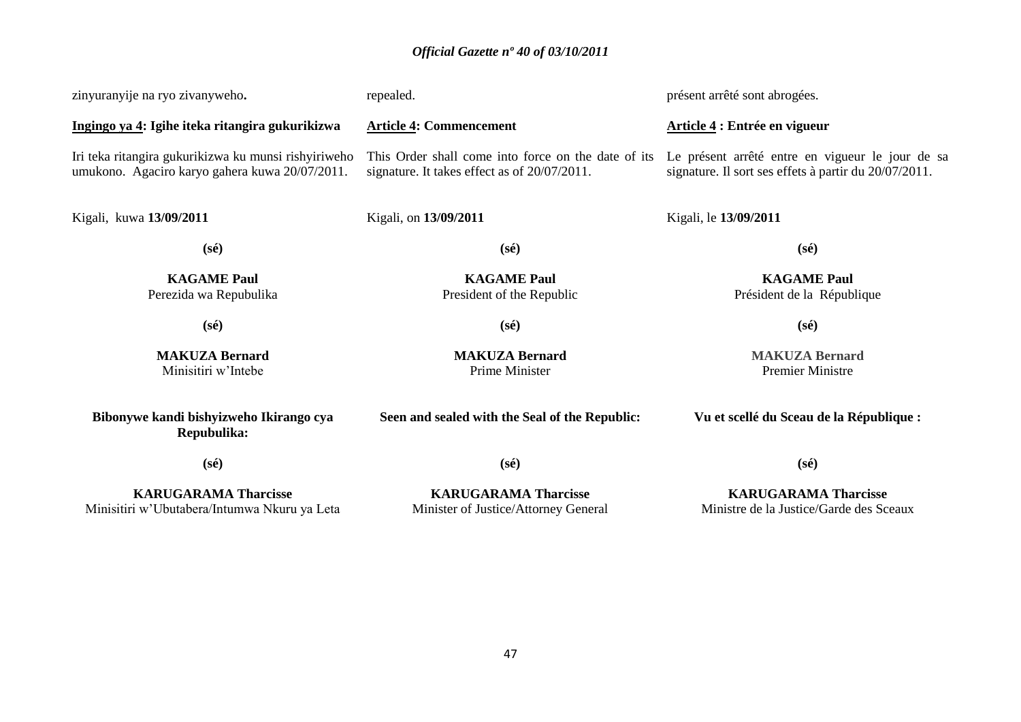| zinyuranyije na ryo zivanyweho.                                                                        | repealed.                                                                                           | présent arrêté sont abrogées.                                                                             |
|--------------------------------------------------------------------------------------------------------|-----------------------------------------------------------------------------------------------------|-----------------------------------------------------------------------------------------------------------|
| Ingingo ya 4: Igihe iteka ritangira gukurikizwa                                                        | <b>Article 4: Commencement</b>                                                                      | Article 4 : Entrée en vigueur                                                                             |
| Iri teka ritangira gukurikizwa ku munsi rishyiriweho<br>umukono. Agaciro karyo gahera kuwa 20/07/2011. | This Order shall come into force on the date of its<br>signature. It takes effect as of 20/07/2011. | Le présent arrêté entre en vigueur le jour de sa<br>signature. Il sort ses effets à partir du 20/07/2011. |
| Kigali, kuwa 13/09/2011                                                                                | Kigali, on 13/09/2011                                                                               | Kigali, le 13/09/2011                                                                                     |
| $(s\acute{e})$                                                                                         | $(s\acute{e})$                                                                                      | $(s\acute{e})$                                                                                            |
| <b>KAGAME Paul</b><br>Perezida wa Repubulika                                                           | <b>KAGAME Paul</b><br>President of the Republic                                                     | <b>KAGAME Paul</b><br>Président de la République                                                          |
| $(s\acute{e})$                                                                                         | $(s\acute{e})$                                                                                      | $(s\acute{e})$                                                                                            |
| <b>MAKUZA Bernard</b><br>Minisitiri w'Intebe                                                           | <b>MAKUZA Bernard</b><br>Prime Minister                                                             | <b>MAKUZA Bernard</b><br><b>Premier Ministre</b>                                                          |
| Bibonywe kandi bishyizweho Ikirango cya<br>Repubulika:                                                 | Seen and sealed with the Seal of the Republic:                                                      | Vu et scellé du Sceau de la République :                                                                  |
| $(s\acute{e})$                                                                                         | $(s\acute{e})$                                                                                      | $(s\acute{e})$                                                                                            |
| <b>KARUGARAMA Tharcisse</b><br>Minisitiri w'Ubutabera/Intumwa Nkuru ya Leta                            | <b>KARUGARAMA Tharcisse</b><br>Minister of Justice/Attorney General                                 | <b>KARUGARAMA Tharcisse</b><br>Ministre de la Justice/Garde des Sceaux                                    |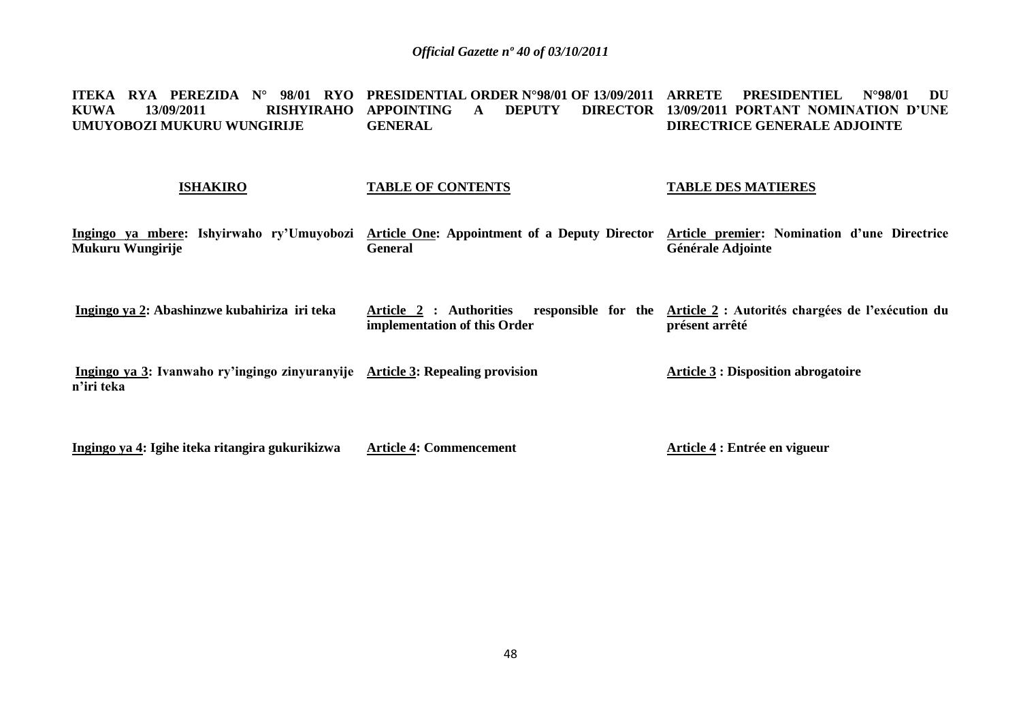**ITEKA RYA PEREZIDA N° 98/01 RYO PRESIDENTIAL ORDER N°98/01 OF 13/09/2011 ARRETE PRESIDENTIEL N°98/01 DU KUWA 13/09/2011 RISHYIRAHO APPOINTING A DEPUTY DIRECTOR UMUYOBOZI MUKURU WUNGIRIJE GENERAL 13/09/2011 PORTANT NOMINATION D'UNE DIRECTRICE GENERALE ADJOINTE** 

### **ISHAKIRO**

### **TABLE OF CONTENTS**

### **TABLE DES MATIERES**

**Ingingo ya mbere: Ishyirwaho ry'Umuyobozi Mukuru Wungirije Article One: Appointment of a Deputy Director General Article premier: Nomination d'une Directrice Générale Adjointe**

**Ingingo ya 2: Abashinzwe kubahiriza iri teka** Article 2 : Authorities **implementation of this Order Article 2 : Autorités chargées de l'exécution du présent arrêté**

**Ingingo ya 3: Ivanwaho ry'ingingo zinyuranyije Article 3: Repealing provision n'iri teka Article 3 : Disposition abrogatoire**

**Ingingo ya 4: Igihe iteka ritangira gukurikizwa Article 4: Commencement Article 4 : Entrée en vigueur**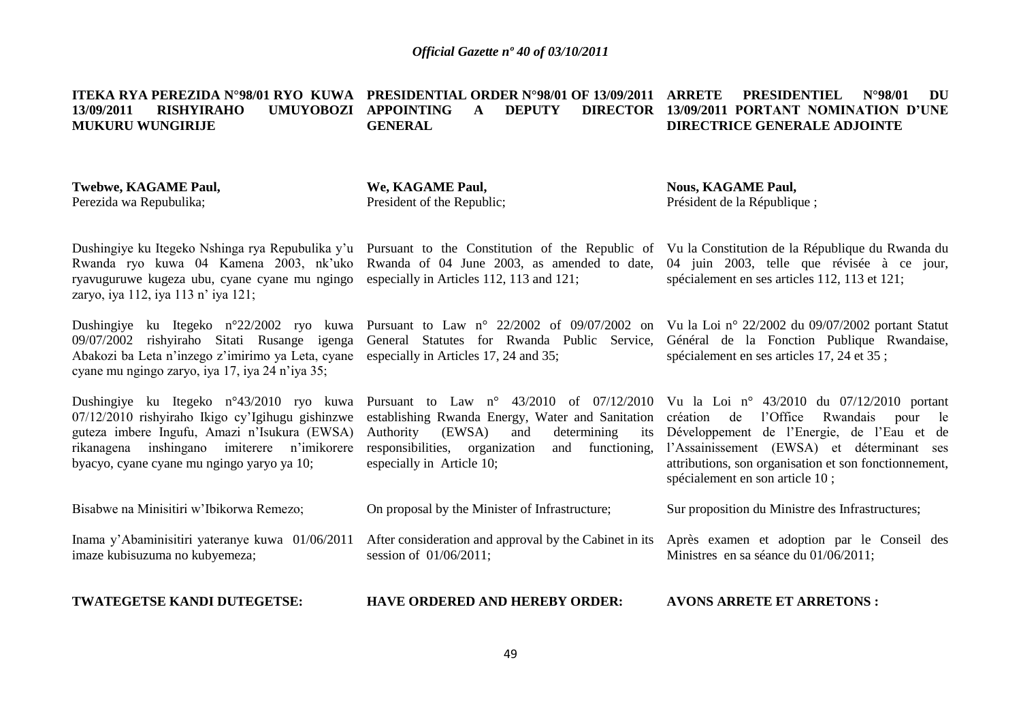**ITEKA RYA PEREZIDA N°98/01 RYO KUWA PRESIDENTIAL ORDER N°98/01 OF 13/09/2011 ARRETE PRESIDENTIEL N°98/01 DU 13/09/2011 RISHYIRAHO UMUYOBOZI APPOINTING A DEPUTY DIRECTOR MUKURU WUNGIRIJE GENERAL 13/09/2011 PORTANT NOMINATION D'UNE DIRECTRICE GENERALE ADJOINTE** 

**Twebwe, KAGAME Paul,** Perezida wa Repubulika;

**We, KAGAME Paul,** President of the Republic; **Nous, KAGAME Paul,** Président de la République ;

Rwanda ryo kuwa 04 Kamena 2003, nk'uko Rwanda of 04 June 2003, as amended to date, ryavuguruwe kugeza ubu, cyane cyane mu ngingo especially in Articles 112, 113 and 121; zaryo, iya 112, iya 113 n' iya 121;

09/07/2002 rishyiraho Sitati Rusange igenga Abakozi ba Leta n'inzego z'imirimo ya Leta, cyane especially in Articles 17, 24 and 35; cyane mu ngingo zaryo, iya 17, iya 24 n'iya 35;

Dushingiye ku Itegeko n°43/2010 ryo kuwa 07/12/2010 rishyiraho Ikigo cy'Igihugu gishinzwe guteza imbere Ingufu, Amazi n'Isukura (EWSA) rikanagena inshingano imiterere n'imikorere byacyo, cyane cyane mu ngingo yaryo ya 10;

Bisabwe na Minisitiri w'Ibikorwa Remezo;

Inama y'Abaminisitiri yateranye kuwa 01/06/2011 imaze kubisuzuma no kubyemeza;

**TWATEGETSE KANDI DUTEGETSE:**

Dushingiye ku Itegeko n°22/2002 ryo kuwa Pursuant to Law n° 22/2002 of 09/07/2002 on Vu la Loi n° 22/2002 du 09/07/2002 portant Statut General Statutes for Rwanda Public Service, Général de la Fonction Publique Rwandaise,

> establishing Rwanda Energy, Water and Sanitation Authority (EWSA) and determining its responsibilities, organization and functioning, especially in Article 10;

On proposal by the Minister of Infrastructure;

session of 01/06/2011;

Dushingiye ku Itegeko Nshinga rya Repubulika y'u Pursuant to the Constitution of the Republic of Vu la Constitution de la République du Rwanda du 04 juin 2003, telle que révisée à ce jour, spécialement en ses articles 112, 113 et 121;

spécialement en ses articles 17, 24 et 35 ;

Pursuant to Law n° 43/2010 of 07/12/2010 Vu la Loi n° 43/2010 du 07/12/2010 portant création de l'Office Rwandais pour le Développement de l'Energie, de l'Eau et de l'Assainissement (EWSA) et déterminant ses attributions, son organisation et son fonctionnement, spécialement en son article 10 ;

Sur proposition du Ministre des Infrastructures;

After consideration and approval by the Cabinet in its Après examen et adoption par le Conseil des Ministres en sa séance du 01/06/2011;

**HAVE ORDERED AND HEREBY ORDER: AVONS ARRETE ET ARRETONS :**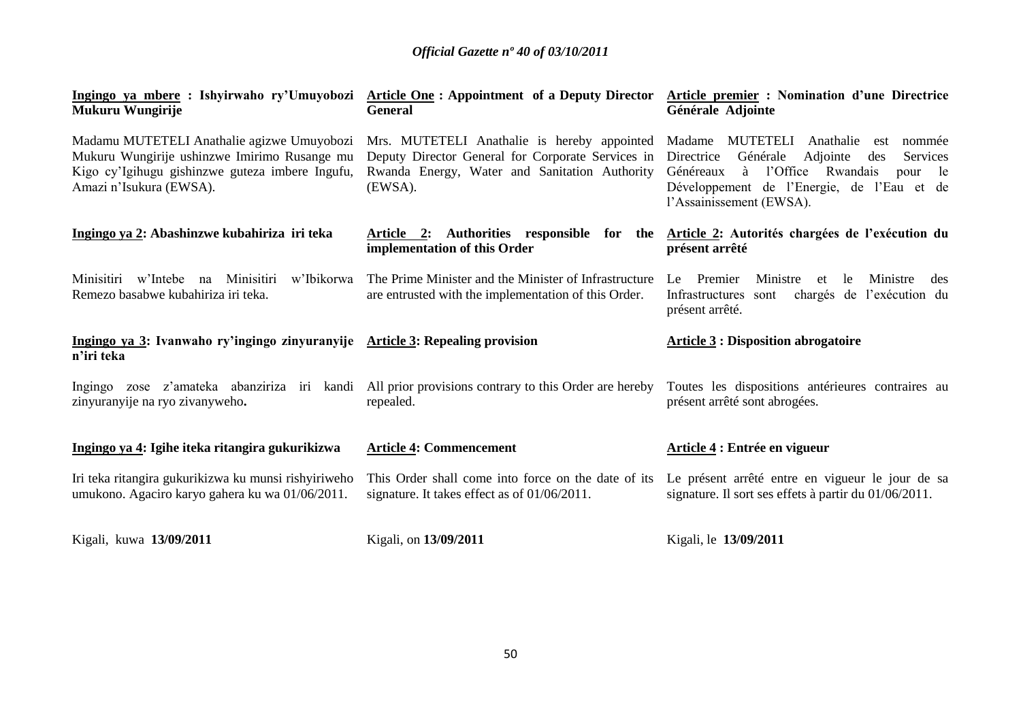| Ingingo ya mbere : Ishyirwaho ry'Umuyobozi<br>Mukuru Wungirije                                                                                                           | <b>Article One: Appointment of a Deputy Director</b><br><b>General</b>                                                                                       | <b>Article premier : Nomination d'une Directrice</b><br>Générale Adjointe                                                                                                                                                             |
|--------------------------------------------------------------------------------------------------------------------------------------------------------------------------|--------------------------------------------------------------------------------------------------------------------------------------------------------------|---------------------------------------------------------------------------------------------------------------------------------------------------------------------------------------------------------------------------------------|
| Madamu MUTETELI Anathalie agizwe Umuyobozi<br>Mukuru Wungirije ushinzwe Imirimo Rusange mu<br>Kigo cy'Igihugu gishinzwe guteza imbere Ingufu,<br>Amazi n'Isukura (EWSA). | Mrs. MUTETELI Anathalie is hereby appointed<br>Deputy Director General for Corporate Services in<br>Rwanda Energy, Water and Sanitation Authority<br>(EWSA). | MUTETELI Anathalie<br>Madame<br>nommée<br>est<br>Directrice<br>Générale<br>Adjointe<br>Services<br>des<br>l'Office Rwandais<br>Généreaux<br>à<br>le<br>pour<br>Développement de l'Energie, de l'Eau et de<br>l'Assainissement (EWSA). |
| Ingingo ya 2: Abashinzwe kubahiriza iri teka                                                                                                                             | Article 2: Authorities responsible for the<br>implementation of this Order                                                                                   | Article 2: Autorités chargées de l'exécution du<br>présent arrêté                                                                                                                                                                     |
| Minisitiri w'Intebe na Minisitiri<br>w'Ibikorwa<br>Remezo basabwe kubahiriza iri teka.                                                                                   | The Prime Minister and the Minister of Infrastructure<br>are entrusted with the implementation of this Order.                                                | Ministre<br>Le Premier<br>Ministre<br>le.<br>et<br>des<br>chargés de l'exécution du<br>Infrastructures sont<br>présent arrêté.                                                                                                        |
| Ingingo ya 3: Ivanwaho ry'ingingo zinyuranyije Article 3: Repealing provision<br>n'iri teka                                                                              |                                                                                                                                                              | <b>Article 3 : Disposition abrogatoire</b>                                                                                                                                                                                            |
| zinyuranyije na ryo zivanyweho.                                                                                                                                          | Ingingo zose z'amateka abanziriza iri kandi All prior provisions contrary to this Order are hereby<br>repealed.                                              | Toutes les dispositions antérieures contraires au<br>présent arrêté sont abrogées.                                                                                                                                                    |
| Ingingo ya 4: Igihe iteka ritangira gukurikizwa                                                                                                                          | <b>Article 4: Commencement</b>                                                                                                                               | Article 4 : Entrée en vigueur                                                                                                                                                                                                         |
| Iri teka ritangira gukurikizwa ku munsi rishyiriweho<br>umukono. Agaciro karyo gahera ku wa 01/06/2011.                                                                  | This Order shall come into force on the date of its<br>signature. It takes effect as of $01/06/2011$ .                                                       | Le présent arrêté entre en vigueur le jour de sa<br>signature. Il sort ses effets à partir du 01/06/2011.                                                                                                                             |
| Kigali, kuwa 13/09/2011                                                                                                                                                  | Kigali, on 13/09/2011                                                                                                                                        | Kigali, le 13/09/2011                                                                                                                                                                                                                 |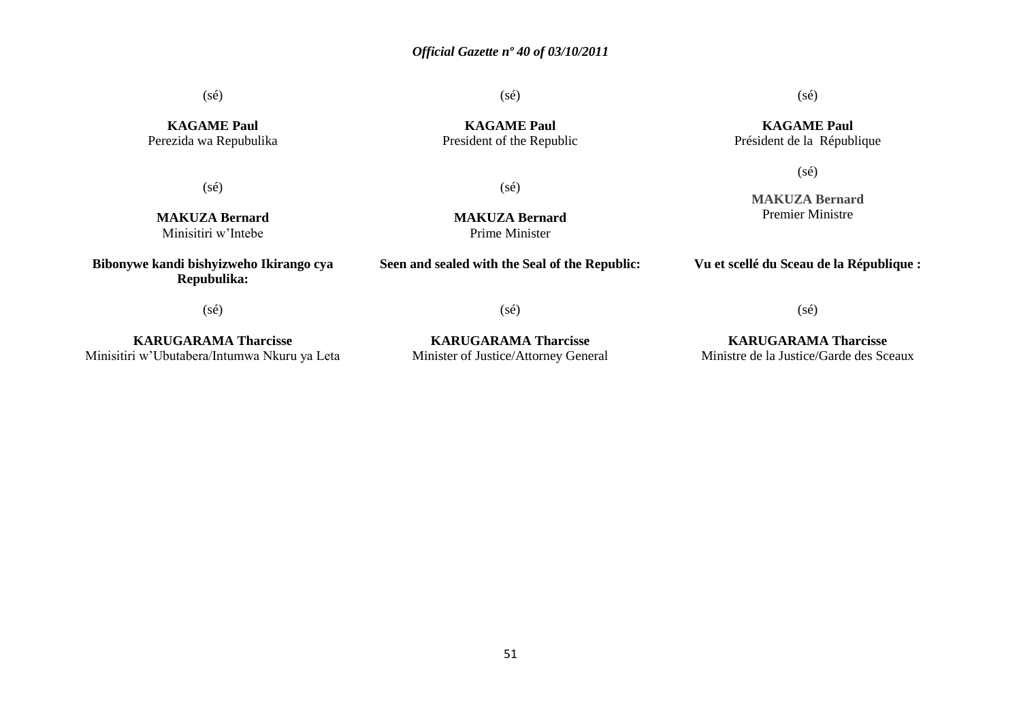(sé)

**KAGAME Paul** Perezida wa Repubulika

(sé)

**MAKUZA Bernard** Minisitiri w'Intebe

**Bibonywe kandi bishyizweho Ikirango cya Repubulika:**

**KAGAME Paul** President of the Republic

(sé)

(sé)

**MAKUZA Bernard** Prime Minister

**Seen and sealed with the Seal of the Republic:**

**MAKUZA Bernard** Premier Ministre

**Vu et scellé du Sceau de la République :**

(sé)

**KARUGARAMA Tharcisse** Minisitiri w'Ubutabera/Intumwa Nkuru ya Leta

**KARUGARAMA Tharcisse** Minister of Justice/Attorney General

(sé)

**KARUGARAMA Tharcisse** Ministre de la Justice/Garde des Sceaux

(sé)

(sé)

**KAGAME Paul** Président de la République

(sé)

51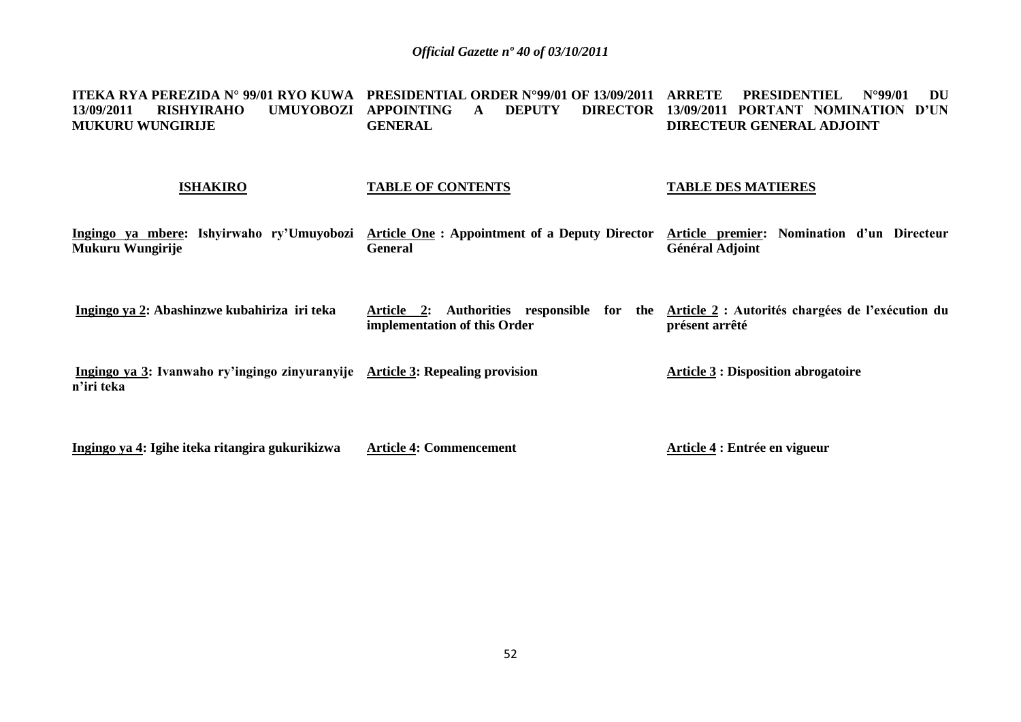**ITEKA RYA PEREZIDA N° 99/01 RYO KUWA PRESIDENTIAL ORDER N°99/01 OF 13/09/2011 ARRETE PRESIDENTIEL N°99/01 DU 13/09/2011 RISHYIRAHO UMUYOBOZI APPOINTING A DEPUTY DIRECTOR MUKURU WUNGIRIJE GENERAL 13/09/2011 PORTANT NOMINATION D'UN DIRECTEUR GENERAL ADJOINT** 

### **ISHAKIRO**

### **TABLE OF CONTENTS**

### **TABLE DES MATIERES**

**Ingingo ya mbere: Ishyirwaho ry'Umuyobozi Mukuru Wungirije Article One : Appointment of a Deputy Director General Article premier: Nomination d'un Directeur Général Adjoint**

**Ingingo ya 2: Abashinzwe kubahiriza iri teka Article 2: Authorities responsible for the Article 2 : Autorités chargées de l'exécution du implementation of this Order présent arrêté**

**Ingingo ya 3: Ivanwaho ry'ingingo zinyuranyije Article 3: Repealing provision n'iri teka Article 3 : Disposition abrogatoire**

**Ingingo ya 4: Igihe iteka ritangira gukurikizwa Article 4: Commencement Article 4 : Entrée en vigueur**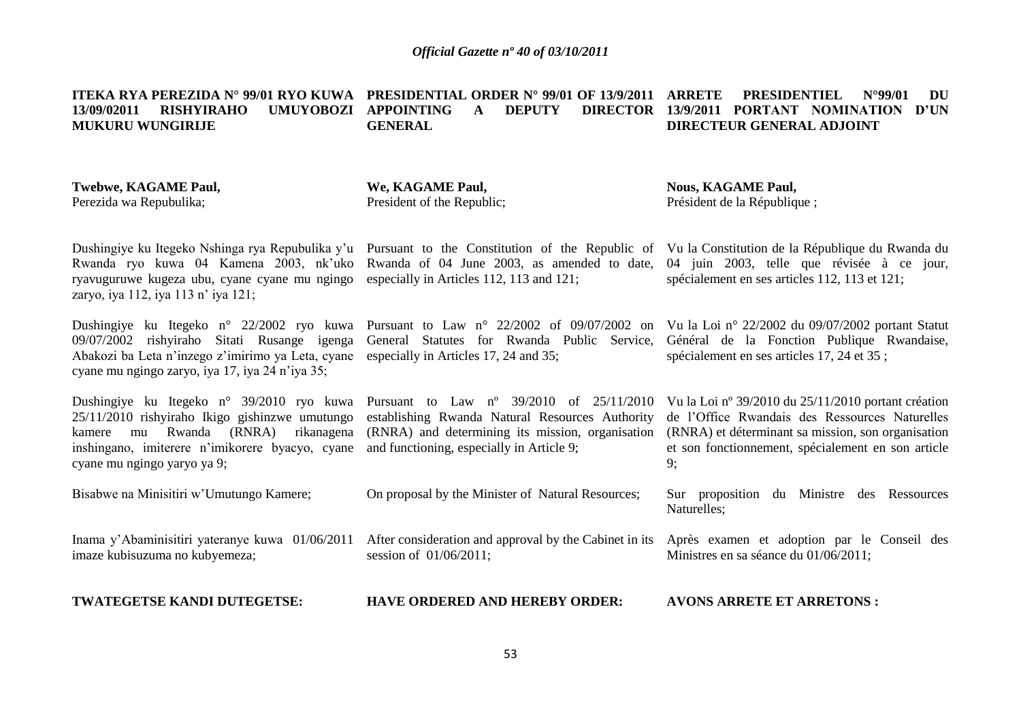**ITEKA RYA PEREZIDA N° 99/01 RYO KUWA PRESIDENTIAL ORDER N° 99/01 OF 13/9/2011 ARRETE PRESIDENTIEL N°99/01 DU 13/09/02011 RISHYIRAHO UMUYOBOZI APPOINTING A DEPUTY DIRECTOR 13/9/2011 PORTANT NOMINATION D'UN MUKURU WUNGIRIJE GENERAL DIRECTEUR GENERAL ADJOINT** 

| Twebwe, KAGAME Paul,<br>Perezida wa Repubulika;                                                                                                                                                  | We, KAGAME Paul,<br>President of the Republic;                                                                                                                                                                                           | <b>Nous, KAGAME Paul,</b><br>Président de la République;                                                                                                                                                                |
|--------------------------------------------------------------------------------------------------------------------------------------------------------------------------------------------------|------------------------------------------------------------------------------------------------------------------------------------------------------------------------------------------------------------------------------------------|-------------------------------------------------------------------------------------------------------------------------------------------------------------------------------------------------------------------------|
| ryavuguruwe kugeza ubu, cyane cyane mu ngingo<br>zaryo, iya 112, iya 113 n' iya 121;                                                                                                             | Dushingiye ku Itegeko Nshinga rya Repubulika y'u Pursuant to the Constitution of the Republic of<br>Rwanda ryo kuwa 04 Kamena 2003, nk'uko Rwanda of 04 June 2003, as amended to date,<br>especially in Articles 112, 113 and 121;       | Vu la Constitution de la République du Rwanda du<br>04 juin 2003, telle que révisée à ce jour,<br>spécialement en ses articles 112, 113 et 121;                                                                         |
| Dushingiye ku Itegeko n° 22/2002 ryo kuwa<br>09/07/2002 rishyiraho Sitati Rusange igenga<br>Abakozi ba Leta n'inzego z'imirimo ya Leta, cyane<br>cyane mu ngingo zaryo, iya 17, iya 24 n'iya 35; | Pursuant to Law $n^{\circ}$ 22/2002 of 09/07/2002 on<br>General Statutes for Rwanda Public Service,<br>especially in Articles 17, 24 and 35;                                                                                             | Vu la Loi nº 22/2002 du $09/07/2002$ portant Statut<br>Général de la Fonction Publique Rwandaise,<br>spécialement en ses articles 17, 24 et 35;                                                                         |
| 25/11/2010 rishyiraho Ikigo gishinzwe umutungo<br>mu Rwanda (RNRA) rikanagena<br>kamere<br>inshingano, imiterere n'imikorere byacyo, cyane<br>cyane mu ngingo yaryo ya 9;                        | Dushingiye ku Itegeko n° 39/2010 ryo kuwa Pursuant to Law n° 39/2010 of $25/11/2010$<br>establishing Rwanda Natural Resources Authority<br>(RNRA) and determining its mission, organisation<br>and functioning, especially in Article 9; | Vu la Loi nº 39/2010 du 25/11/2010 portant création<br>de l'Office Rwandais des Ressources Naturelles<br>(RNRA) et déterminant sa mission, son organisation<br>et son fonctionnement, spécialement en son article<br>9; |
| Bisabwe na Minisitiri w'Umutungo Kamere;                                                                                                                                                         | On proposal by the Minister of Natural Resources;                                                                                                                                                                                        | Sur proposition<br>du Ministre<br>des Ressources<br>Naturelles;                                                                                                                                                         |

Inama y'Abaminisitiri yateranye kuwa 01/06/2011 After consideration and approval by the Cabinet in its Après examen et adoption par le Conseil des imaze kubisuzuma no kubyemeza; session of 01/06/2011; Ministres en sa séance du 01/06/2011;

**TWATEGETSE KANDI DUTEGETSE:**

**HAVE ORDERED AND HEREBY ORDER: AVONS ARRETE ET ARRETONS :**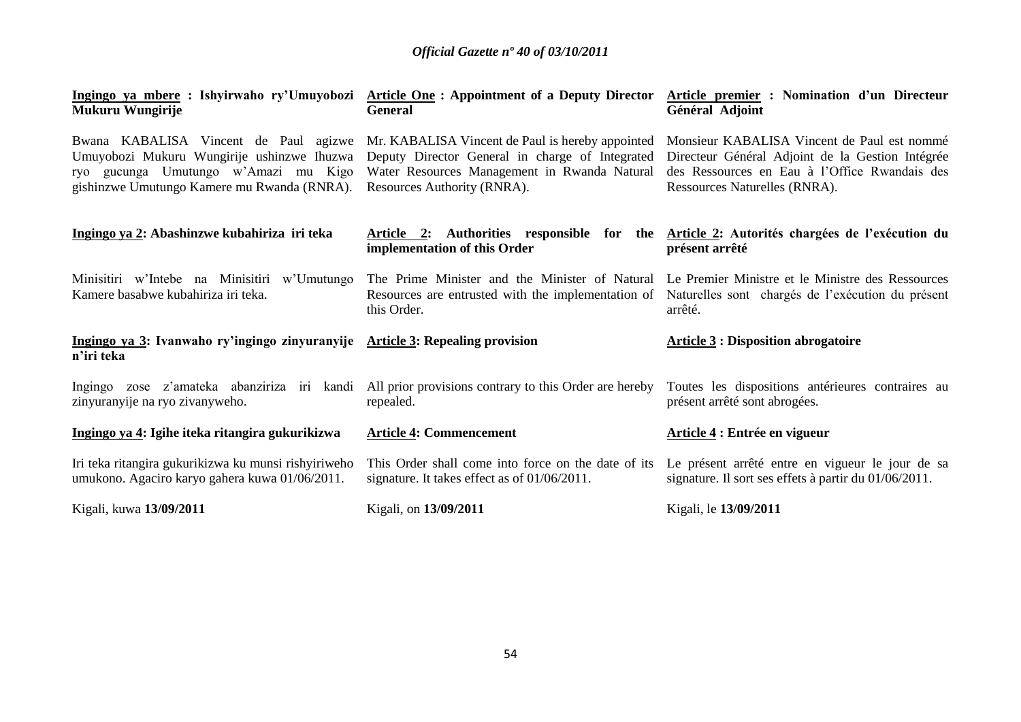| Ingingo ya mbere : Ishyirwaho ry'Umuyobozi<br>Mukuru Wungirije                                                                                                             | <b>Article One: Appointment of a Deputy Director</b><br><b>General</b>                                                                                                             | <b>Article premier : Nomination d'un Directeur</b><br>Général Adjoint                                                                                                             |
|----------------------------------------------------------------------------------------------------------------------------------------------------------------------------|------------------------------------------------------------------------------------------------------------------------------------------------------------------------------------|-----------------------------------------------------------------------------------------------------------------------------------------------------------------------------------|
| Bwana KABALISA Vincent de Paul agizwe<br>Umuyobozi Mukuru Wungirije ushinzwe Ihuzwa<br>ryo gucunga Umutungo w'Amazi mu Kigo<br>gishinzwe Umutungo Kamere mu Rwanda (RNRA). | Mr. KABALISA Vincent de Paul is hereby appointed<br>Deputy Director General in charge of Integrated<br>Water Resources Management in Rwanda Natural<br>Resources Authority (RNRA). | Monsieur KABALISA Vincent de Paul est nommé<br>Directeur Général Adjoint de la Gestion Intégrée<br>des Ressources en Eau à l'Office Rwandais des<br>Ressources Naturelles (RNRA). |
| Ingingo ya 2: Abashinzwe kubahiriza iri teka                                                                                                                               | Article 2: Authorities responsible for the<br>implementation of this Order                                                                                                         | Article 2: Autorités chargées de l'exécution du<br>présent arrêté                                                                                                                 |
| Minisitiri w'Intebe na Minisitiri w'Umutungo<br>Kamere basabwe kubahiriza iri teka.                                                                                        | The Prime Minister and the Minister of Natural Le Premier Ministre et le Ministre des Ressources<br>Resources are entrusted with the implementation of<br>this Order.              | Naturelles sont chargés de l'exécution du présent<br>arrêté.                                                                                                                      |
| Ingingo ya 3: Ivanwaho ry'ingingo zinyuranyije Article 3: Repealing provision<br>n'iri teka                                                                                |                                                                                                                                                                                    | <b>Article 3 : Disposition abrogatoire</b>                                                                                                                                        |
| zinyuranyije na ryo zivanyweho.                                                                                                                                            | Ingingo zose z'amateka abanziriza iri kandi All prior provisions contrary to this Order are hereby<br>repealed.                                                                    | Toutes les dispositions antérieures contraires au<br>présent arrêté sont abrogées.                                                                                                |
| Ingingo ya 4: Igihe iteka ritangira gukurikizwa                                                                                                                            | <b>Article 4: Commencement</b>                                                                                                                                                     | Article 4 : Entrée en vigueur                                                                                                                                                     |
| Iri teka ritangira gukurikizwa ku munsi rishyiriweho<br>umukono. Agaciro karyo gahera kuwa 01/06/2011.                                                                     | This Order shall come into force on the date of its<br>signature. It takes effect as of $01/06/2011$ .                                                                             | Le présent arrêté entre en vigueur le jour de sa<br>signature. Il sort ses effets à partir du 01/06/2011.                                                                         |
| Kigali, kuwa 13/09/2011                                                                                                                                                    | Kigali, on 13/09/2011                                                                                                                                                              | Kigali, le 13/09/2011                                                                                                                                                             |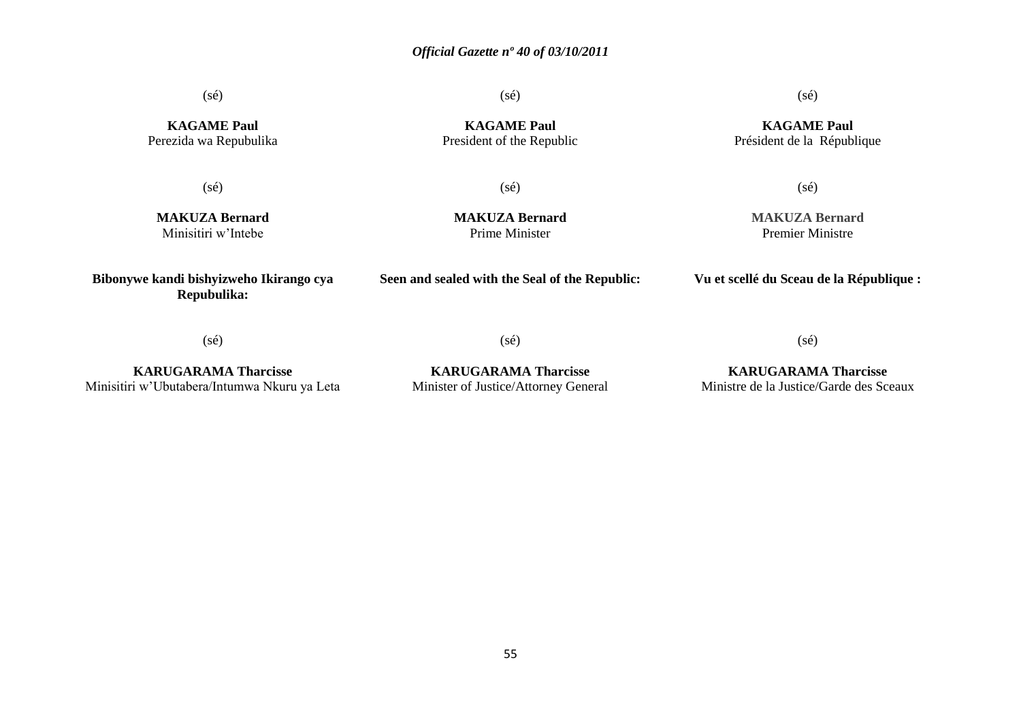(sé)

(sé)

**KAGAME Paul** President of the Republic

(sé)

**Seen and sealed with the Seal of the Republic:**

(sé)

**KAGAME Paul** Président de la République

**KAGAME Paul** Perezida wa Repubulika

(sé)

**MAKUZA Bernard** Minisitiri w'Intebe

**Bibonywe kandi bishyizweho Ikirango cya Repubulika:**

**MAKUZA Bernard** Prime Minister

# **MAKUZA Bernard**

(sé)

Premier Ministre

**Vu et scellé du Sceau de la République :**

(sé)

**KARUGARAMA Tharcisse** Minisitiri w'Ubutabera/Intumwa Nkuru ya Leta

**KARUGARAMA Tharcisse** Minister of Justice/Attorney General

(sé)

## **KARUGARAMA Tharcisse** Ministre de la Justice/Garde des Sceaux

(sé)

55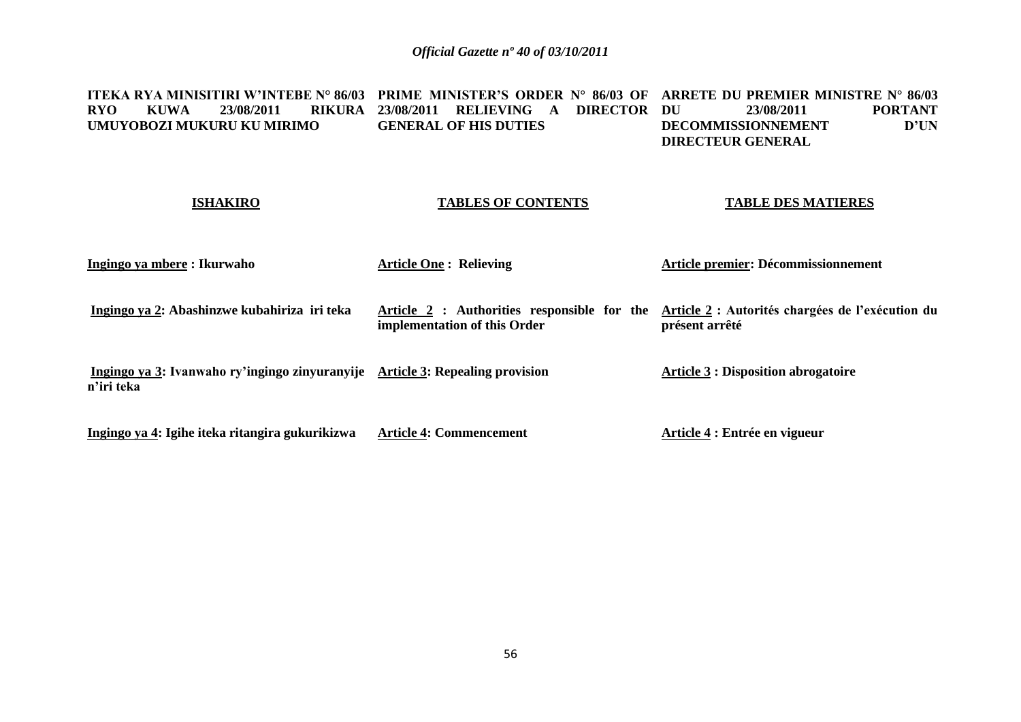**ITEKA RYA MINISITIRI W'INTEBE N° 86/03 PRIME MINISTER'S ORDER N° 86/03 OF ARRETE DU PREMIER MINISTRE N° 86/03 RYO KUWA 23/08/2011 UMUYOBOZI MUKURU KU MIRIMO 23/08/2011 RELIEVING A DIRECTOR GENERAL OF HIS DUTIES DU 23/08/2011 PORTANT**<br>**D'UN DECOMMISSIONNEMENT DIRECTEUR GENERAL**

| <b>ISHAKIRO</b>                                                                             | <b>TABLES OF CONTENTS</b>                                                   | <b>TABLE DES MATIERES</b>                                          |
|---------------------------------------------------------------------------------------------|-----------------------------------------------------------------------------|--------------------------------------------------------------------|
| Ingingo ya mbere : Ikurwaho                                                                 | <b>Article One: Relieving</b>                                               | Article premier: Décommissionnement                                |
| Ingingo ya 2: Abashinzwe kubahiriza iri teka                                                | Article 2 : Authorities responsible for the<br>implementation of this Order | Article 2 : Autorités chargées de l'exécution du<br>présent arrêté |
| Ingingo ya 3: Ivanwaho ry'ingingo zinyuranyije Article 3: Repealing provision<br>n'iri teka |                                                                             | <b>Article 3 : Disposition abrogatoire</b>                         |
| Ingingo ya 4: Igihe iteka ritangira gukurikizwa                                             | <b>Article 4: Commencement</b>                                              | Article 4 : Entrée en vigueur                                      |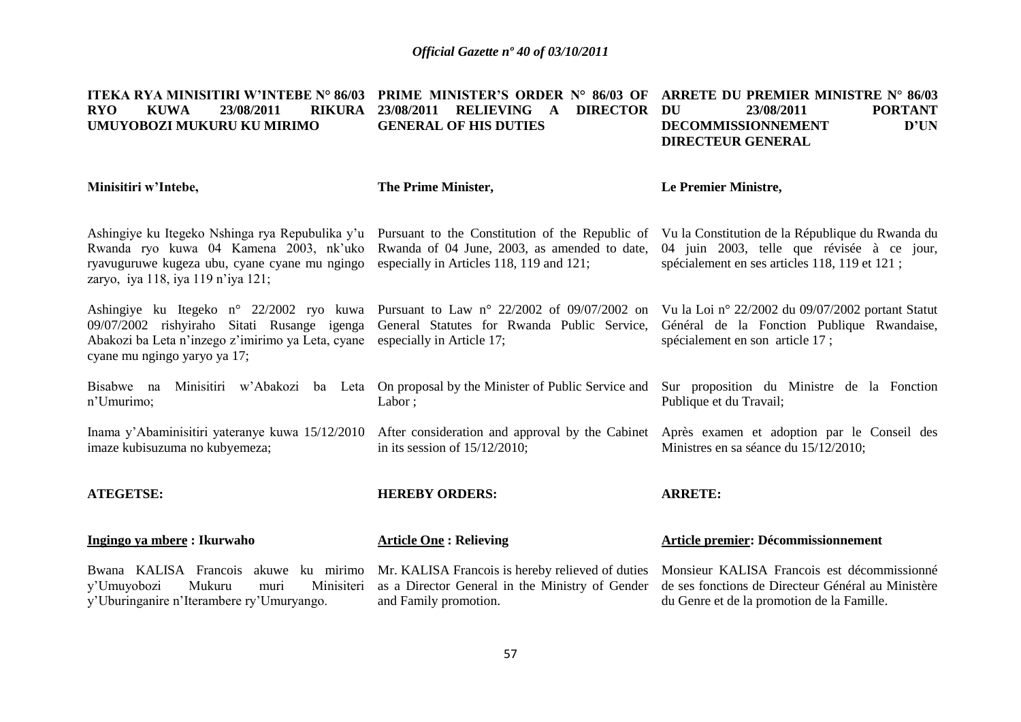| <b>ITEKA RYA MINISITIRI W'INTEBE N° 86/03</b><br><b>KUWA</b><br><b>RYO</b><br>23/08/2011<br><b>RIKURA</b><br>UMUYOBOZI MUKURU KU MIRIMO                                                                                  | <b>PRIME MINISTER'S ORDER N° 86/03 OF</b><br><b>RELIEVING</b><br>23/08/2011<br>$\mathbf{A}$<br><b>DIRECTOR</b><br><b>GENERAL OF HIS DUTIES</b> | ARRETE DU PREMIER MINISTRE N° 86/03<br>23/08/2011<br><b>PORTANT</b><br>DU<br>D'UN<br>DECOMMISSIONNEMENT<br><b>DIRECTEUR GENERAL</b>                                                              |
|--------------------------------------------------------------------------------------------------------------------------------------------------------------------------------------------------------------------------|------------------------------------------------------------------------------------------------------------------------------------------------|--------------------------------------------------------------------------------------------------------------------------------------------------------------------------------------------------|
| Minisitiri w'Intebe,                                                                                                                                                                                                     | The Prime Minister,                                                                                                                            | Le Premier Ministre,                                                                                                                                                                             |
| Ashingiye ku Itegeko Nshinga rya Repubulika y'u<br>Rwanda ryo kuwa 04 Kamena 2003, nk'uko<br>ryavuguruwe kugeza ubu, cyane cyane mu ngingo<br>zaryo, iya 118, iya 119 n'iya 121;                                         | Rwanda of 04 June, 2003, as amended to date,<br>especially in Articles 118, 119 and 121;                                                       | Pursuant to the Constitution of the Republic of Vu la Constitution de la République du Rwanda du<br>04 juin 2003, telle que révisée à ce jour,<br>spécialement en ses articles 118, 119 et 121 ; |
| Ashingiye ku Itegeko n° 22/2002 ryo kuwa Pursuant to Law n° 22/2002 of 09/07/2002 on<br>09/07/2002 rishyiraho Sitati Rusange igenga<br>Abakozi ba Leta n'inzego z'imirimo ya Leta, cyane<br>cyane mu ngingo yaryo ya 17; | General Statutes for Rwanda Public Service,<br>especially in Article 17;                                                                       | Vu la Loi nº 22/2002 du 09/07/2002 portant Statut<br>Général de la Fonction Publique Rwandaise,<br>spécialement en son article 17;                                                               |
| Bisabwe na<br>Minisitiri w'Abakozi<br>n'Umurimo;                                                                                                                                                                         | Labor;                                                                                                                                         | ba Leta On proposal by the Minister of Public Service and Sur proposition du Ministre de la Fonction<br>Publique et du Travail;                                                                  |
| Inama y'Abaminisitiri yateranye kuwa 15/12/2010<br>imaze kubisuzuma no kubyemeza;                                                                                                                                        | in its session of $15/12/2010$ ;                                                                                                               | After consideration and approval by the Cabinet Après examen et adoption par le Conseil des<br>Ministres en sa séance du 15/12/2010;                                                             |
| <b>ATEGETSE:</b>                                                                                                                                                                                                         | <b>HEREBY ORDERS:</b>                                                                                                                          | <b>ARRETE:</b>                                                                                                                                                                                   |
| Ingingo ya mbere: Ikurwaho                                                                                                                                                                                               | <b>Article One: Relieving</b>                                                                                                                  | Article premier: Décommissionnement                                                                                                                                                              |
| Bwana KALISA Francois akuwe ku mirimo<br>y'Umuyobozi<br>Mukuru<br>Minisiteri<br>muri<br>y'Uburinganire n'Iterambere ry'Umuryango.                                                                                        | Mr. KALISA Francois is hereby relieved of duties<br>as a Director General in the Ministry of Gender<br>and Family promotion.                   | Monsieur KALISA Francois est décommissionné<br>de ses fonctions de Directeur Général au Ministère<br>du Genre et de la promotion de la Famille.                                                  |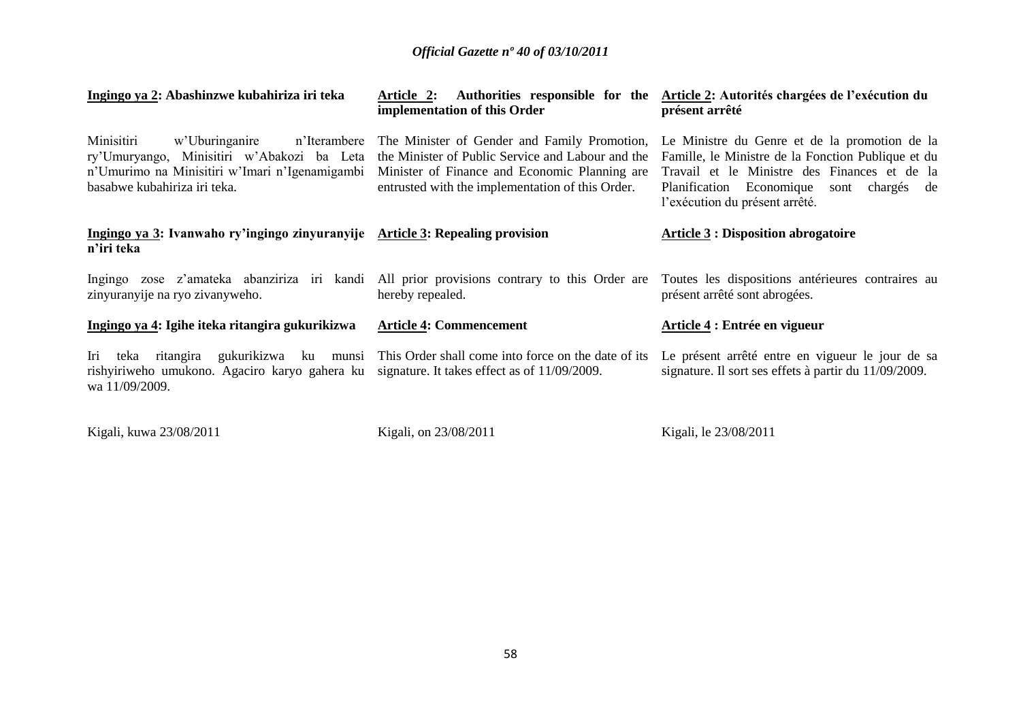| Ingingo ya 2: Abashinzwe kubahiriza iri teka                                                                                                                                 | <b>Article 2:</b><br>implementation of this Order                                                                                                                                                      | Authorities responsible for the Article 2: Autorités chargées de l'exécution du<br>présent arrêté                                                                                                                                 |
|------------------------------------------------------------------------------------------------------------------------------------------------------------------------------|--------------------------------------------------------------------------------------------------------------------------------------------------------------------------------------------------------|-----------------------------------------------------------------------------------------------------------------------------------------------------------------------------------------------------------------------------------|
| Minisitiri<br>w'Uburinganire<br>n'Iterambere<br>ry'Umuryango, Minisitiri w'Abakozi ba Leta<br>n'Umurimo na Minisitiri w'Imari n'Igenamigambi<br>basabwe kubahiriza iri teka. | The Minister of Gender and Family Promotion,<br>the Minister of Public Service and Labour and the<br>Minister of Finance and Economic Planning are<br>entrusted with the implementation of this Order. | Le Ministre du Genre et de la promotion de la<br>Famille, le Ministre de la Fonction Publique et du<br>Travail et le Ministre des Finances et de la<br>Planification Economique sont chargés de<br>l'exécution du présent arrêté. |
| Ingingo ya 3: Ivanwaho ry'ingingo zinyuranyije Article 3: Repealing provision<br>n'iri teka                                                                                  |                                                                                                                                                                                                        | <b>Article 3 : Disposition abrogatoire</b>                                                                                                                                                                                        |
| Ingingo zose z'amateka abanziriza iri kandi All prior provisions contrary to this Order are<br>zinyuranyije na ryo zivanyweho.                                               | hereby repealed.                                                                                                                                                                                       | Toutes les dispositions antérieures contraires au<br>présent arrêté sont abrogées.                                                                                                                                                |
| Ingingo ya 4: Igihe iteka ritangira gukurikizwa                                                                                                                              | <b>Article 4: Commencement</b>                                                                                                                                                                         | Article 4 : Entrée en vigueur                                                                                                                                                                                                     |
| Iri<br>ritangira<br>teka<br>rishyiriweho umukono. Agaciro karyo gahera ku signature. It takes effect as of 11/09/2009.<br>wa 11/09/2009.                                     | gukurikizwa ku munsi This Order shall come into force on the date of its                                                                                                                               | Le présent arrêté entre en vigueur le jour de sa<br>signature. Il sort ses effets à partir du 11/09/2009.                                                                                                                         |

Kigali, kuwa 23/08/2011 Kigali, on 23/08/2011 Kigali, le 23/08/2011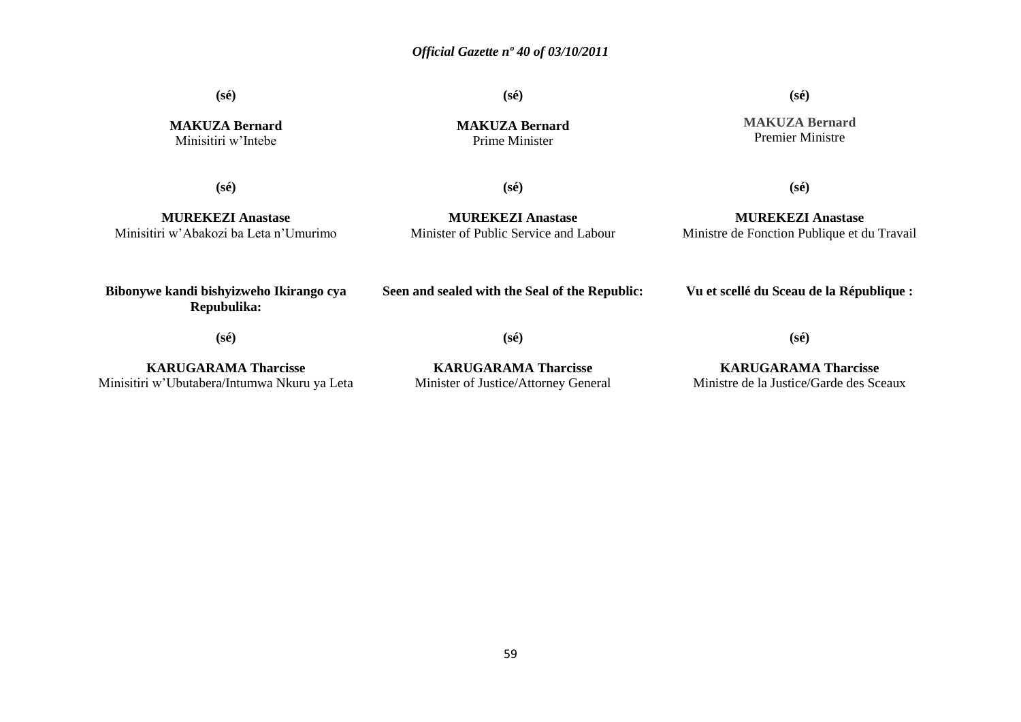**(sé)**

**MAKUZA Bernard** Minisitiri w'Intebe

**(sé)**

**MAKUZA Bernard** Prime Minister

**(sé)**

**MAKUZA Bernard** Premier Ministre

**(sé)**

**(sé)**

**MUREKEZI Anastase** Minisitiri w'Abakozi ba Leta n'Umurimo

**MUREKEZI Anastase** Minister of Public Service and Labour

**MUREKEZI Anastase** Ministre de Fonction Publique et du Travail

**(sé)**

**Bibonywe kandi bishyizweho Ikirango cya Repubulika:**

**Seen and sealed with the Seal of the Republic:**

**Vu et scellé du Sceau de la République :**

**(sé)**

**(sé)**

**(sé)**

**KARUGARAMA Tharcisse** Minisitiri w'Ubutabera/Intumwa Nkuru ya Leta

**KARUGARAMA Tharcisse** Minister of Justice/Attorney General

**KARUGARAMA Tharcisse** Ministre de la Justice/Garde des Sceaux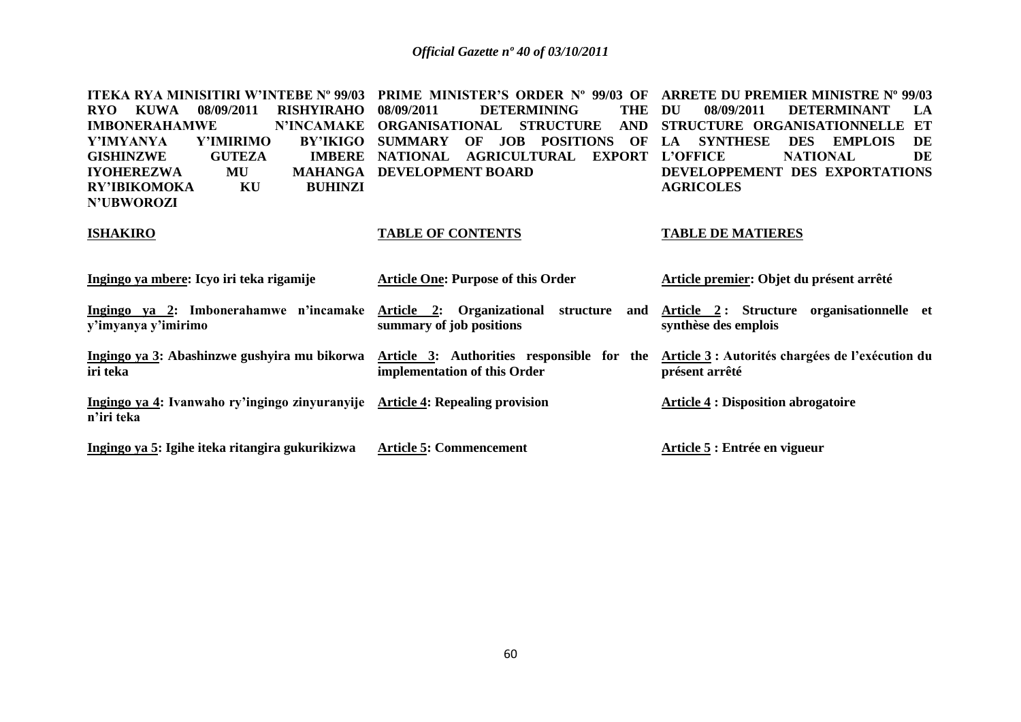| ITEKA RYA MINISITIRI W'INTEBE Nº 99/03                        | <b>PRIME MINISTER'S ORDER Nº 99/03 OF</b>                                  | <b>ARRETE DU PREMIER MINISTRE Nº 99/03</b>                         |
|---------------------------------------------------------------|----------------------------------------------------------------------------|--------------------------------------------------------------------|
| 08/09/2011<br><b>RISHYIRAHO</b><br>RYO.<br><b>KUWA</b>        | <b>DETERMINING</b><br><b>THE</b><br>08/09/2011                             | 08/09/2011<br>DU<br><b>DETERMINANT</b><br>LA                       |
| <b>IMBONERAHAMWE</b><br><b>N'INCAMAKE</b>                     | <b>ORGANISATIONAL</b><br><b>STRUCTURE</b><br><b>AND</b>                    | ET<br>STRUCTURE ORGANISATIONNELLE                                  |
| Y'IMYANYA<br><b>Y'IMIRIMO</b><br><b>BY'IKIGO</b>              | <b>JOB</b><br><b>POSITIONS</b><br>OF<br><b>SUMMARY</b><br>OF               | <b>SYNTHESE</b><br><b>DES</b><br><b>EMPLOIS</b><br>DE<br>LA        |
| <b>GUTEZA</b><br><b>IMBERE</b><br><b>GISHINZWE</b>            | <b>EXPORT</b><br><b>NATIONAL</b><br><b>AGRICULTURAL</b>                    | DE<br><b>L'OFFICE</b><br><b>NATIONAL</b>                           |
| <b>IYOHEREZWA</b><br>MU<br><b>MAHANGA</b>                     | DEVELOPMENT BOARD                                                          | DEVELOPPEMENT DES EXPORTATIONS                                     |
| <b>BUHINZI</b><br><b>RY'IBIKOMOKA</b><br>KU                   |                                                                            | <b>AGRICOLES</b>                                                   |
| <b>N'UBWOROZI</b>                                             |                                                                            |                                                                    |
| <b>ISHAKIRO</b>                                               | <b>TABLE OF CONTENTS</b>                                                   | <b>TABLE DE MATIERES</b>                                           |
| Ingingo ya mbere: Icyo iri teka rigamije                      | <b>Article One: Purpose of this Order</b>                                  | Article premier: Objet du présent arrêté                           |
| Ingingo ya 2: Imbonerahamwe n'incamake<br>y'imyanya y'imirimo | Article 2: Organizational<br>structure<br>and<br>summary of job positions  | Article 2: Structure organisationnelle et<br>synthèse des emplois  |
| Ingingo ya 3: Abashinzwe gushyira mu bikorwa<br>iri teka      | Article 3: Authorities responsible for the<br>implementation of this Order | Article 3 : Autorités chargées de l'exécution du<br>présent arrêté |
| Ingingo ya 4: Ivanwaho ry'ingingo zinyuranyije<br>n'iri teka  | <b>Article 4: Repealing provision</b>                                      | <b>Article 4 : Disposition abrogatoire</b>                         |
| Ingingo ya 5: Igihe iteka ritangira gukurikizwa               | <b>Article 5: Commencement</b>                                             | Article 5 : Entrée en vigueur                                      |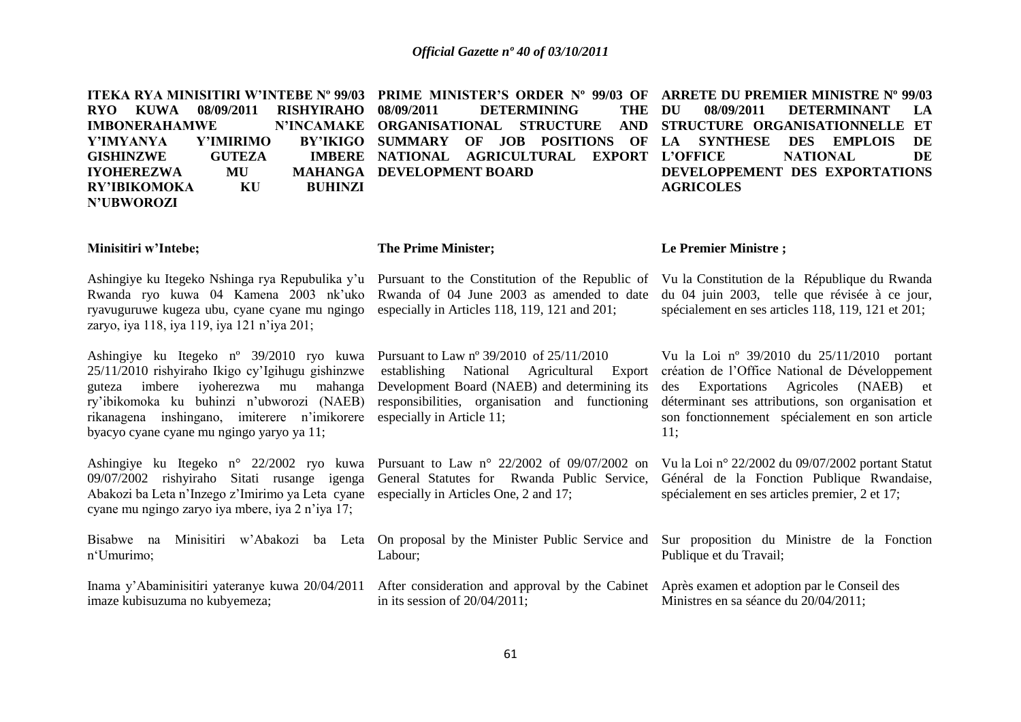**ITEKA RYA MINISITIRI W'INTEBE Nº 99/03 PRIME MINISTER'S ORDER Nº 99/03 OF ARRETE DU PREMIER MINISTRE Nº 99/03 RYO KUWA 08/09/2011 RISHYIRAHO IMBONERAHAMWE Y'IMYANYA Y'IMIRIMO BY'IKIGO GISHINZWE GUTEZA IYOHEREZWA MU RY'IBIKOMOKA KU BUHINZI N'UBWOROZI DETERMINING THE DU ORGANISATIONAL STRUCTURE AND STRUCTURE ORGANISATIONNELLE ET**  BY'IKIGO SUMMARY OF JOB POSITIONS OF LA SYNTHESE **IMBERE NATIONAL AGRICULTURAL EXPORT L'OFFICE MAHANGA DEVELOPMENT BOARD DU 08/09/2011 DETERMINANT LA LA SYNTHESE DES EMPLOIS DE L'ONAL** DE **DEVELOPPEMENT DES EXPORTATIONS AGRICOLES** 

### **Minisitiri w'Intebe;**

### **The Prime Minister;**

Rwanda ryo kuwa 04 Kamena 2003 nk'uko Rwanda of 04 June 2003 as amended to date ryavuguruwe kugeza ubu, cyane cyane mu ngingo especially in Articles 118, 119, 121 and 201; zaryo, iya 118, iya 119, iya 121 n'iya 201;

Ashingiye ku Itegeko nº 39/2010 ryo kuwa Pursuant to Law nº 39/2010 of 25/11/2010 25/11/2010 rishyiraho Ikigo cy'Igihugu gishinzwe establishing National Agricultural Export guteza imbere iyoherezwa mu mahanga Development Board (NAEB) and determining its ry'ibikomoka ku buhinzi n'ubworozi (NAEB) responsibilities, organisation and functioning rikanagena inshingano, imiterere n'imikorere especially in Article 11; byacyo cyane cyane mu ngingo yaryo ya 11;

Ashingiye ku Itegeko n° 22/2002 ryo kuwa Pursuant to Law n° 22/2002 of 09/07/2002 on Vu la Loi n° 22/2002 du 09/07/2002 portant Statut 09/07/2002 rishyiraho Sitati rusange igenga General Statutes for Rwanda Public Service, Abakozi ba Leta n'Inzego z'Imirimo ya Leta cyane especially in Articles One, 2 and 17; cyane mu ngingo zaryo iya mbere, iya 2 n'iya 17;

Bisabwe na Minisitiri w'Abakozi ba Leta On proposal by the Minister Public Service and n'Umurimo;

imaze kubisuzuma no kubyemeza;

Labour;

Inama y'Abaminisitiri yateranye kuwa 20/04/2011 After consideration and approval by the Cabinet Après examen et adoption par le Conseil des in its session of 20/04/2011;

### **Le Premier Ministre ;**

Ashingiye ku Itegeko Nshinga rya Repubulika y'u Pursuant to the Constitution of the Republic of Vu la Constitution de la République du Rwanda du 04 juin 2003, telle que révisée à ce jour, spécialement en ses articles 118, 119, 121 et 201;

> Vu la Loi nº 39/2010 du 25/11/2010 portant création de l'Office National de Développement des Exportations Agricoles (NAEB) et déterminant ses attributions, son organisation et son fonctionnement spécialement en son article 11;

> Général de la Fonction Publique Rwandaise, spécialement en ses articles premier, 2 et 17;

> Sur proposition du Ministre de la Fonction Publique et du Travail;

Ministres en sa séance du 20/04/2011;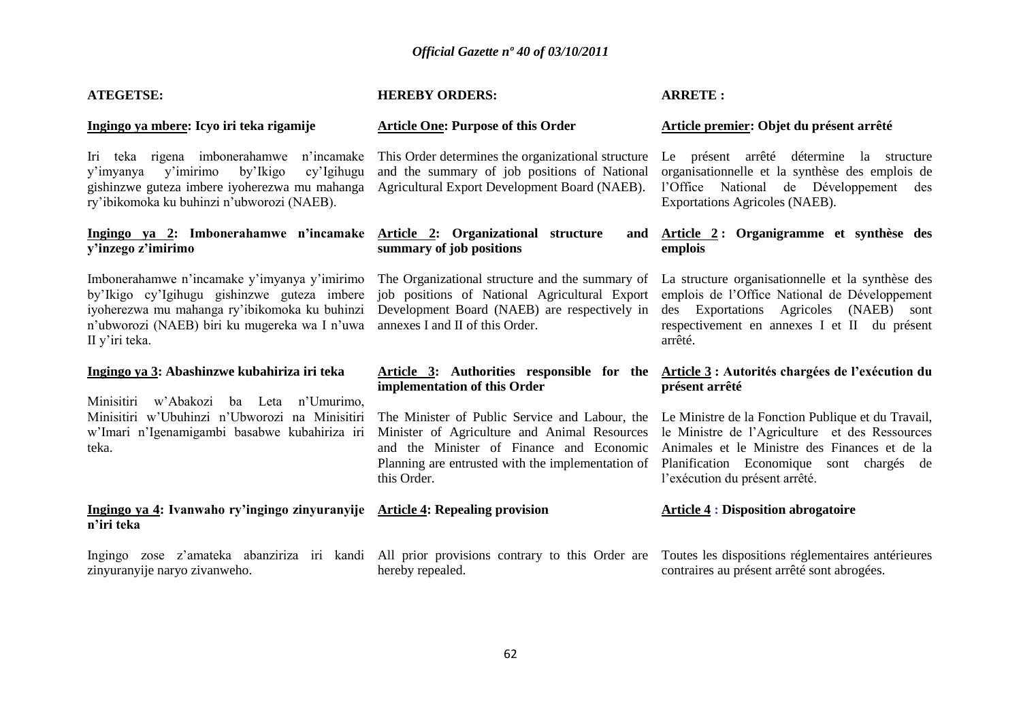| <b>ATEGETSE:</b>                                                                                                                                                                                                | <b>HEREBY ORDERS:</b>                                                                                                                                                                                          | <b>ARRETE:</b>                                                                                                                                                                                                                      |
|-----------------------------------------------------------------------------------------------------------------------------------------------------------------------------------------------------------------|----------------------------------------------------------------------------------------------------------------------------------------------------------------------------------------------------------------|-------------------------------------------------------------------------------------------------------------------------------------------------------------------------------------------------------------------------------------|
| Ingingo ya mbere: Icyo iri teka rigamije                                                                                                                                                                        | <b>Article One: Purpose of this Order</b>                                                                                                                                                                      | Article premier: Objet du présent arrêté                                                                                                                                                                                            |
| teka rigena imbonerahamwe n'incamake<br>Iri<br>y'imirimo<br>by'Ikigo<br>cy'Igihugu<br>y'imyanya<br>gishinzwe guteza imbere iyoherezwa mu mahanga<br>ry'ibikomoka ku buhinzi n'ubworozi (NAEB).                  | This Order determines the organizational structure<br>and the summary of job positions of National<br>Agricultural Export Development Board (NAEB).                                                            | Le présent arrêté détermine<br>la structure<br>organisationnelle et la synthèse des emplois de<br>l'Office National de Développement<br>des<br>Exportations Agricoles (NAEB).                                                       |
| Ingingo ya 2: Imbonerahamwe n'incamake<br>y'inzego z'imirimo                                                                                                                                                    | Article 2: Organizational structure<br>and<br>summary of job positions                                                                                                                                         | Article 2: Organigramme et synthèse des<br>emplois                                                                                                                                                                                  |
| Imbonerahamwe n'incamake y'imyanya y'imirimo<br>by'Ikigo cy'Igihugu gishinzwe guteza imbere<br>iyoherezwa mu mahanga ry'ibikomoka ku buhinzi<br>n'ubworozi (NAEB) biri ku mugereka wa I n'uwa<br>II y'iri teka. | The Organizational structure and the summary of<br>job positions of National Agricultural Export<br>Development Board (NAEB) are respectively in<br>annexes I and II of this Order.                            | La structure organisationnelle et la synthèse des<br>emplois de l'Office National de Développement<br>des Exportations Agricoles (NAEB) sont<br>respectivement en annexes I et II du présent<br>arrêté.                             |
| Ingingo ya 3: Abashinzwe kubahiriza iri teka                                                                                                                                                                    | Article 3: Authorities responsible for the<br>implementation of this Order                                                                                                                                     | Article 3 : Autorités chargées de l'exécution du<br>présent arrêté                                                                                                                                                                  |
| w'Abakozi ba Leta n'Umurimo,<br>Minisitiri<br>Minisitiri w'Ubuhinzi n'Ubworozi na Minisitiri<br>w'Imari n'Igenamigambi basabwe kubahiriza iri<br>teka.                                                          | The Minister of Public Service and Labour, the<br>Minister of Agriculture and Animal Resources<br>and the Minister of Finance and Economic<br>Planning are entrusted with the implementation of<br>this Order. | Le Ministre de la Fonction Publique et du Travail,<br>le Ministre de l'Agriculture et des Ressources<br>Animales et le Ministre des Finances et de la<br>Planification Economique sont chargés de<br>l'exécution du présent arrêté. |
| Ingingo ya 4: Ivanwaho ry'ingingo zinyuranyije<br>n'iri teka                                                                                                                                                    | <b>Article 4: Repealing provision</b>                                                                                                                                                                          | <b>Article 4: Disposition abrogatoire</b>                                                                                                                                                                                           |
| Ingingo zose z'amateka abanziriza iri kandi<br>zinyuranyije naryo zivanweho.                                                                                                                                    | All prior provisions contrary to this Order are<br>hereby repealed.                                                                                                                                            | Toutes les dispositions réglementaires antérieures<br>contraires au présent arrêté sont abrogées.                                                                                                                                   |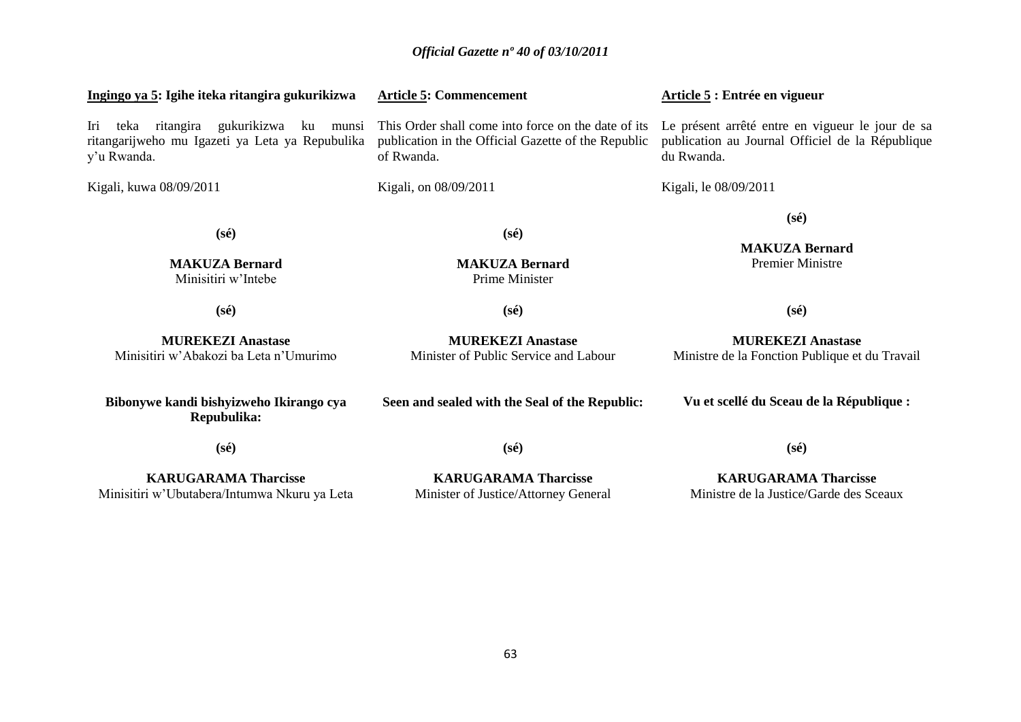| Ingingo ya 5: Igihe iteka ritangira gukurikizwa                                                              | <b>Article 5: Commencement</b>                                                                                                                                                                                                                 | Article 5 : Entrée en vigueur                                              |
|--------------------------------------------------------------------------------------------------------------|------------------------------------------------------------------------------------------------------------------------------------------------------------------------------------------------------------------------------------------------|----------------------------------------------------------------------------|
| teka ritangira gukurikizwa ku munsi<br>Iri<br>ritangarijweho mu Igazeti ya Leta ya Repubulika<br>y'u Rwanda. | This Order shall come into force on the date of its<br>Le présent arrêté entre en vigueur le jour de sa<br>publication au Journal Officiel de la République<br>publication in the Official Gazette of the Republic<br>of Rwanda.<br>du Rwanda. |                                                                            |
| Kigali, kuwa 08/09/2011                                                                                      | Kigali, on 08/09/2011                                                                                                                                                                                                                          | Kigali, le 08/09/2011                                                      |
| $(s\acute{e})$<br><b>MAKUZA Bernard</b><br>Minisitiri w'Intebe                                               | $(s\acute{e})$<br><b>MAKUZA Bernard</b><br>Prime Minister                                                                                                                                                                                      | $(s\acute{e})$<br><b>MAKUZA Bernard</b><br><b>Premier Ministre</b>         |
| $(s\acute{e})$                                                                                               | $(s\acute{e})$                                                                                                                                                                                                                                 | $(s\acute{e})$                                                             |
| <b>MUREKEZI Anastase</b><br>Minisitiri w'Abakozi ba Leta n'Umurimo                                           | <b>MUREKEZI Anastase</b><br>Minister of Public Service and Labour                                                                                                                                                                              | <b>MUREKEZI Anastase</b><br>Ministre de la Fonction Publique et du Travail |
| Bibonywe kandi bishyizweho Ikirango cya<br>Repubulika:                                                       | Seen and sealed with the Seal of the Republic:                                                                                                                                                                                                 | Vu et scellé du Sceau de la République :                                   |
| $(s\acute{e})$                                                                                               | $(s\acute{e})$                                                                                                                                                                                                                                 | $(s\acute{e})$                                                             |
| <b>KARUGARAMA Tharcisse</b><br>Minisitiri w'Ubutabera/Intumwa Nkuru ya Leta                                  | <b>KARUGARAMA Tharcisse</b><br>Minister of Justice/Attorney General                                                                                                                                                                            | <b>KARUGARAMA Tharcisse</b><br>Ministre de la Justice/Garde des Sceaux     |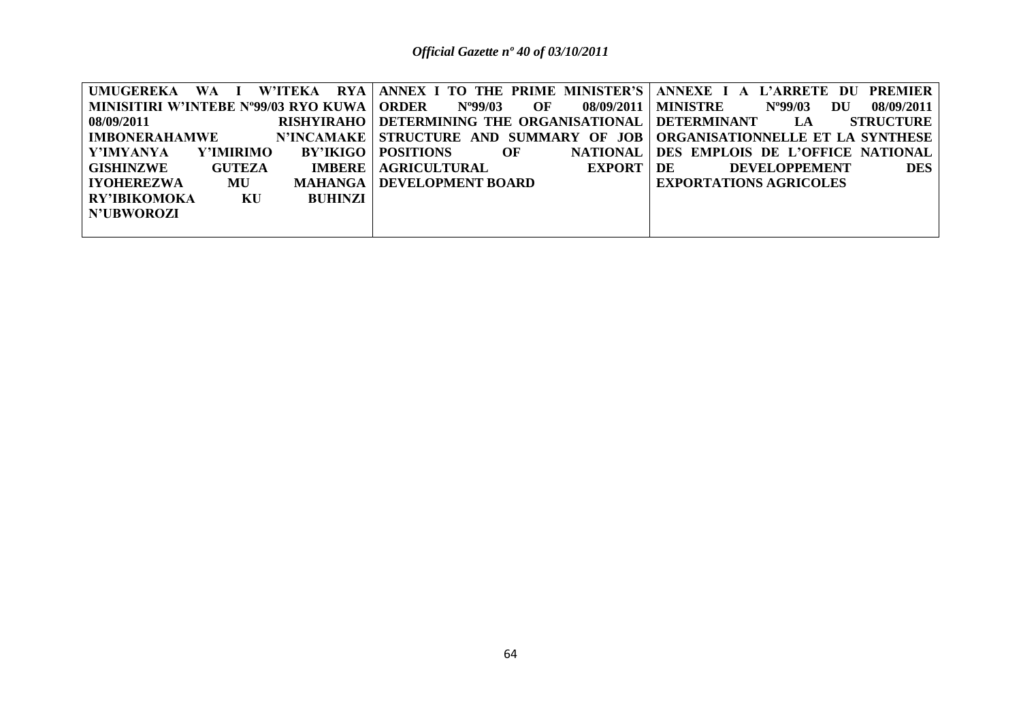| UMUGEREKA WA I                       |                   |                                            |             | W'ITEKA RYA ANNEX I TO THE PRIME MINISTER'S ANNEXE I A L'ARRETE DU<br><b>PREMIER</b> |
|--------------------------------------|-------------------|--------------------------------------------|-------------|--------------------------------------------------------------------------------------|
| MINISITIRI W'INTEBE N°99/03 RYO KUWA |                   | <b>ORDER</b><br>$N^{9}99/03$<br>OF         |             | 08/09/2011   MINISTRE<br>08/09/2011<br>$N^{9}99/03$<br>DU                            |
| 08/09/2011                           | <b>RISHYIRAHO</b> | DETERMINING THE ORGANISATIONAL DETERMINANT |             | <b>STRUCTURE</b><br>LA                                                               |
| <b>IMBONERAHAMWE</b>                 | N'INCAMAKE        |                                            |             | STRUCTURE AND SUMMARY OF JOB   ORGANISATIONNELLE ET LA SYNTHESE                      |
| Y'IMYANYA<br><b>Y'IMIRIMO</b>        | <b>BY'IKIGO</b>   | <b>POSITIONS</b><br>OF                     |             | NATIONAL DES EMPLOIS DE L'OFFICE NATIONAL                                            |
| GISHINZWE<br><b>GUTEZA</b>           | <b>IMBERE</b>     | AGRICULTURAL                               | EXPORT   DE | <b>DES</b><br><b>DEVELOPPEMENT</b>                                                   |
| <b>IYOHEREZWA</b><br>MU              | MAHANGA           | <b>DEVELOPMENT BOARD</b>                   |             | <b>EXPORTATIONS AGRICOLES</b>                                                        |
| <b>RY'IBIKOMOKA</b><br>KU            | BUHINZI           |                                            |             |                                                                                      |
| <b>N'UBWOROZI</b>                    |                   |                                            |             |                                                                                      |
|                                      |                   |                                            |             |                                                                                      |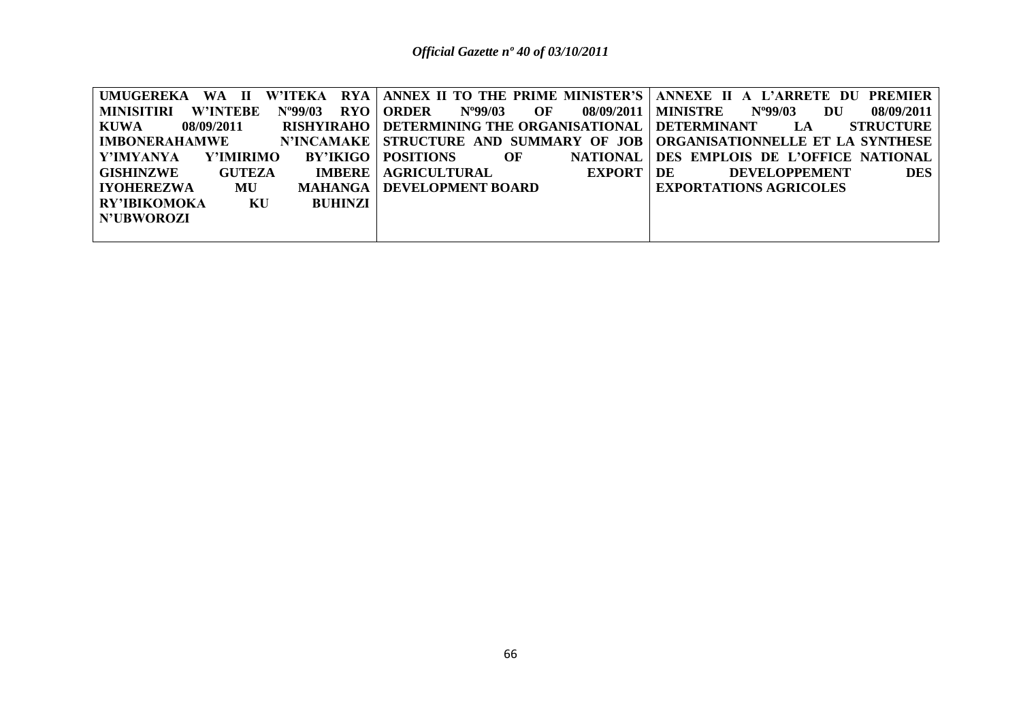| <b>UMUGEREKA</b><br>WA II                                       |                                                              | W'ITEKA RYA ANNEX II TO THE PRIME MINISTER'S ANNEXE II A L'ARRETE DU PREMIER |
|-----------------------------------------------------------------|--------------------------------------------------------------|------------------------------------------------------------------------------|
| RYO<br>$N^{\rm o}99/03$<br><b>MINISITIRI</b><br><b>W'INTEBE</b> | N°99/03<br><b>ORDER</b><br>OF<br>08/09/2011                  | $N^{9}99/03$<br>08/09/2011  <br>MINISTRE<br>DU                               |
| KUWA<br>08/09/2011                                              | RISHYIRAHO   DETERMINING THE ORGANISATIONAL   DETERMINANT LA | <b>STRUCTURE</b>                                                             |
| <b>IMBONERAHAMWE</b>                                            |                                                              | N'INCAMAKE   STRUCTURE AND SUMMARY OF JOB   ORGANISATIONNELLE ET LA SYNTHESE |
| Y'IMYANYA<br><b>Y'IMIRIMO</b><br>BY'IKIGO                       | <b>POSITIONS</b><br><b>NATIONAL</b><br>OF                    | DES EMPLOIS DE L'OFFICE NATIONAL                                             |
| <b>GUTEZA</b><br>GISHINZWE<br><b>IMBERE</b>                     | AGRICULTURAL<br><b>EXPORT</b>                                | <b>DES</b><br>DE<br><b>DEVELOPPEMENT</b>                                     |
| <b>LIYOHEREZWA</b><br>MU<br><b>MAHANGA</b> I                    | <b>DEVELOPMENT BOARD</b>                                     | <b>EXPORTATIONS AGRICOLES</b>                                                |
| RY'IBIKOMOKA<br>KU<br><b>BUHINZI</b>                            |                                                              |                                                                              |
| N'UBWOROZI                                                      |                                                              |                                                                              |
|                                                                 |                                                              |                                                                              |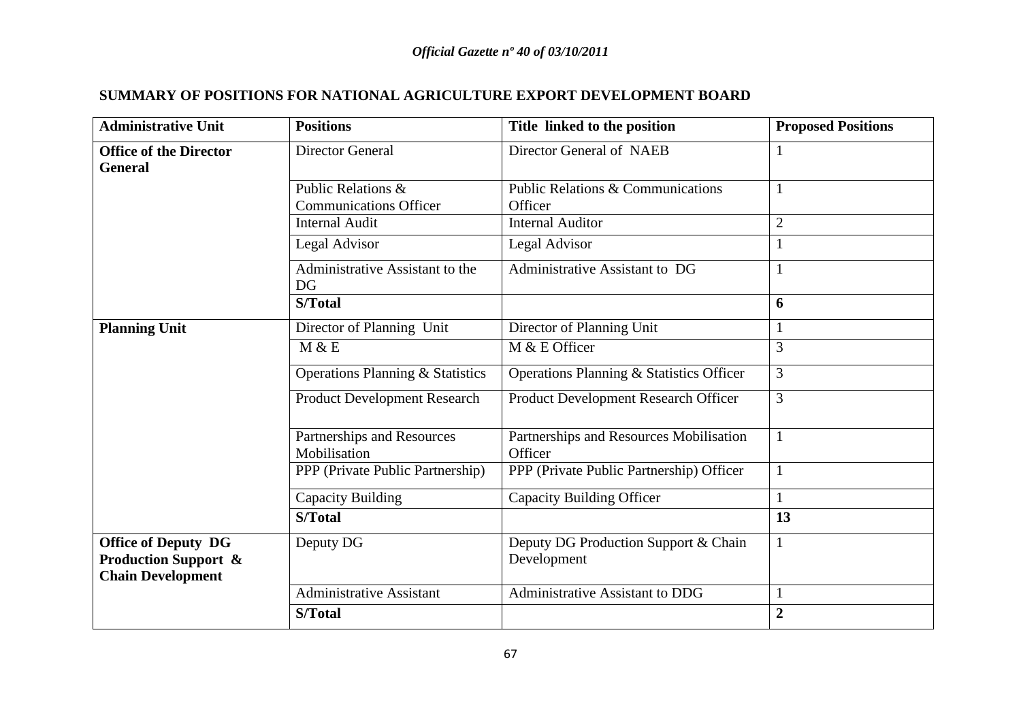# **SUMMARY OF POSITIONS FOR NATIONAL AGRICULTURE EXPORT DEVELOPMENT BOARD**

| <b>Administrative Unit</b>                                                                | <b>Positions</b>                                    | Title linked to the position                            | <b>Proposed Positions</b> |
|-------------------------------------------------------------------------------------------|-----------------------------------------------------|---------------------------------------------------------|---------------------------|
| <b>Office of the Director</b><br><b>General</b>                                           | <b>Director General</b>                             | Director General of NAEB                                |                           |
|                                                                                           | Public Relations &<br><b>Communications Officer</b> | <b>Public Relations &amp; Communications</b><br>Officer |                           |
|                                                                                           | <b>Internal Audit</b>                               | <b>Internal Auditor</b>                                 | $\overline{2}$            |
|                                                                                           | Legal Advisor                                       | Legal Advisor                                           |                           |
|                                                                                           | Administrative Assistant to the<br><b>DG</b>        | Administrative Assistant to DG                          |                           |
|                                                                                           | S/Total                                             |                                                         | 6                         |
| <b>Planning Unit</b>                                                                      | Director of Planning Unit                           | Director of Planning Unit                               |                           |
|                                                                                           | M & E                                               | M & E Officer                                           | 3                         |
|                                                                                           | <b>Operations Planning &amp; Statistics</b>         | Operations Planning & Statistics Officer                | 3                         |
|                                                                                           | <b>Product Development Research</b>                 | Product Development Research Officer                    | 3                         |
|                                                                                           | Partnerships and Resources<br>Mobilisation          | Partnerships and Resources Mobilisation<br>Officer      |                           |
|                                                                                           | PPP (Private Public Partnership)                    | PPP (Private Public Partnership) Officer                |                           |
|                                                                                           | Capacity Building                                   | <b>Capacity Building Officer</b>                        | $\mathbf{1}$              |
|                                                                                           | S/Total                                             |                                                         | 13                        |
| <b>Office of Deputy DG</b><br><b>Production Support &amp;</b><br><b>Chain Development</b> | Deputy DG                                           | Deputy DG Production Support & Chain<br>Development     | $\mathbf{1}$              |
|                                                                                           | <b>Administrative Assistant</b>                     | Administrative Assistant to DDG                         |                           |
|                                                                                           | S/Total                                             |                                                         | $\overline{2}$            |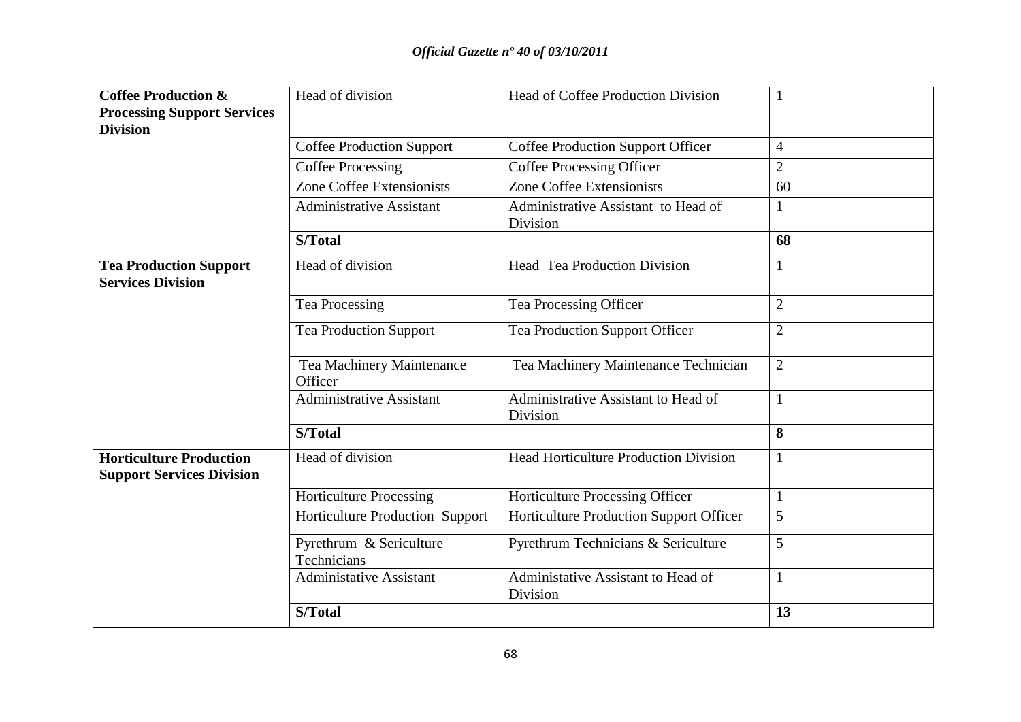| <b>Coffee Production &amp;</b><br><b>Processing Support Services</b><br><b>Division</b> | Head of division                       | <b>Head of Coffee Production Division</b>       |                |
|-----------------------------------------------------------------------------------------|----------------------------------------|-------------------------------------------------|----------------|
|                                                                                         | <b>Coffee Production Support</b>       | <b>Coffee Production Support Officer</b>        | 4              |
|                                                                                         | <b>Coffee Processing</b>               | <b>Coffee Processing Officer</b>                | $\overline{2}$ |
|                                                                                         | <b>Zone Coffee Extensionists</b>       | <b>Zone Coffee Extensionists</b>                | 60             |
|                                                                                         | <b>Administrative Assistant</b>        | Administrative Assistant to Head of<br>Division | 1              |
|                                                                                         | S/Total                                |                                                 | 68             |
| <b>Tea Production Support</b><br><b>Services Division</b>                               | Head of division                       | <b>Head Tea Production Division</b>             |                |
|                                                                                         | <b>Tea Processing</b>                  | Tea Processing Officer                          | 2              |
|                                                                                         | <b>Tea Production Support</b>          | Tea Production Support Officer                  | $\overline{2}$ |
|                                                                                         | Tea Machinery Maintenance<br>Officer   | Tea Machinery Maintenance Technician            | $\overline{2}$ |
|                                                                                         | <b>Administrative Assistant</b>        | Administrative Assistant to Head of<br>Division |                |
|                                                                                         | S/Total                                |                                                 | 8              |
| <b>Horticulture Production</b><br><b>Support Services Division</b>                      | Head of division                       | <b>Head Horticulture Production Division</b>    | 1              |
|                                                                                         | <b>Horticulture Processing</b>         | Horticulture Processing Officer                 |                |
|                                                                                         | Horticulture Production Support        | Horticulture Production Support Officer         | 5              |
|                                                                                         | Pyrethrum & Sericulture<br>Technicians | Pyrethrum Technicians & Sericulture             | 5              |
|                                                                                         | <b>Administative Assistant</b>         | Administative Assistant to Head of<br>Division  | 1              |
|                                                                                         | S/Total                                |                                                 | 13             |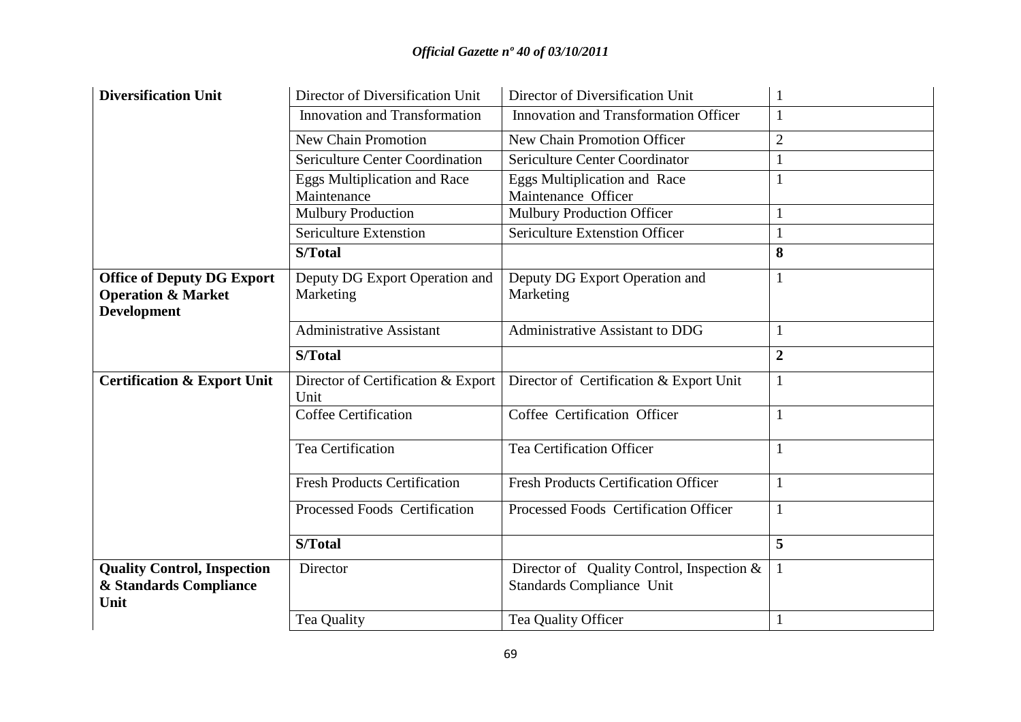| <b>Diversification Unit</b>                                                              | Director of Diversification Unit                   | Director of Diversification Unit                                       |                |
|------------------------------------------------------------------------------------------|----------------------------------------------------|------------------------------------------------------------------------|----------------|
|                                                                                          | <b>Innovation and Transformation</b>               | <b>Innovation and Transformation Officer</b>                           | $\mathbf{1}$   |
|                                                                                          | <b>New Chain Promotion</b>                         | New Chain Promotion Officer                                            | $\overline{2}$ |
|                                                                                          | <b>Sericulture Center Coordination</b>             | Sericulture Center Coordinator                                         | $\mathbf{1}$   |
|                                                                                          | <b>Eggs Multiplication and Race</b><br>Maintenance | <b>Eggs Multiplication and Race</b><br>Maintenance Officer             |                |
|                                                                                          | <b>Mulbury Production</b>                          | <b>Mulbury Production Officer</b>                                      |                |
|                                                                                          | <b>Sericulture Extenstion</b>                      | Sericulture Extenstion Officer                                         | $\mathbf{1}$   |
|                                                                                          | S/Total                                            |                                                                        | 8              |
| <b>Office of Deputy DG Export</b><br><b>Operation &amp; Market</b><br><b>Development</b> | Deputy DG Export Operation and<br>Marketing        | Deputy DG Export Operation and<br>Marketing                            |                |
|                                                                                          | <b>Administrative Assistant</b>                    | Administrative Assistant to DDG                                        |                |
|                                                                                          | S/Total                                            |                                                                        | $\overline{2}$ |
| <b>Certification &amp; Export Unit</b>                                                   | Director of Certification & Export<br>Unit         | Director of Certification & Export Unit                                | $\mathbf{1}$   |
|                                                                                          | <b>Coffee Certification</b>                        | Coffee Certification Officer                                           | $\mathbf{1}$   |
|                                                                                          | Tea Certification                                  | <b>Tea Certification Officer</b>                                       | $\mathbf{1}$   |
|                                                                                          | <b>Fresh Products Certification</b>                | <b>Fresh Products Certification Officer</b>                            | 1              |
|                                                                                          | Processed Foods Certification                      | Processed Foods Certification Officer                                  | $\mathbf{1}$   |
|                                                                                          | S/Total                                            |                                                                        | 5              |
| <b>Quality Control, Inspection</b><br>& Standards Compliance<br>Unit                     | Director                                           | Director of Quality Control, Inspection &<br>Standards Compliance Unit | $\mathbf{1}$   |
|                                                                                          | Tea Quality                                        | Tea Quality Officer                                                    |                |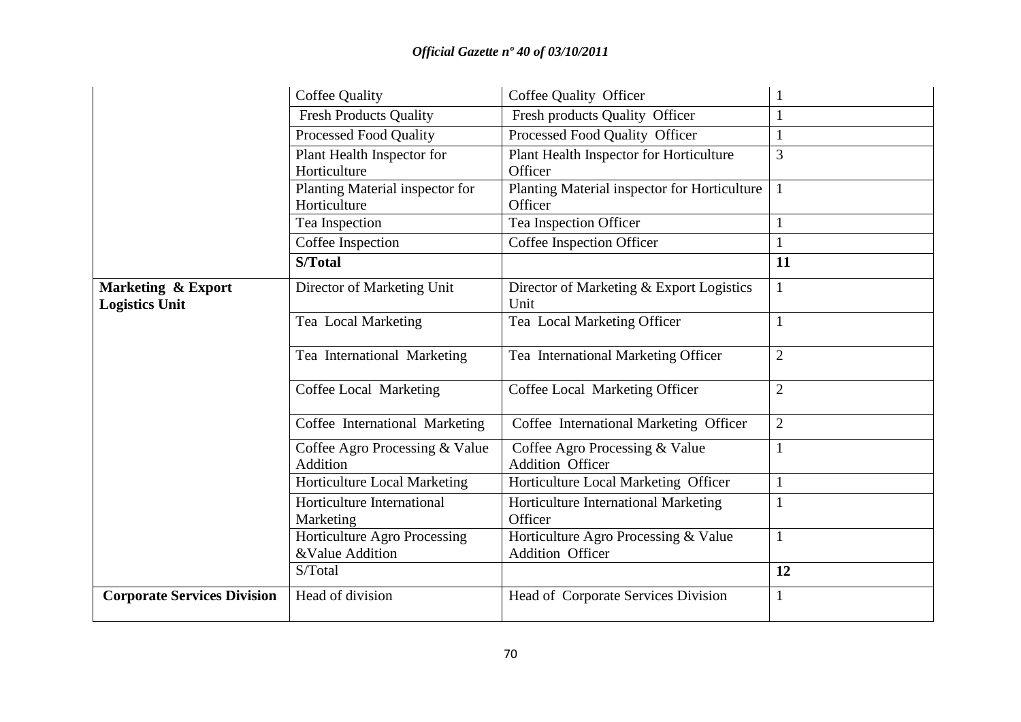|                                             | <b>Coffee Quality</b>                           | Coffee Quality Officer                                          |                |
|---------------------------------------------|-------------------------------------------------|-----------------------------------------------------------------|----------------|
|                                             | <b>Fresh Products Quality</b>                   | Fresh products Quality Officer                                  |                |
|                                             | <b>Processed Food Quality</b>                   | Processed Food Quality Officer                                  |                |
|                                             | Plant Health Inspector for<br>Horticulture      | Plant Health Inspector for Horticulture<br>Officer              | 3              |
|                                             | Planting Material inspector for<br>Horticulture | Planting Material inspector for Horticulture<br>Officer         |                |
|                                             | Tea Inspection                                  | Tea Inspection Officer                                          |                |
|                                             | Coffee Inspection                               | Coffee Inspection Officer                                       |                |
|                                             | S/Total                                         |                                                                 | 11             |
| Marketing & Export<br><b>Logistics Unit</b> | Director of Marketing Unit                      | Director of Marketing & Export Logistics<br>Unit                |                |
|                                             | Tea Local Marketing                             | Tea Local Marketing Officer                                     |                |
|                                             | Tea International Marketing                     | Tea International Marketing Officer                             | $\overline{2}$ |
|                                             | Coffee Local Marketing                          | Coffee Local Marketing Officer                                  | $\overline{2}$ |
|                                             | Coffee International Marketing                  | Coffee International Marketing Officer                          | $\overline{2}$ |
|                                             | Coffee Agro Processing & Value<br>Addition      | Coffee Agro Processing & Value<br><b>Addition Officer</b>       |                |
|                                             | Horticulture Local Marketing                    | Horticulture Local Marketing Officer                            |                |
|                                             | Horticulture International<br>Marketing         | <b>Horticulture International Marketing</b><br>Officer          |                |
|                                             | Horticulture Agro Processing<br>&Value Addition | Horticulture Agro Processing & Value<br><b>Addition Officer</b> | 1              |
|                                             | S/Total                                         |                                                                 | 12             |
| <b>Corporate Services Division</b>          | Head of division                                | <b>Head of Corporate Services Division</b>                      | 1              |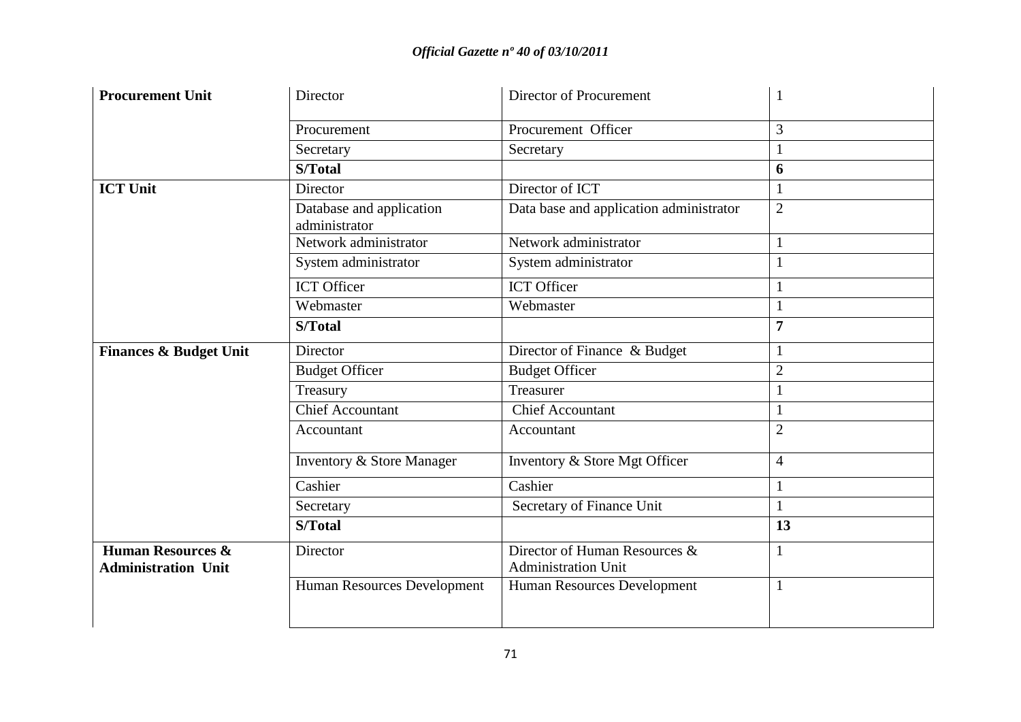| <b>Procurement Unit</b>                                    | Director                                  | Director of Procurement                                     |                |
|------------------------------------------------------------|-------------------------------------------|-------------------------------------------------------------|----------------|
|                                                            | Procurement                               | Procurement Officer                                         | 3              |
|                                                            | Secretary                                 | Secretary                                                   |                |
|                                                            | S/Total                                   |                                                             | 6              |
| <b>ICT Unit</b>                                            | Director                                  | Director of ICT                                             |                |
|                                                            | Database and application<br>administrator | Data base and application administrator                     | $\overline{2}$ |
|                                                            | Network administrator                     | Network administrator                                       |                |
|                                                            | System administrator                      | System administrator                                        |                |
|                                                            | <b>ICT Officer</b>                        | <b>ICT</b> Officer                                          |                |
|                                                            | Webmaster                                 | Webmaster                                                   |                |
|                                                            | <b>S/Total</b>                            |                                                             | 7              |
| <b>Finances &amp; Budget Unit</b>                          | Director                                  | Director of Finance & Budget                                |                |
|                                                            | <b>Budget Officer</b>                     | <b>Budget Officer</b>                                       | $\overline{2}$ |
|                                                            | Treasury                                  | Treasurer                                                   |                |
|                                                            | <b>Chief Accountant</b>                   | <b>Chief Accountant</b>                                     |                |
|                                                            | Accountant                                | Accountant                                                  | $\overline{2}$ |
|                                                            | Inventory & Store Manager                 | Inventory & Store Mgt Officer                               | $\overline{4}$ |
|                                                            | Cashier                                   | Cashier                                                     |                |
|                                                            | Secretary                                 | Secretary of Finance Unit                                   |                |
|                                                            | S/Total                                   |                                                             | 13             |
| <b>Human Resources &amp;</b><br><b>Administration Unit</b> | Director                                  | Director of Human Resources &<br><b>Administration Unit</b> |                |
|                                                            | Human Resources Development               | Human Resources Development                                 |                |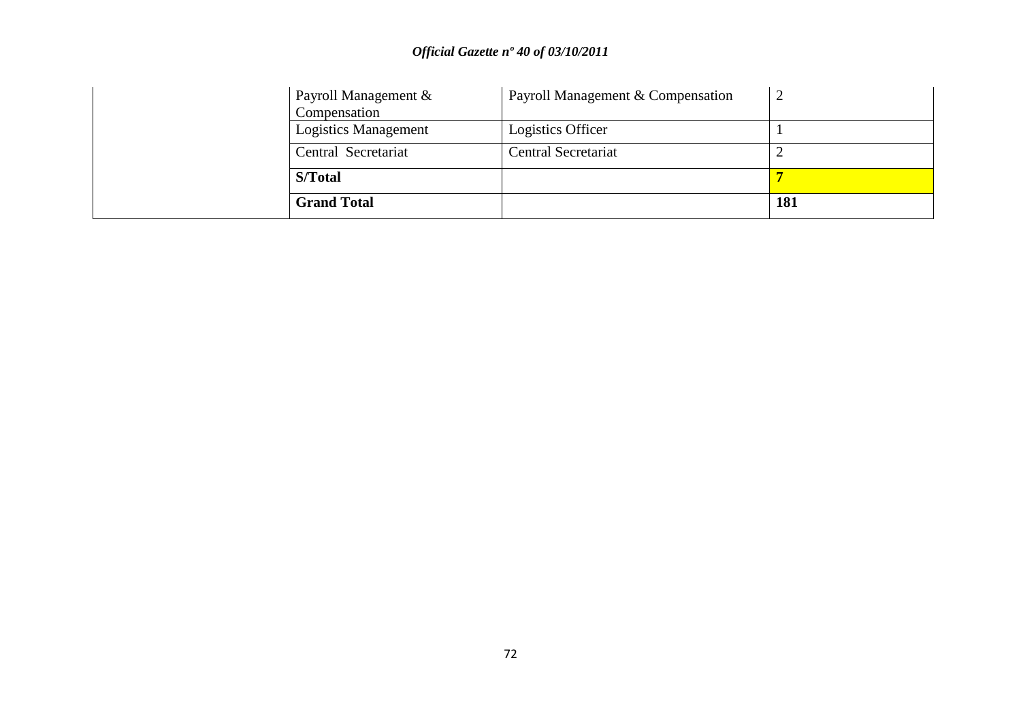| Payroll Management &<br>Compensation | Payroll Management & Compensation |     |
|--------------------------------------|-----------------------------------|-----|
| <b>Logistics Management</b>          | Logistics Officer                 |     |
| Central Secretariat                  | Central Secretariat               |     |
| S/Total                              |                                   |     |
| <b>Grand Total</b>                   |                                   | 181 |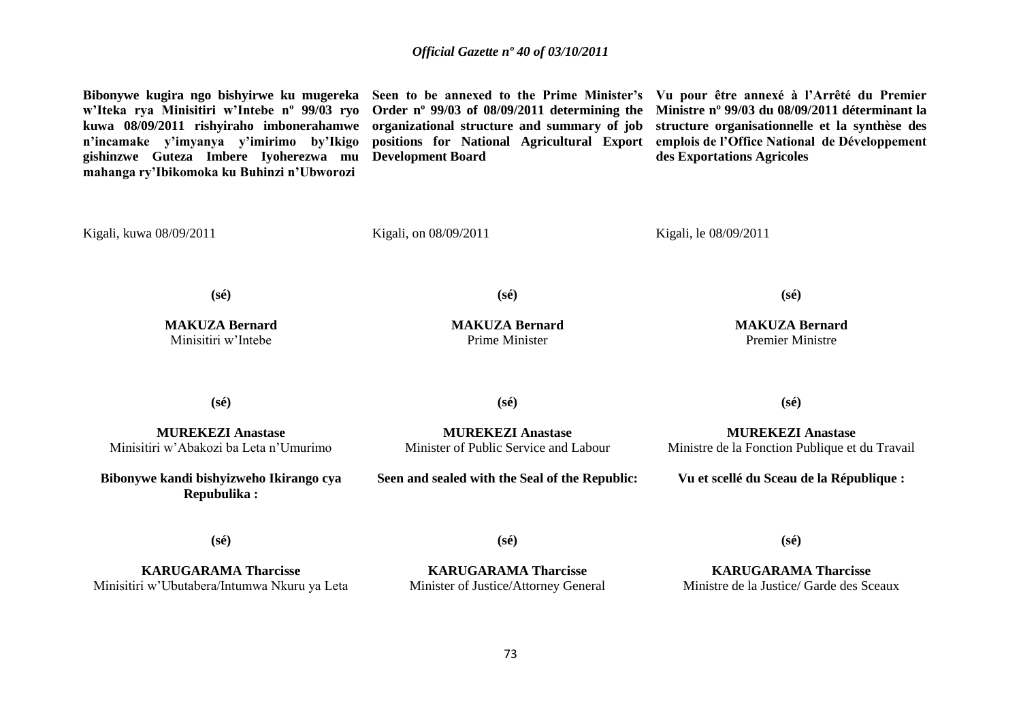## *Official Gazette nº 40 of 03/10/2011*

**Bibonywe kugira ngo bishyirwe ku mugereka Seen to be annexed to the Prime Minister's Vu pour être annexé à l'Arrêté du Premier w'Iteka rya Minisitiri w'Intebe nº 99/03 ryo kuwa 08/09/2011 rishyiraho imbonerahamwe organizational structure and summary of job n'incamake y'imyanya y'imirimo by'Ikigo gishinzwe Guteza Imbere Iyoherezwa mu Development Board mahanga ry'Ibikomoka ku Buhinzi n'Ubworozi**  Kigali, kuwa 08/09/2011 **Order nº 99/03 of 08/09/2011 determining the Ministre nº 99/03 du 08/09/2011 déterminant la positions for National Agricultural Export**  Kigali, on 08/09/2011 **structure organisationnelle et la synthèse des emplois de l'Office National de Développement des Exportations Agricoles** Kigali, le 08/09/2011 **(sé) MAKUZA Bernard** Minisitiri w'Intebe **(sé) MAKUZA Bernard** Prime Minister **(sé) MAKUZA Bernard** Premier Ministre **(sé) MUREKEZI Anastase** Minisitiri w'Abakozi ba Leta n'Umurimo **(sé) MUREKEZI Anastase** Minister of Public Service and Labour **(sé) MUREKEZI Anastase** Ministre de la Fonction Publique et du Travail **Bibonywe kandi bishyizweho Ikirango cya Repubulika : (sé) Seen and sealed with the Seal of the Republic: (sé) Vu et scellé du Sceau de la République : (sé)**

**KARUGARAMA Tharcisse** Minisitiri w'Ubutabera/Intumwa Nkuru ya Leta

**KARUGARAMA Tharcisse** Minister of Justice/Attorney General

**KARUGARAMA Tharcisse** Ministre de la Justice/ Garde des Sceaux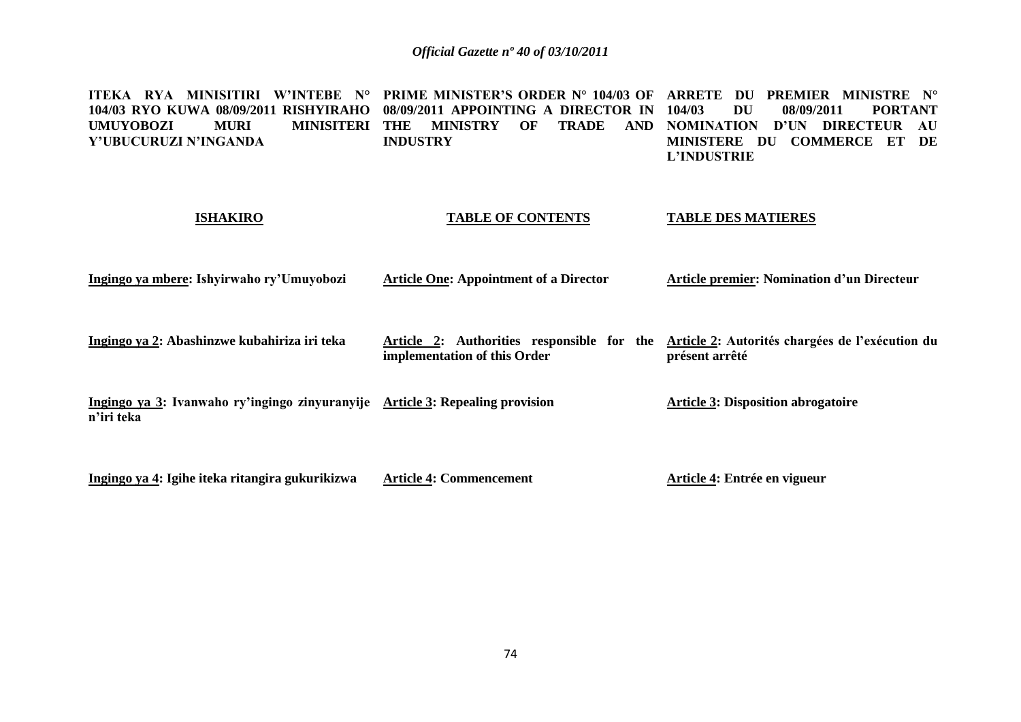**ITEKA RYA MINISITIRI W'INTEBE N° PRIME MINISTER'S ORDER N° 104/03 OF ARRETE DU PREMIER MINISTRE N° 104/03 RYO KUWA 08/09/2011 RISHYIRAHO**  UMUYOBOZI MURI MINISITERI THE MINISTRY OF TRADE AND **Y'UBUCURUZI N'INGANDA 08/09/2011 APPOINTING A DIRECTOR IN INDUSTRY 104/03 DU 08/09/2011 PORTANT TRADE AND NOMINATION D'UN DIRECTEUR AU MINISTERE DU COMMERCE ET DE L'INDUSTRIE**

## **ISHAKIRO**

## **TABLE OF CONTENTS**

**TABLE DES MATIERES**

| Ingingo ya mbere: Ishyirwaho ry'Umuyobozi | <b>Article One: Appointment of a Director</b> | <b>Article premier: Nomination d'un Directeur</b> |
|-------------------------------------------|-----------------------------------------------|---------------------------------------------------|
|                                           |                                               |                                                   |

**Ingingo ya 2: Abashinzwe kubahiriza iri teka Article 2: Authorities responsible for the Article 2: Autorités chargées de l'exécution du implementation of this Order présent arrêté**

**Ingingo ya 3: Ivanwaho ry'ingingo zinyuranyije Article 3: Repealing provision n'iri teka Article 3: Disposition abrogatoire**

**Ingingo ya 4: Igihe iteka ritangira gukurikizwa Article 4: Commencement Article 4: Entrée en vigueur**

74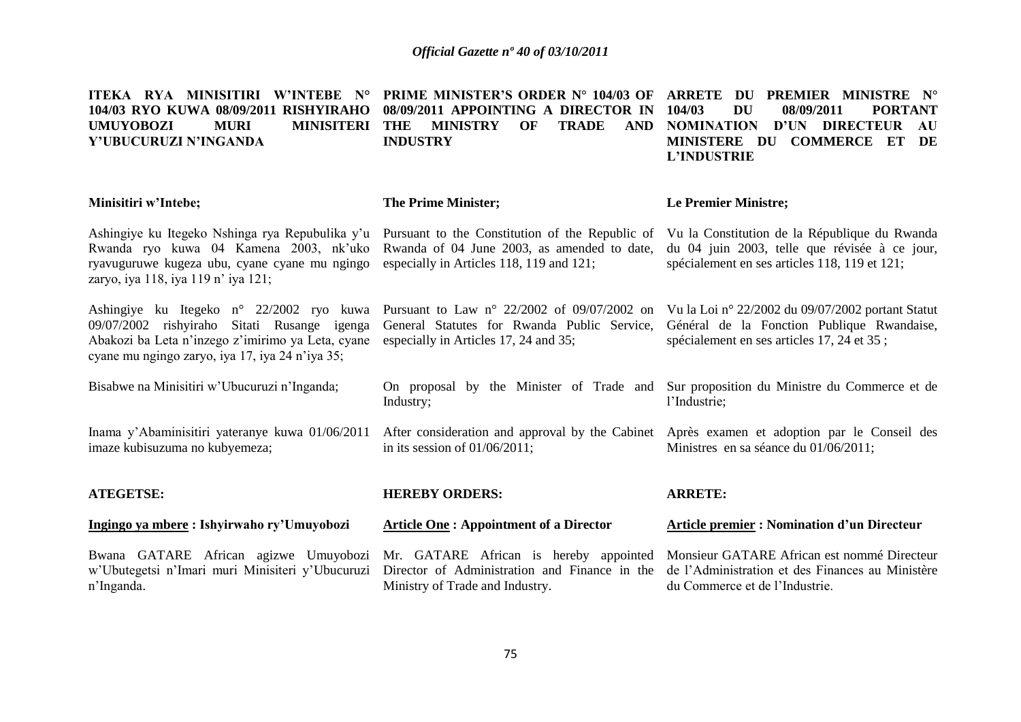| ITEKA RYA MINISITIRI W'INTEBE N°<br>104/03 RYO KUWA 08/09/2011 RISHYIRAHO<br><b>MURI</b><br><b>MINISITERI</b><br><b>UMUYOBOZI</b><br>Y'UBUCURUZI N'INGANDA                                      | <b>PRIME MINISTER'S ORDER N° 104/03 OF</b><br>08/09/2011 APPOINTING A DIRECTOR IN<br><b>TRADE</b><br><b>MINISTRY</b><br>OF<br><b>AND</b><br>THE<br><b>INDUSTRY</b> | ARRETE DU PREMIER MINISTRE N°<br>104/03<br>DU<br>08/09/2011<br><b>PORTANT</b><br>NOMINATION D'UN DIRECTEUR<br>AU<br>MINISTERE DU COMMERCE ET<br>DE<br>L'INDUSTRIE |
|-------------------------------------------------------------------------------------------------------------------------------------------------------------------------------------------------|--------------------------------------------------------------------------------------------------------------------------------------------------------------------|-------------------------------------------------------------------------------------------------------------------------------------------------------------------|
| Minisitiri w'Intebe;                                                                                                                                                                            | <b>The Prime Minister;</b>                                                                                                                                         | Le Premier Ministre;                                                                                                                                              |
| Ashingiye ku Itegeko Nshinga rya Repubulika y'u<br>Rwanda ryo kuwa 04 Kamena 2003, nk'uko<br>ryavuguruwe kugeza ubu, cyane cyane mu ngingo<br>zaryo, iya 118, iya 119 n' iya 121;               | Pursuant to the Constitution of the Republic of<br>Rwanda of 04 June 2003, as amended to date,<br>especially in Articles 118, 119 and 121;                         | Vu la Constitution de la République du Rwanda<br>du 04 juin 2003, telle que révisée à ce jour,<br>spécialement en ses articles 118, 119 et 121;                   |
| Ashingiye ku Itegeko n° 22/2002 ryo kuwa<br>09/07/2002 rishyiraho Sitati Rusange igenga<br>Abakozi ba Leta n'inzego z'imirimo ya Leta, cyane<br>cyane mu ngingo zaryo, iya 17, iya 24 n'iya 35; | Pursuant to Law $n^{\circ}$ 22/2002 of 09/07/2002 on<br>General Statutes for Rwanda Public Service,<br>especially in Articles 17, 24 and 35;                       | Vu la Loi nº 22/2002 du 09/07/2002 portant Statut<br>Général de la Fonction Publique Rwandaise,<br>spécialement en ses articles 17, 24 et 35;                     |
| Bisabwe na Minisitiri w'Ubucuruzi n'Inganda;                                                                                                                                                    | On proposal by the Minister of Trade and<br>Industry;                                                                                                              | Sur proposition du Ministre du Commerce et de<br>l'Industrie;                                                                                                     |
| Inama y'Abaminisitiri yateranye kuwa 01/06/2011<br>imaze kubisuzuma no kubyemeza;                                                                                                               | After consideration and approval by the Cabinet Après examen et adoption par le Conseil des<br>in its session of $01/06/2011$ ;                                    | Ministres en sa séance du 01/06/2011;                                                                                                                             |
| <b>ATEGETSE:</b>                                                                                                                                                                                | <b>HEREBY ORDERS:</b>                                                                                                                                              | <b>ARRETE:</b>                                                                                                                                                    |
| Ingingo ya mbere: Ishyirwaho ry'Umuyobozi                                                                                                                                                       | <b>Article One: Appointment of a Director</b>                                                                                                                      | <b>Article premier : Nomination d'un Directeur</b>                                                                                                                |
| Bwana GATARE African agizwe Umuyobozi<br>w'Ubutegetsi n'Imari muri Minisiteri y'Ubucuruzi<br>n'Inganda.                                                                                         | Mr. GATARE African is hereby appointed<br>Director of Administration and Finance in the<br>Ministry of Trade and Industry.                                         | Monsieur GATARE African est nommé Directeur<br>de l'Administration et des Finances au Ministère<br>du Commerce et de l'Industrie.                                 |